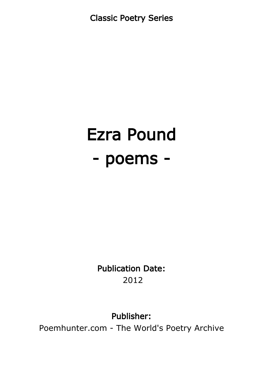Classic Poetry Series

# Ezra Pound - poems -

Publication Date: 2012

Publisher:

Poemhunter.com - The World's Poetry Archive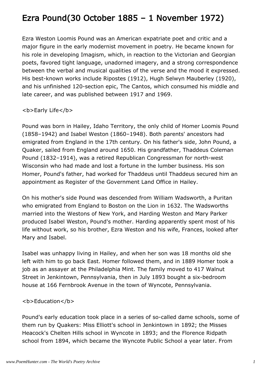# Ezra Pound(30 October 1885 – 1 November 1972)

Ezra Weston Loomis Pound was an American expatriate poet and critic and a major figure in the early modernist movement in poetry. He became known for his role in developing Imagism, which, in reaction to the Victorian and Georgian poets, favored tight language, unadorned imagery, and a strong correspondence between the verbal and musical qualities of the verse and the mood it expressed. His best-known works include Ripostes (1912), Hugh Selwyn Mauberley (1920), and his unfinished 120-section epic, The Cantos, which consumed his middle and late career, and was published between 1917 and 1969.

#### <b>Early Life</b>

Pound was born in Hailey, Idaho Territory, the only child of Homer Loomis Pound (1858–1942) and Isabel Weston (1860–1948). Both parents' ancestors had emigrated from England in the 17th century. On his father's side, John Pound, a Quaker, sailed from England around 1650. His grandfather, Thaddeus Coleman Pound (1832–1914), was a retired Republican Congressman for north-west Wisconsin who had made and lost a fortune in the lumber business. His son Homer, Pound's father, had worked for Thaddeus until Thaddeus secured him an appointment as Register of the Government Land Office in Hailey.

On his mother's side Pound was descended from William Wadsworth, a Puritan who emigrated from England to Boston on the Lion in 1632. The Wadsworths married into the Westons of New York, and Harding Weston and Mary Parker produced Isabel Weston, Pound's mother. Harding apparently spent most of his life without work, so his brother, Ezra Weston and his wife, Frances, looked after Mary and Isabel.

Isabel was unhappy living in Hailey, and when her son was 18 months old she left with him to go back East. Homer followed them, and in 1889 Homer took a job as an assayer at the Philadelphia Mint. The family moved to 417 Walnut Street in Jenkintown, Pennsylvania, then in July 1893 bought a six-bedroom house at 166 Fernbrook Avenue in the town of Wyncote, Pennsylvania.

#### <b>Education</b>

Pound's early education took place in a series of so-called dame schools, some of them run by Quakers: Miss Elliott's school in Jenkintown in 1892; the Misses Heacock's Chelten Hills school in Wyncote in 1893; and the Florence Ridpath school from 1894, which became the Wyncote Public School a year later. From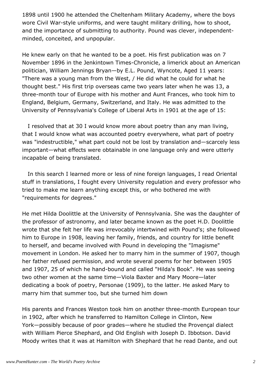1898 until 1900 he attended the Cheltenham Military Academy, where the boys wore Civil War-style uniforms, and were taught military drilling, how to shoot, and the importance of submitting to authority. Pound was clever, independentminded, conceited, and unpopular.

He knew early on that he wanted to be a poet. His first publication was on 7 November 1896 in the Jenkintown Times-Chronicle, a limerick about an American politician, William Jennings Bryan—by E.L. Pound, Wyncote, Aged 11 years: "There was a young man from the West, / He did what he could for what he thought best." His first trip overseas came two years later when he was 13, a three-month tour of Europe with his mother and Aunt Frances, who took him to England, Belgium, Germany, Switzerland, and Italy. He was admitted to the University of Pennsylvania's College of Liberal Arts in 1901 at the age of 15:

 I resolved that at 30 I would know more about poetry than any man living, that I would know what was accounted poetry everywhere, what part of poetry was "indestructible," what part could not be lost by translation and—scarcely less important—what effects were obtainable in one language only and were utterly incapable of being translated.

 In this search I learned more or less of nine foreign languages, I read Oriental stuff in translations, I fought every University regulation and every professor who tried to make me learn anything except this, or who bothered me with "requirements for degrees."

He met Hilda Doolittle at the University of Pennsylvania. She was the daughter of the professor of astronomy, and later became known as the poet H.D. Doolittle wrote that she felt her life was irrevocably intertwined with Pound's; she followed him to Europe in 1908, leaving her family, friends, and country for little benefit to herself, and became involved with Pound in developing the "Imagisme" movement in London. He asked her to marry him in the summer of 1907, though her father refused permission, and wrote several poems for her between 1905 and 1907, 25 of which he hand-bound and called "Hilda's Book". He was seeing two other women at the same time—Viola Baxter and Mary Moore—later dedicating a book of poetry, Personae (1909), to the latter. He asked Mary to marry him that summer too, but she turned him down

His parents and Frances Weston took him on another three-month European tour in 1902, after which he transferred to Hamilton College in Clinton, New York—possibly because of poor grades—where he studied the Provençal dialect with William Pierce Shephard, and Old English with Joseph D. Ibbotson. David Moody writes that it was at Hamilton with Shephard that he read Dante, and out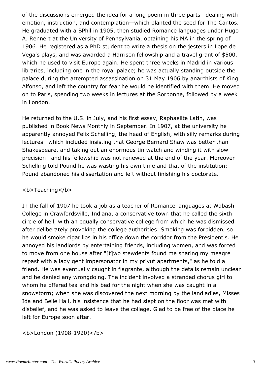of the discussions emerged the idea for a long poem in three parts—dealing with emotion, instruction, and contemplation—which planted the seed for The Cantos. He graduated with a BPhil in 1905, then studied Romance languages under Hugo A. Rennert at the University of Pennsylvania, obtaining his MA in the spring of 1906. He registered as a PhD student to write a thesis on the jesters in Lope de Vega's plays, and was awarded a Harrison fellowship and a travel grant of \$500, which he used to visit Europe again. He spent three weeks in Madrid in various libraries, including one in the royal palace; he was actually standing outside the palace during the attempted assassination on 31 May 1906 by anarchists of King Alfonso, and left the country for fear he would be identified with them. He moved on to Paris, spending two weeks in lectures at the Sorbonne, followed by a week in London.

He returned to the U.S. in July, and his first essay, Raphaelite Latin, was published in Book News Monthly in September. In 1907, at the university he apparently annoyed Felix Schelling, the head of English, with silly remarks during lectures—which included insisting that George Bernard Shaw was better than Shakespeare, and taking out an enormous tin watch and winding it with slow precision—and his fellowship was not renewed at the end of the year. Moreover Schelling told Pound he was wasting his own time and that of the institution; Pound abandoned his dissertation and left without finishing his doctorate.

#### <b>Teaching</b>

In the fall of 1907 he took a job as a teacher of Romance languages at Wabash College in Crawfordsville, Indiana, a conservative town that he called the sixth circle of hell, with an equally conservative college from which he was dismissed after deliberately provoking the college authorities. Smoking was forbidden, so he would smoke cigarillos in his office down the corridor from the President's. He annoyed his landlords by entertaining friends, including women, and was forced to move from one house after "[t]wo stewdents found me sharing my meagre repast with a lady gent impersonator in my privut apartments," as he told a friend. He was eventually caught in flagrante, although the details remain unclear and he denied any wrongdoing. The incident involved a stranded chorus girl to whom he offered tea and his bed for the night when she was caught in a snowstorm; when she was discovered the next morning by the landladies, Misses Ida and Belle Hall, his insistence that he had slept on the floor was met with disbelief, and he was asked to leave the college. Glad to be free of the place he left for Europe soon after.

<b>London (1908-1920)</b>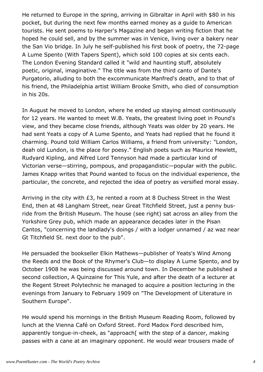He returned to Europe in the spring, arriving in Gibraltar in April with \$80 in his pocket, but during the next few months earned money as a guide to American tourists. He sent poems to Harper's Magazine and began writing fiction that he hoped he could sell, and by the summer was in Venice, living over a bakery near the San Vio bridge. In July he self-published his first book of poetry, the 72-page A Lume Spento (With Tapers Spent), which sold 100 copies at six cents each. The London Evening Standard called it "wild and haunting stuff, absolutely poetic, original, imaginative." The title was from the third canto of Dante's Purgatorio, alluding to both the excommunicate Manfred's death, and to that of his friend, the Philadelphia artist William Brooke Smith, who died of consumption in his 20s.

In August he moved to London, where he ended up staying almost continuously for 12 years. He wanted to meet W.B. Yeats, the greatest living poet in Pound's view, and they became close friends, although Yeats was older by 20 years. He had sent Yeats a copy of A Lume Spento, and Yeats had replied that he found it charming. Pound told William Carlos Williams, a friend from university: "London, deah old Lundon, is the place for poesy." English poets such as Maurice Hewlett, Rudyard Kipling, and Alfred Lord Tennyson had made a particular kind of Victorian verse—stirring, pompous, and propagandistic—popular with the public. James Knapp writes that Pound wanted to focus on the individual experience, the particular, the concrete, and rejected the idea of poetry as versified moral essay.

Arriving in the city with £3, he rented a room at 8 Duchess Street in the West End, then at 48 Langham Street, near Great Titchfield Street, just a penny busride from the British Museum. The house (see right) sat across an alley from the Yorkshire Grey pub, which made an appearance decades later in the Pisan Cantos, "concerning the landlady's doings / with a lodger unnamed / az waz near Gt Titchfield St. next door to the pub".

He persuaded the bookseller Elkin Mathews—publisher of Yeats's Wind Among the Reeds and the Book of the Rhymer's Club—to display A Lume Spento, and by October 1908 he was being discussed around town. In December he published a second collection, A Quinzaine for This Yule, and after the death of a lecturer at the Regent Street Polytechnic he managed to acquire a position lecturing in the evenings from January to February 1909 on "The Development of Literature in Southern Europe".

He would spend his mornings in the British Museum Reading Room, followed by lunch at the Vienna Café on Oxford Street. Ford Madox Ford described him, apparently tongue-in-cheek, as "approach[ with the step of a dancer, making passes with a cane at an imaginary opponent. He would wear trousers made of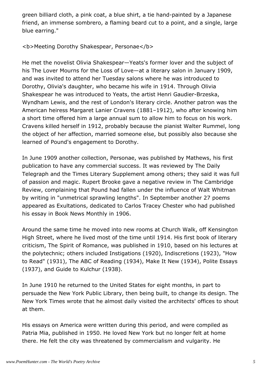green billiard cloth, a pink coat, a blue shirt, a tie hand-painted by a Japanese friend, an immense sombrero, a flaming beard cut to a point, and a single, large blue earring."

<b>Meeting Dorothy Shakespear, Personae</b>

He met the novelist Olivia Shakespear—Yeats's former lover and the subject of his The Lover Mourns for the Loss of Love—at a literary salon in January 1909, and was invited to attend her Tuesday salons where he was introduced to Dorothy, Olivia's daughter, who became his wife in 1914. Through Olivia Shakespear he was introduced to Yeats, the artist Henri Gaudier-Brzeska, Wyndham Lewis, and the rest of London's literary circle. Another patron was the American heiress Margaret Lanier Cravens (1881–1912), who after knowing him a short time offered him a large annual sum to allow him to focus on his work. Cravens killed herself in 1912, probably because the pianist Walter Rummel, long the object of her affection, married someone else, but possibly also because she learned of Pound's engagement to Dorothy.

In June 1909 another collection, Personae, was published by Mathews, his first publication to have any commercial success. It was reviewed by The Daily Telegraph and the Times Literary Supplement among others; they said it was full of passion and magic. Rupert Brooke gave a negative review in The Cambridge Review, complaining that Pound had fallen under the influence of Walt Whitman by writing in "unmetrical sprawling lengths". In September another 27 poems appeared as Exultations, dedicated to Carlos Tracey Chester who had published his essay in Book News Monthly in 1906.

Around the same time he moved into new rooms at Church Walk, off Kensington High Street, where he lived most of the time until 1914. His first book of literary criticism, The Spirit of Romance, was published in 1910, based on his lectures at the polytechnic; others included Instigations (1920), Indiscretions (1923), "How to Read" (1931), The ABC of Reading (1934), Make It New (1934), Polite Essays (1937), and Guide to Kulchur (1938).

In June 1910 he returned to the United States for eight months, in part to persuade the New York Public Library, then being built, to change its design. The New York Times wrote that he almost daily visited the architects' offices to shout at them.

His essays on America were written during this period, and were compiled as Patria Mia, published in 1950. He loved New York but no longer felt at home there. He felt the city was threatened by commercialism and vulgarity. He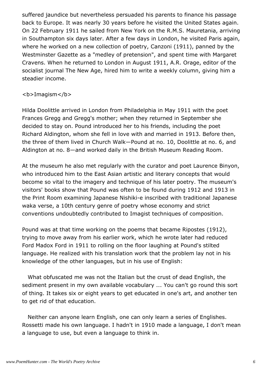suffered jaundice but nevertheless persuaded his parents to finance his passage back to Europe. It was nearly 30 years before he visited the United States again. On 22 February 1911 he sailed from New York on the R.M.S. Mauretania, arriving in Southampton six days later. After a few days in London, he visited Paris again, where he worked on a new collection of poetry, Canzoni (1911), panned by the Westminster Gazette as a "medley of pretension", and spent time with Margaret Cravens. When he returned to London in August 1911, A.R. Orage, editor of the socialist journal The New Age, hired him to write a weekly column, giving him a steadier income.

#### <b>Imagism</b>

Hilda Doolittle arrived in London from Philadelphia in May 1911 with the poet Frances Gregg and Gregg's mother; when they returned in September she decided to stay on. Pound introduced her to his friends, including the poet Richard Aldington, whom she fell in love with and married in 1913. Before then, the three of them lived in Church Walk—Pound at no. 10, Doolittle at no. 6, and Aldington at no. 8—and worked daily in the British Museum Reading Room.

At the museum he also met regularly with the curator and poet Laurence Binyon, who introduced him to the East Asian artistic and literary concepts that would become so vital to the imagery and technique of his later poetry. The museum's visitors' books show that Pound was often to be found during 1912 and 1913 in the Print Room examining Japanese Nishiki-e inscribed with traditional Japanese waka verse, a 10th century genre of poetry whose economy and strict conventions undoubtedly contributed to Imagist techniques of composition.

Pound was at that time working on the poems that became Ripostes (1912), trying to move away from his earlier work, which he wrote later had reduced Ford Madox Ford in 1911 to rolling on the floor laughing at Pound's stilted language. He realized with his translation work that the problem lay not in his knowledge of the other languages, but in his use of English:

 What obfuscated me was not the Italian but the crust of dead English, the sediment present in my own available vocabulary ... You can't go round this sort of thing. It takes six or eight years to get educated in one's art, and another ten to get rid of that education.

 Neither can anyone learn English, one can only learn a series of Englishes. Rossetti made his own language. I hadn't in 1910 made a language, I don't mean a language to use, but even a language to think in.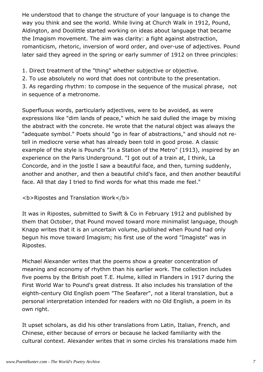He understood that to change the structure of your language is to change the way you think and see the world. While living at Church Walk in 1912, Pound, Aldington, and Doolittle started working on ideas about language that became the Imagism movement. The aim was clarity: a fight against abstraction, romanticism, rhetoric, inversion of word order, and over-use of adjectives. Pound later said they agreed in the spring or early summer of 1912 on three principles:

- 1. Direct treatment of the "thing" whether subjective or objective.
- 2. To use absolutely no word that does not contribute to the presentation.

3. As regarding rhythm: to compose in the sequence of the musical phrase, not in sequence of a metronome.

Superfluous words, particularly adjectives, were to be avoided, as were expressions like "dim lands of peace," which he said dulled the image by mixing the abstract with the concrete. He wrote that the natural object was always the "adequate symbol." Poets should "go in fear of abstractions," and should not retell in mediocre verse what has already been told in good prose. A classic example of the style is Pound's "In a Station of the Metro" (1913), inspired by an experience on the Paris Underground. "I got out of a train at, I think, La Concorde, and in the jostle I saw a beautiful face, and then, turning suddenly, another and another, and then a beautiful child's face, and then another beautiful face. All that day I tried to find words for what this made me feel."

<b>Ripostes and Translation Work</b>

It was in Ripostes, submitted to Swift & Co in February 1912 and published by them that October, that Pound moved toward more minimalist language, though Knapp writes that it is an uncertain volume, published when Pound had only begun his move toward Imagism; his first use of the word "Imagiste" was in Ripostes.

Michael Alexander writes that the poems show a greater concentration of meaning and economy of rhythm than his earlier work. The collection includes five poems by the British poet T.E. Hulme, killed in Flanders in 1917 during the First World War to Pound's great distress. It also includes his translation of the eighth-century Old English poem "The Seafarer", not a literal translation, but a personal interpretation intended for readers with no Old English, a poem in its own right.

It upset scholars, as did his other translations from Latin, Italian, French, and Chinese, either because of errors or because he lacked familiarity with the cultural context. Alexander writes that in some circles his translations made him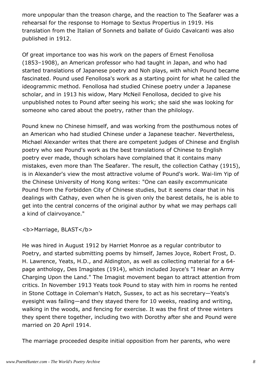more unpopular than the treason charge, and the reaction to The Seafarer was a rehearsal for the response to Homage to Sextus Propertius in 1919. His translation from the Italian of Sonnets and ballate of Guido Cavalcanti was also published in 1912.

Of great importance too was his work on the papers of Ernest Fenollosa (1853–1908), an American professor who had taught in Japan, and who had started translations of Japanese poetry and Noh plays, with which Pound became fascinated. Pound used Fenollosa's work as a starting point for what he called the ideogrammic method. Fenollosa had studied Chinese poetry under a Japanese scholar, and in 1913 his widow, Mary McNeil Fenollosa, decided to give his unpublished notes to Pound after seeing his work; she said she was looking for someone who cared about the poetry, rather than the philology.

Pound knew no Chinese himself, and was working from the posthumous notes of an American who had studied Chinese under a Japanese teacher. Nevertheless, Michael Alexander writes that there are competent judges of Chinese and English poetry who see Pound's work as the best translations of Chinese to English poetry ever made, though scholars have complained that it contains many mistakes, even more than The Seafarer. The result, the collection Cathay (1915), is in Alexander's view the most attractive volume of Pound's work. Wai-lim Yip of the Chinese University of Hong Kong writes: "One can easily excommunicate Pound from the Forbidden City of Chinese studies, but it seems clear that in his dealings with Cathay, even when he is given only the barest details, he is able to get into the central concerns of the original author by what we may perhaps call a kind of clairvoyance."

<b>Marriage, BLAST</b>

He was hired in August 1912 by Harriet Monroe as a regular contributor to Poetry, and started submitting poems by himself, James Joyce, Robert Frost, D. H. Lawrence, Yeats, H.D., and Aldington, as well as collecting material for a 64 page anthology, Des Imagistes (1914), which included Joyce's "I Hear an Army Charging Upon the Land." The Imagist movement began to attract attention from critics. In November 1913 Yeats took Pound to stay with him in rooms he rented in Stone Cottage in Coleman's Hatch, Sussex, to act as his secretary—Yeats's eyesight was failing—and they stayed there for 10 weeks, reading and writing, walking in the woods, and fencing for exercise. It was the first of three winters they spent there together, including two with Dorothy after she and Pound were married on 20 April 1914.

The marriage proceeded despite initial opposition from her parents, who were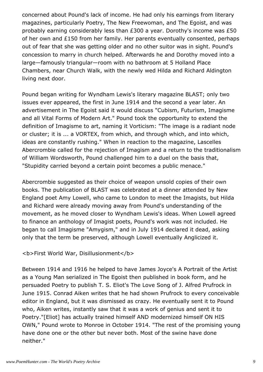concerned about Pound's lack of income. He had only his earnings from literary magazines, particularly Poetry, The New Freewoman, and The Egoist, and was probably earning considerably less than £300 a year. Dorothy's income was £50 of her own and £150 from her family. Her parents eventually consented, perhaps out of fear that she was getting older and no other suitor was in sight. Pound's concession to marry in church helped. Afterwards he and Dorothy moved into a large—famously triangular—room with no bathroom at 5 Holland Place Chambers, near Church Walk, with the newly wed Hilda and Richard Aldington living next door.

Pound began writing for Wyndham Lewis's literary magazine BLAST; only two issues ever appeared, the first in June 1914 and the second a year later. An advertisement in The Egoist said it would discuss "Cubism, Futurism, Imagisme and all Vital Forms of Modern Art." Pound took the opportunity to extend the definition of Imagisme to art, naming it Vorticism: "The image is a radiant node or cluster; it is ... a VORTEX, from which, and through which, and into which, ideas are constantly rushing." When in reaction to the magazine, Lascelles Abercrombie called for the rejection of Imagism and a return to the traditionalism of William Wordsworth, Pound challenged him to a duel on the basis that, "Stupidity carried beyond a certain point becomes a public menace."

Abercrombie suggested as their choice of weapon unsold copies of their own books. The publication of BLAST was celebrated at a dinner attended by New England poet Amy Lowell, who came to London to meet the Imagists, but Hilda and Richard were already moving away from Pound's understanding of the movement, as he moved closer to Wyndham Lewis's ideas. When Lowell agreed to finance an anthology of Imagist poets, Pound's work was not included. He began to call Imagisme "Amygism," and in July 1914 declared it dead, asking only that the term be preserved, although Lowell eventually Anglicized it.

<b>First World War, Disillusionment</b>

Between 1914 and 1916 he helped to have James Joyce's A Portrait of the Artist as a Young Man serialized in The Egoist then published in book form, and he persuaded Poetry to publish T. S. Eliot's The Love Song of J. Alfred Prufrock in June 1915. Conrad Aiken writes that he had shown Prufrock to every conceivable editor in England, but it was dismissed as crazy. He eventually sent it to Pound who, Aiken writes, instantly saw that it was a work of genius and sent it to Poetry."[Eliot] has actually trained himself AND modernized himself ON HIS OWN," Pound wrote to Monroe in October 1914. "The rest of the promising young have done one or the other but never both. Most of the swine have done neither."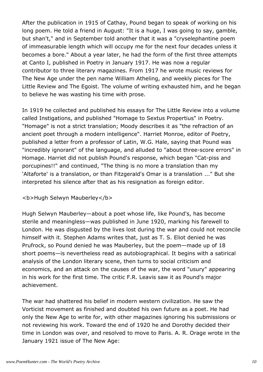After the publication in 1915 of Cathay, Pound began to speak of working on his long poem. He told a friend in August: "It is a huge, I was going to say, gamble, but shan't," and in September told another that it was a "cryselephantine poem of immeasurable length which will occupy me for the next four decades unless it becomes a bore." About a year later, he had the form of the first three attempts at Canto I, published in Poetry in January 1917. He was now a regular contributor to three literary magazines. From 1917 he wrote music reviews for The New Age under the pen name William Atheling, and weekly pieces for The Little Review and The Egoist. The volume of writing exhausted him, and he began to believe he was wasting his time with prose.

In 1919 he collected and published his essays for The Little Review into a volume called Instigations, and published "Homage to Sextus Propertius" in Poetry. "Homage" is not a strict translation; Moody describes it as "the refraction of an ancient poet through a modern intelligence". Harriet Monroe, editor of Poetry, published a letter from a professor of Latin, W.G. Hale, saying that Pound was "incredibly ignorant" of the language, and alluded to "about three-score errors" in Homage. Harriet did not publish Pound's response, which began "Cat-piss and porcupines!!" and continued, "The thing is no more a translation than my 'Altaforte' is a translation, or than Fitzgerald's Omar is a translation ..." But she interpreted his silence after that as his resignation as foreign editor.

#### **<b>Hugh Selwyn Mauberley</b>**

Hugh Selwyn Mauberley—about a poet whose life, like Pound's, has become sterile and meaningless—was published in June 1920, marking his farewell to London. He was disgusted by the lives lost during the war and could not reconcile himself with it. Stephen Adams writes that, just as T. S. Eliot denied he was Prufrock, so Pound denied he was Mauberley, but the poem—made up of 18 short poems—is nevertheless read as autobiographical. It begins with a satirical analysis of the London literary scene, then turns to social criticism and economics, and an attack on the causes of the war, the word "usury" appearing in his work for the first time. The critic F.R. Leavis saw it as Pound's major achievement.

The war had shattered his belief in modern western civilization. He saw the Vorticist movement as finished and doubted his own future as a poet. He had only the New Age to write for, with other magazines ignoring his submissions or not reviewing his work. Toward the end of 1920 he and Dorothy decided their time in London was over, and resolved to move to Paris. A. R. Orage wrote in the January 1921 issue of The New Age: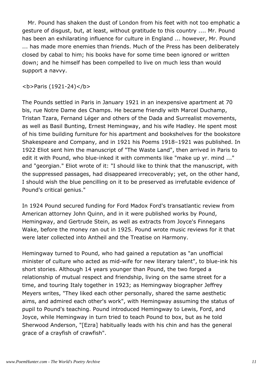Mr. Pound has shaken the dust of London from his feet with not too emphatic a gesture of disgust, but, at least, without gratitude to this country .... Mr. Pound has been an exhilarating influence for culture in England ... however, Mr. Pound ... has made more enemies than friends. Much of the Press has been deliberately closed by cabal to him; his books have for some time been ignored or written down; and he himself has been compelled to live on much less than would support a navvy.

#### <b>Paris (1921-24)</b>

The Pounds settled in Paris in January 1921 in an inexpensive apartment at 70 bis, rue Notre Dame des Champs. He became friendly with Marcel Duchamp, Tristan Tzara, Fernand Léger and others of the Dada and Surrealist movements, as well as Basil Bunting, Ernest Hemingway, and his wife Hadley. He spent most of his time building furniture for his apartment and bookshelves for the bookstore Shakespeare and Company, and in 1921 his Poems 1918–1921 was published. In 1922 Eliot sent him the manuscript of "The Waste Land", then arrived in Paris to edit it with Pound, who blue-inked it with comments like "make up yr. mind ..." and "georgian." Eliot wrote of it: "I should like to think that the manuscript, with the suppressed passages, had disappeared irrecoverably; yet, on the other hand, I should wish the blue pencilling on it to be preserved as irrefutable evidence of Pound's critical genius."

In 1924 Pound secured funding for Ford Madox Ford's transatlantic review from American attorney John Quinn, and in it were published works by Pound, Hemingway, and Gertrude Stein, as well as extracts from Joyce's Finnegans Wake, before the money ran out in 1925. Pound wrote music reviews for it that were later collected into Antheil and the Treatise on Harmony.

Hemingway turned to Pound, who had gained a reputation as "an unofficial minister of culture who acted as mid-wife for new literary talent", to blue-ink his short stories. Although 14 years younger than Pound, the two forged a relationship of mutual respect and friendship, living on the same street for a time, and touring Italy together in 1923; as Hemingway biographer Jeffrey Meyers writes, "They liked each other personally, shared the same aesthetic aims, and admired each other's work", with Hemingway assuming the status of pupil to Pound's teaching. Pound introduced Hemingway to Lewis, Ford, and Joyce, while Hemingway in turn tried to teach Pound to box, but as he told Sherwood Anderson, "[Ezra] habitually leads with his chin and has the general grace of a crayfish of crawfish".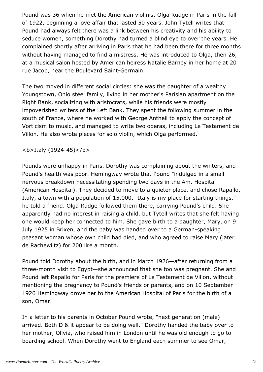Pound was 36 when he met the American violinist Olga Rudge in Paris in the fall of 1922, beginning a love affair that lasted 50 years. John Tytell writes that Pound had always felt there was a link between his creativity and his ability to seduce women, something Dorothy had turned a blind eye to over the years. He complained shortly after arriving in Paris that he had been there for three months without having managed to find a mistress. He was introduced to Olga, then 26, at a musical salon hosted by American heiress Natalie Barney in her home at 20 rue Jacob, near the Boulevard Saint-Germain.

The two moved in different social circles: she was the daughter of a wealthy Youngstown, Ohio steel family, living in her mother's Parisian apartment on the Right Bank, socializing with aristocrats, while his friends were mostly impoverished writers of the Left Bank. They spent the following summer in the south of France, where he worked with George Antheil to apply the concept of Vorticism to music, and managed to write two operas, including Le Testament de Villon. He also wrote pieces for solo violin, which Olga performed.

#### <b>Italy (1924-45)</b>

Pounds were unhappy in Paris. Dorothy was complaining about the winters, and Pound's health was poor. Hemingway wrote that Pound "indulged in a small nervous breakdown necessitating spending two days in the Am. Hospital (American Hospital). They decided to move to a quieter place, and chose Rapallo, Italy, a town with a population of 15,000. "Italy is my place for starting things," he told a friend. Olga Rudge followed them there, carrying Pound's child. She apparently had no interest in raising a child, but Tytell writes that she felt having one would keep her connected to him. She gave birth to a daughter, Mary, on 9 July 1925 in Brixen, and the baby was handed over to a German-speaking peasant woman whose own child had died, and who agreed to raise Mary (later de Rachewiltz) for 200 lire a month.

Pound told Dorothy about the birth, and in March 1926—after returning from a three-month visit to Egypt—she announced that she too was pregnant. She and Pound left Rapallo for Paris for the premiere of Le Testament de Villon, without mentioning the pregnancy to Pound's friends or parents, and on 10 September 1926 Hemingway drove her to the American Hospital of Paris for the birth of a son, Omar.

In a letter to his parents in October Pound wrote, "next generation (male) arrived. Both D & it appear to be doing well." Dorothy handed the baby over to her mother, Olivia, who raised him in London until he was old enough to go to boarding school. When Dorothy went to England each summer to see Omar,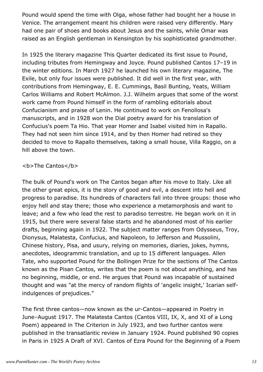Pound would spend the time with Olga, whose father had bought her a house in Venice. The arrangement meant his children were raised very differently. Mary had one pair of shoes and books about Jesus and the saints, while Omar was raised as an English gentleman in Kensington by his sophisticated grandmother.

In 1925 the literary magazine This Quarter dedicated its first issue to Pound, including tributes from Hemingway and Joyce. Pound published Cantos 17–19 in the winter editions. In March 1927 he launched his own literary magazine, The Exile, but only four issues were published. It did well in the first year, with contributions from Hemingway, E. E. Cummings, Basil Bunting, Yeats, William Carlos Williams and Robert McAlmon. J.J. Wilhelm argues that some of the worst work came from Pound himself in the form of rambling editorials about Confucianism and praise of Lenin. He continued to work on Fenollosa's manuscripts, and in 1928 won the Dial poetry award for his translation of Confucius's poem Ta Hio. That year Homer and Isabel visited him in Rapallo. They had not seen him since 1914, and by then Homer had retired so they decided to move to Rapallo themselves, taking a small house, Villa Raggio, on a hill above the town.

#### **<b>The Cantos</b>**

The bulk of Pound's work on The Cantos began after his move to Italy. Like all the other great epics, it is the story of good and evil, a descent into hell and progress to paradise. Its hundreds of characters fall into three groups: those who enjoy hell and stay there; those who experience a metamorphosis and want to leave; and a few who lead the rest to paradiso terrestre. He began work on it in 1915, but there were several false starts and he abandoned most of his earlier drafts, beginning again in 1922. The subject matter ranges from Odysseus, Troy, Dionysus, Malatesta, Confucius, and Napoleon, to Jefferson and Mussolini, Chinese history, Pisa, and usury, relying on memories, diaries, jokes, hymns, anecdotes, ideogrammic translation, and up to 15 different languages. Allen Tate, who supported Pound for the Bollingen Prize for the sections of The Cantos known as the Pisan Cantos, writes that the poem is not about anything, and has no beginning, middle, or end. He argues that Pound was incapable of sustained thought and was "at the mercy of random flights of 'angelic insight,' Icarian selfindulgences of prejudices."

The first three cantos—now known as the ur-Cantos—appeared in Poetry in June–August 1917. The Malatesta Cantos (Cantos VIII, IX, X, and XI of a Long Poem) appeared in The Criterion in July 1923, and two further cantos were published in the transatlantic review in January 1924. Pound published 90 copies in Paris in 1925 A Draft of XVI. Cantos of Ezra Pound for the Beginning of a Poem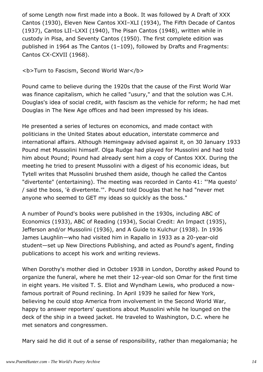of some Length now first made into a Book. It was followed by A Draft of XXX Cantos (1930), Eleven New Cantos XXI–XLI (1934), The Fifth Decade of Cantos (1937), Cantos LII–LXXI (1940), The Pisan Cantos (1948), written while in custody in Pisa, and Seventy Cantos (1950). The first complete edition was published in 1964 as The Cantos (1–109), followed by Drafts and Fragments: Cantos CX-CXVII (1968).

<b>Turn to Fascism, Second World War</b>

Pound came to believe during the 1920s that the cause of the First World War was finance capitalism, which he called "usury," and that the solution was C.H. Douglas's idea of social credit, with fascism as the vehicle for reform; he had met Douglas in The New Age offices and had been impressed by his ideas.

He presented a series of lectures on economics, and made contact with politicians in the United States about education, interstate commerce and international affairs. Although Hemingway advised against it, on 30 January 1933 Pound met Mussolini himself. Olga Rudge had played for Mussolini and had told him about Pound; Pound had already sent him a copy of Cantos XXX. During the meeting he tried to present Mussolini with a digest of his economic ideas, but Tytell writes that Mussolini brushed them aside, though he called the Cantos "divertente" (entertaining). The meeting was recorded in Canto 41: "'Ma questo' / said the boss, 'è divertente.'". Pound told Douglas that he had "never met anyone who seemed to GET my ideas so quickly as the boss."

A number of Pound's books were published in the 1930s, including ABC of Economics (1933), ABC of Reading (1934), Social Credit: An Impact (1935), Jefferson and/or Mussolini (1936), and A Guide to Kulchur (1938). In 1936 James Laughlin—who had visited him in Rapallo in 1933 as a 20-year-old student—set up New Directions Publishing, and acted as Pound's agent, finding publications to accept his work and writing reviews.

When Dorothy's mother died in October 1938 in London, Dorothy asked Pound to organize the funeral, where he met their 12-year-old son Omar for the first time in eight years. He visited T. S. Eliot and Wyndham Lewis, who produced a nowfamous portrait of Pound reclining. In April 1939 he sailed for New York, believing he could stop America from involvement in the Second World War, happy to answer reporters' questions about Mussolini while he lounged on the deck of the ship in a tweed jacket. He traveled to Washington, D.C. where he met senators and congressmen.

Mary said he did it out of a sense of responsibility, rather than megalomania; he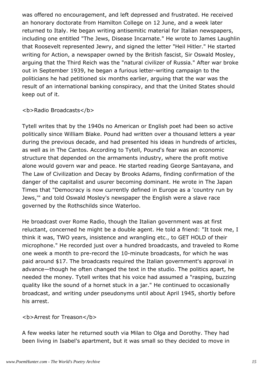was offered no encouragement, and left depressed and frustrated. He received an honorary doctorate from Hamilton College on 12 June, and a week later returned to Italy. He began writing antisemitic material for Italian newspapers, including one entitled "The Jews, Disease Incarnate." He wrote to James Laughlin that Roosevelt represented Jewry, and signed the letter "Heil Hitler." He started writing for Action, a newspaper owned by the British fascist, Sir Oswald Mosley, arguing that the Third Reich was the "natural civilizer of Russia." After war broke out in September 1939, he began a furious letter-writing campaign to the politicians he had petitioned six months earlier, arguing that the war was the result of an international banking conspiracy, and that the United States should keep out of it.

<b>Radio Broadcasts</b>

Tytell writes that by the 1940s no American or English poet had been so active politically since William Blake. Pound had written over a thousand letters a year during the previous decade, and had presented his ideas in hundreds of articles, as well as in The Cantos. According to Tytell, Pound's fear was an economic structure that depended on the armaments industry, where the profit motive alone would govern war and peace. He started reading George Santayana, and The Law of Civilization and Decay by Brooks Adams, finding confirmation of the danger of the capitalist and usurer becoming dominant. He wrote in The Japan Times that "Democracy is now currently defined in Europe as a 'country run by Jews,'" and told Oswald Mosley's newspaper the English were a slave race governed by the Rothschilds since Waterloo.

He broadcast over Rome Radio, though the Italian government was at first reluctant, concerned he might be a double agent. He told a friend: "It took me, I think it was, TWO years, insistence and wrangling etc., to GET HOLD of their microphone." He recorded just over a hundred broadcasts, and traveled to Rome one week a month to pre-record the 10-minute broadcasts, for which he was paid around \$17. The broadcasts required the Italian government's approval in advance—though he often changed the text in the studio. The politics apart, he needed the money. Tytell writes that his voice had assumed a "rasping, buzzing quality like the sound of a hornet stuck in a jar." He continued to occasionally broadcast, and writing under pseudonyms until about April 1945, shortly before his arrest.

**<b>Arrest for Treason</b>** 

A few weeks later he returned south via Milan to Olga and Dorothy. They had been living in Isabel's apartment, but it was small so they decided to move in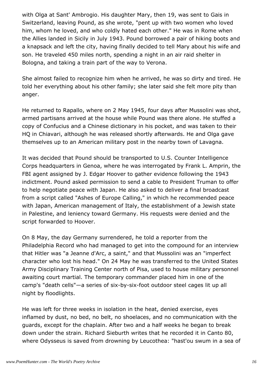with Olga at Sant' Ambrogio. His daughter Mary, then 19, was sent to Gais in Switzerland, leaving Pound, as she wrote, "pent up with two women who loved him, whom he loved, and who coldly hated each other." He was in Rome when the Allies landed in Sicily in July 1943. Pound borrowed a pair of hiking boots and a knapsack and left the city, having finally decided to tell Mary about his wife and son. He traveled 450 miles north, spending a night in an air raid shelter in Bologna, and taking a train part of the way to Verona.

She almost failed to recognize him when he arrived, he was so dirty and tired. He told her everything about his other family; she later said she felt more pity than anger.

He returned to Rapallo, where on 2 May 1945, four days after Mussolini was shot, armed partisans arrived at the house while Pound was there alone. He stuffed a copy of Confucius and a Chinese dictionary in his pocket, and was taken to their HQ in Chiavari, although he was released shortly afterwards. He and Olga gave themselves up to an American military post in the nearby town of Lavagna.

It was decided that Pound should be transported to U.S. Counter Intelligence Corps headquarters in Genoa, where he was interrogated by Frank L. Amprin, the FBI agent assigned by J. Edgar Hoover to gather evidence following the 1943 indictment. Pound asked permission to send a cable to President Truman to offer to help negotiate peace with Japan. He also asked to deliver a final broadcast from a script called "Ashes of Europe Calling," in which he recommended peace with Japan, American management of Italy, the establishment of a Jewish state in Palestine, and leniency toward Germany. His requests were denied and the script forwarded to Hoover.

On 8 May, the day Germany surrendered, he told a reporter from the Philadelphia Record who had managed to get into the compound for an interview that Hitler was "a Jeanne d'Arc, a saint," and that Mussolini was an "imperfect character who lost his head." On 24 May he was transferred to the United States Army Disciplinary Training Center north of Pisa, used to house military personnel awaiting court martial. The temporary commander placed him in one of the camp's "death cells"—a series of six-by-six-foot outdoor steel cages lit up all night by floodlights.

He was left for three weeks in isolation in the heat, denied exercise, eyes inflamed by dust, no bed, no belt, no shoelaces, and no communication with the guards, except for the chaplain. After two and a half weeks he began to break down under the strain. Richard Sieburth writes that he recorded it in Canto 80, where Odysseus is saved from drowning by Leucothea: "hast'ou swum in a sea of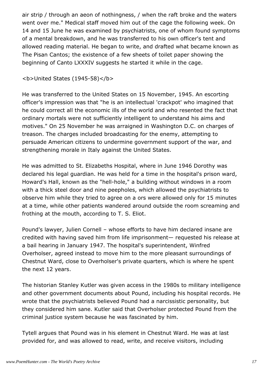air strip / through an aeon of nothingness, / when the raft broke and the waters went over me." Medical staff moved him out of the cage the following week. On 14 and 15 June he was examined by psychiatrists, one of whom found symptoms of a mental breakdown, and he was transferred to his own officer's tent and allowed reading material. He began to write, and drafted what became known as The Pisan Cantos; the existence of a few sheets of toilet paper showing the beginning of Canto LXXXIV suggests he started it while in the cage.

#### <b>United States (1945-58)</b>

He was transferred to the United States on 15 November, 1945. An escorting officer's impression was that "he is an intellectual 'crackpot' who imagined that he could correct all the economic ills of the world and who resented the fact that ordinary mortals were not sufficiently intelligent to understand his aims and motives." On 25 November he was arraigned in Washington D.C. on charges of treason. The charges included broadcasting for the enemy, attempting to persuade American citizens to undermine government support of the war, and strengthening morale in Italy against the United States.

He was admitted to St. Elizabeths Hospital, where in June 1946 Dorothy was declared his legal guardian. He was held for a time in the hospital's prison ward, Howard's Hall, known as the "hell-hole," a building without windows in a room with a thick steel door and nine peepholes, which allowed the psychiatrists to observe him while they tried to agree on a ors were allowed only for 15 minutes at a time, while other patients wandered around outside the room screaming and frothing at the mouth, according to T. S. Eliot.

Pound's lawyer, Julien Cornell – whose efforts to have him declared insane are credited with having saved him from life imprisonment— requested his release at a bail hearing in January 1947. The hospital's superintendent, Winfred Overholser, agreed instead to move him to the more pleasant surroundings of Chestnut Ward, close to Overholser's private quarters, which is where he spent the next 12 years.

The historian Stanley Kutler was given access in the 1980s to military intelligence and other government documents about Pound, including his hospital records. He wrote that the psychiatrists believed Pound had a narcissistic personality, but they considered him sane. Kutler said that Overholser protected Pound from the criminal justice system because he was fascinated by him.

Tytell argues that Pound was in his element in Chestnut Ward. He was at last provided for, and was allowed to read, write, and receive visitors, including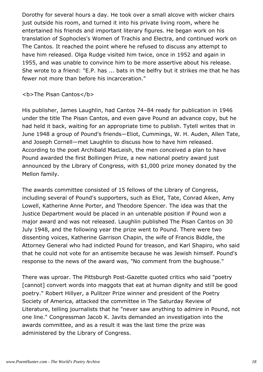Dorothy for several hours a day. He took over a small alcove with wicker chairs just outside his room, and turned it into his private living room, where he entertained his friends and important literary figures. He began work on his translation of Sophocles's Women of Trachis and Electra, and continued work on The Cantos. It reached the point where he refused to discuss any attempt to have him released. Olga Rudge visited him twice, once in 1952 and again in 1955, and was unable to convince him to be more assertive about his release. She wrote to a friend: "E.P. has ... bats in the belfry but it strikes me that he has fewer not more than before his incarceration."

<b>The Pisan Cantos</b>

His publisher, James Laughlin, had Cantos 74–84 ready for publication in 1946 under the title The Pisan Cantos, and even gave Pound an advance copy, but he had held it back, waiting for an appropriate time to publish. Tytell writes that in June 1948 a group of Pound's friends—Eliot, Cummings, W. H. Auden, Allen Tate, and Joseph Cornell—met Laughlin to discuss how to have him released. According to the poet Archibald MacLeish, the men conceived a plan to have Pound awarded the first Bollingen Prize, a new national poetry award just announced by the Library of Congress, with \$1,000 prize money donated by the Mellon family.

The awards committee consisted of 15 fellows of the Library of Congress, including several of Pound's supporters, such as Eliot, Tate, Conrad Aiken, Amy Lowell, Katherine Anne Porter, and Theodore Spencer. The idea was that the Justice Department would be placed in an untenable position if Pound won a major award and was not released. Laughlin published The Pisan Cantos on 30 July 1948, and the following year the prize went to Pound. There were two dissenting voices, Katherine Garrison Chapin, the wife of Francis Biddle, the Attorney General who had indicted Pound for treason, and Karl Shapiro, who said that he could not vote for an antisemite because he was Jewish himself. Pound's response to the news of the award was, "No comment from the bughouse."

There was uproar. The Pittsburgh Post-Gazette quoted critics who said "poetry [cannot] convert words into maggots that eat at human dignity and still be good poetry." Robert Hillyer, a Pulitzer Prize winner and president of the Poetry Society of America, attacked the committee in The Saturday Review of Literature, telling journalists that he "never saw anything to admire in Pound, not one line." Congressman Jacob K. Javits demanded an investigation into the awards committee, and as a result it was the last time the prize was administered by the Library of Congress.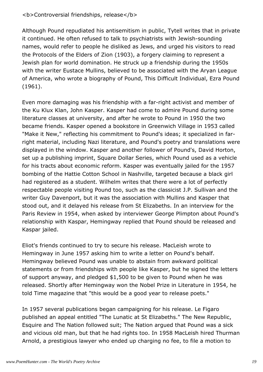#### <b>Controversial friendships, release</b>

Although Pound repudiated his antisemitism in public, Tytell writes that in private it continued. He often refused to talk to psychiatrists with Jewish-sounding names, would refer to people he disliked as Jews, and urged his visitors to read the Protocols of the Elders of Zion (1903), a forgery claiming to represent a Jewish plan for world domination. He struck up a friendship during the 1950s with the writer Eustace Mullins, believed to be associated with the Aryan League of America, who wrote a biography of Pound, This Difficult Individual, Ezra Pound (1961).

Even more damaging was his friendship with a far-right activist and member of the Ku Klux Klan, John Kasper. Kasper had come to admire Pound during some literature classes at university, and after he wrote to Pound in 1950 the two became friends. Kasper opened a bookstore in Greenwich Village in 1953 called "Make it New," reflecting his commitment to Pound's ideas; it specialized in farright material, including Nazi literature, and Pound's poetry and translations were displayed in the window. Kasper and another follower of Pound's, David Horton, set up a publishing imprint, Square Dollar Series, which Pound used as a vehicle for his tracts about economic reform. Kasper was eventually jailed for the 1957 bombing of the Hattie Cotton School in Nashville, targeted because a black girl had registered as a student. Wilhelm writes that there were a lot of perfectly respectable people visiting Pound too, such as the classicist J.P. Sullivan and the writer Guy Davenport, but it was the association with Mullins and Kasper that stood out, and it delayed his release from St Elizabeths. In an interview for the Paris Review in 1954, when asked by interviewer George Plimpton about Pound's relationship with Kaspar, Hemingway replied that Pound should be released and Kaspar jailed.

Eliot's friends continued to try to secure his release. MacLeish wrote to Hemingway in June 1957 asking him to write a letter on Pound's behalf. Hemingway believed Pound was unable to abstain from awkward political statements or from friendships with people like Kasper, but he signed the letters of support anyway, and pledged \$1,500 to be given to Pound when he was released. Shortly after Hemingway won the Nobel Prize in Literature in 1954, he told Time magazine that "this would be a good year to release poets."

In 1957 several publications began campaigning for his release. Le Figaro published an appeal entitled "The Lunatic at St Elizabeths." The New Republic, Esquire and The Nation followed suit; The Nation argued that Pound was a sick and vicious old man, but that he had rights too. In 1958 MacLeish hired Thurman Arnold, a prestigious lawyer who ended up charging no fee, to file a motion to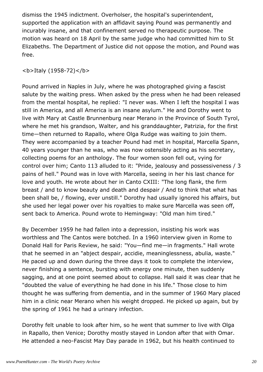dismiss the 1945 indictment. Overholser, the hospital's superintendent, supported the application with an affidavit saying Pound was permanently and incurably insane, and that confinement served no therapeutic purpose. The motion was heard on 18 April by the same judge who had committed him to St Elizabeths. The Department of Justice did not oppose the motion, and Pound was free.

#### <b>Italy (1958-72)</b>

Pound arrived in Naples in July, where he was photographed giving a fascist salute by the waiting press. When asked by the press when he had been released from the mental hospital, he replied: "I never was. When I left the hospital I was still in America, and all America is an insane asylum." He and Dorothy went to live with Mary at Castle Brunnenburg near Merano in the Province of South Tyrol, where he met his grandson, Walter, and his granddaughter, Patrizia, for the first time—then returned to Rapallo, where Olga Rudge was waiting to join them. They were accompanied by a teacher Pound had met in hospital, Marcella Spann, 40 years younger than he was, who was now ostensibly acting as his secretary, collecting poems for an anthology. The four women soon fell out, vying for control over him; Canto 113 alluded to it: "Pride, jealousy and possessiveness / 3 pains of hell." Pound was in love with Marcella, seeing in her his last chance for love and youth. He wrote about her in Canto CXIII: "The long flank, the firm breast / and to know beauty and death and despair / And to think that what has been shall be, / flowing, ever unstill." Dorothy had usually ignored his affairs, but she used her legal power over his royalties to make sure Marcella was seen off, sent back to America. Pound wrote to Hemingway: "Old man him tired."

By December 1959 he had fallen into a depression, insisting his work was worthless and The Cantos were botched. In a 1960 interview given in Rome to Donald Hall for Paris Review, he said: "You—find me—in fragments." Hall wrote that he seemed in an "abject despair, accidie, meaninglessness, abulia, waste." He paced up and down during the three days it took to complete the interview, never finishing a sentence, bursting with energy one minute, then suddenly sagging, and at one point seemed about to collapse. Hall said it was clear that he "doubted the value of everything he had done in his life." Those close to him thought he was suffering from dementia, and in the summer of 1960 Mary placed him in a clinic near Merano when his weight dropped. He picked up again, but by the spring of 1961 he had a urinary infection.

Dorothy felt unable to look after him, so he went that summer to live with Olga in Rapallo, then Venice; Dorothy mostly stayed in London after that with Omar. He attended a neo-Fascist May Day parade in 1962, but his health continued to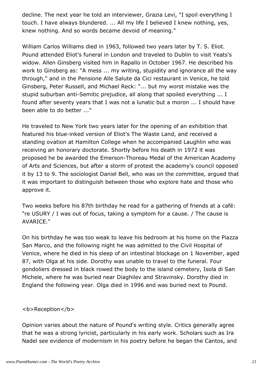decline. The next year he told an interviewer, Grazia Levi, "I spoil everything I touch. I have always blundered. ... All my life I believed I knew nothing, yes, knew nothing. And so words became devoid of meaning."

William Carlos Williams died in 1963, followed two years later by T. S. Eliot. Pound attended Eliot's funeral in London and traveled to Dublin to visit Yeats's widow. Allen Ginsberg visited him in Rapallo in October 1967. He described his work to Ginsberg as: "A mess ... my writing, stupidity and ignorance all the way through," and in the Pensione Alle Salute da Cici restaurant in Venice, he told Ginsberg, Peter Russell, and Michael Reck: "... but my worst mistake was the stupid suburban anti-Semitic prejudice, all along that spoiled everything ... I found after seventy years that I was not a lunatic but a moron ... I should have been able to do better ..."

He traveled to New York two years later for the opening of an exhibition that featured his blue-inked version of Eliot's The Waste Land, and received a standing ovation at Hamilton College when he accompanied Laughlin who was receiving an honorary doctorate. Shortly before his death in 1972 it was proposed he be awarded the Emerson-Thoreau Medal of the American Academy of Arts and Sciences, but after a storm of protest the academy's council opposed it by 13 to 9. The sociologist Daniel Bell, who was on the committee, argued that it was important to distinguish between those who explore hate and those who approve it.

Two weeks before his 87th birthday he read for a gathering of friends at a café: "re USURY / I was out of focus, taking a symptom for a cause. / The cause is AVARICE."

On his birthday he was too weak to leave his bedroom at his home on the Piazza San Marco, and the following night he was admitted to the Civil Hospital of Venice, where he died in his sleep of an intestinal blockage on 1 November, aged 87, with Olga at his side. Dorothy was unable to travel to the funeral. Four gondoliers dressed in black rowed the body to the island cemetery, Isola di San Michele, where he was buried near Diaghilev and Stravinsky. Dorothy died in England the following year. Olga died in 1996 and was buried next to Pound.

#### <b>Reception</b>

Opinion varies about the nature of Pound's writing style. Critics generally agree that he was a strong lyricist, particularly in his early work. Scholars such as Ira Nadel see evidence of modernism in his poetry before he began the Cantos, and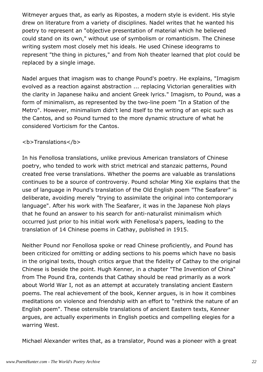Witmeyer argues that, as early as Ripostes, a modern style is evident. His style drew on literature from a variety of disciplines. Nadel writes that he wanted his poetry to represent an "objective presentation of material which he believed could stand on its own," without use of symbolism or romanticism. The Chinese writing system most closely met his ideals. He used Chinese ideograms to represent "the thing in pictures," and from Noh theater learned that plot could be replaced by a single image.

Nadel argues that imagism was to change Pound's poetry. He explains, "Imagism evolved as a reaction against abstraction ... replacing Victorian generalities with the clarity in Japanese haiku and ancient Greek lyrics." Imagism, to Pound, was a form of minimalism, as represented by the two-line poem "In a Station of the Metro". However, minimalism didn't lend itself to the writing of an epic such as the Cantos, and so Pound turned to the more dynamic structure of what he considered Vorticism for the Cantos.

#### <b>Translations</b>

In his Fenollosa translations, unlike previous American translators of Chinese poetry, who tended to work with strict metrical and stanzaic patterns, Pound created free verse translations. Whether the poems are valuable as translations continues to be a source of controversy. Pound scholar Ming Xie explains that the use of language in Pound's translation of the Old English poem "The Seafarer" is deliberate, avoiding merely "trying to assimilate the original into contemporary language". After his work with The Seafarer, it was in the Japanese Noh plays that he found an answer to his search for anti-naturalist minimalism which occurred just prior to his initial work with Fenellosa's papers, leading to the translation of 14 Chinese poems in Cathay, published in 1915.

Neither Pound nor Fenollosa spoke or read Chinese proficiently, and Pound has been criticized for omitting or adding sections to his poems which have no basis in the original texts, though critics argue that the fidelity of Cathay to the original Chinese is beside the point. Hugh Kenner, in a chapter "The Invention of China" from The Pound Era, contends that Cathay should be read primarily as a work about World War I, not as an attempt at accurately translating ancient Eastern poems. The real achievement of the book, Kenner argues, is in how it combines meditations on violence and friendship with an effort to "rethink the nature of an English poem". These ostensible translations of ancient Eastern texts, Kenner argues, are actually experiments in English poetics and compelling elegies for a warring West.

Michael Alexander writes that, as a translator, Pound was a pioneer with a great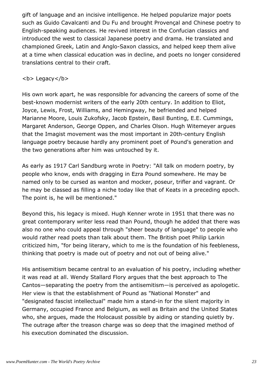gift of language and an incisive intelligence. He helped popularize major poets such as Guido Cavalcanti and Du Fu and brought Provençal and Chinese poetry to English-speaking audiences. He revived interest in the Confucian classics and introduced the west to classical Japanese poetry and drama. He translated and championed Greek, Latin and Anglo-Saxon classics, and helped keep them alive at a time when classical education was in decline, and poets no longer considered translations central to their craft.

#### $$

His own work apart, he was responsible for advancing the careers of some of the best-known modernist writers of the early 20th century. In addition to Eliot, Joyce, Lewis, Frost, Williams, and Hemingway, he befriended and helped Marianne Moore, Louis Zukofsky, Jacob Epstein, Basil Bunting, E.E. Cummings, Margaret Anderson, George Oppen, and Charles Olson. Hugh Witemeyer argues that the Imagist movement was the most important in 20th-century English language poetry because hardly any prominent poet of Pound's generation and the two generations after him was untouched by it.

As early as 1917 Carl Sandburg wrote in Poetry: "All talk on modern poetry, by people who know, ends with dragging in Ezra Pound somewhere. He may be named only to be cursed as wanton and mocker, poseur, trifler and vagrant. Or he may be classed as filling a niche today like that of Keats in a preceding epoch. The point is, he will be mentioned."

Beyond this, his legacy is mixed. Hugh Kenner wrote in 1951 that there was no great contemporary writer less read than Pound, though he added that there was also no one who could appeal through "sheer beauty of language" to people who would rather read poets than talk about them. The British poet Philip Larkin criticized him, "for being literary, which to me is the foundation of his feebleness, thinking that poetry is made out of poetry and not out of being alive."

His antisemitism became central to an evaluation of his poetry, including whether it was read at all. Wendy Stallard Flory argues that the best approach to The Cantos—separating the poetry from the antisemitism—is perceived as apologetic. Her view is that the establishment of Pound as "National Monster" and "designated fascist intellectual" made him a stand-in for the silent majority in Germany, occupied France and Belgium, as well as Britain and the United States who, she argues, made the Holocaust possible by aiding or standing quietly by. The outrage after the treason charge was so deep that the imagined method of his execution dominated the discussion.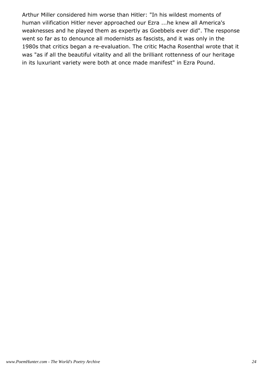Arthur Miller considered him worse than Hitler: "In his wildest moments of human vilification Hitler never approached our Ezra ...he knew all America's weaknesses and he played them as expertly as Goebbels ever did". The response went so far as to denounce all modernists as fascists, and it was only in the 1980s that critics began a re-evaluation. The critic Macha Rosenthal wrote that it was "as if all the beautiful vitality and all the brilliant rottenness of our heritage in its luxuriant variety were both at once made manifest" in Ezra Pound.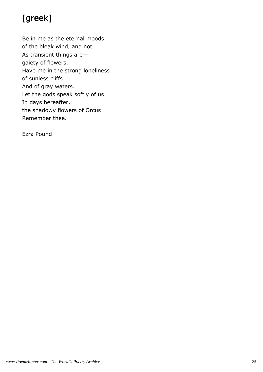# [greek]

Be in me as the eternal moods of the bleak wind, and not As transient things are gaiety of flowers. Have me in the strong loneliness of sunless cliffs And of gray waters. Let the gods speak softly of us In days hereafter, the shadowy flowers of Orcus Remember thee.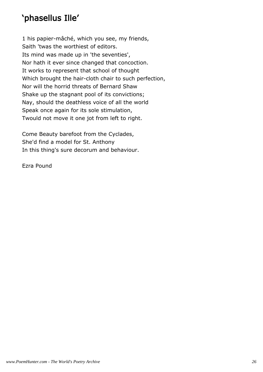## 'phasellus Ille'

1 his papier-mâché, which you see, my friends, Saith 'twas the worthiest of editors. Its mind was made up in 'the seventies', Nor hath it ever since changed that concoction. It works to represent that school of thought Which brought the hair-cloth chair to such perfection, Nor will the horrid threats of Bernard Shaw Shake up the stagnant pool of its convictions; Nay, should the deathless voice of all the world Speak once again for its sole stimulation, Twould not move it one jot from left to right.

Come Beauty barefoot from the Cyclades, She'd find a model for St. Anthony In this thing's sure decorum and behaviour.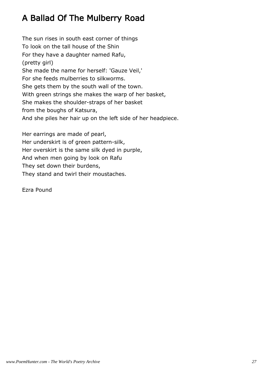# A Ballad Of The Mulberry Road

The sun rises in south east corner of things To look on the tall house of the Shin For they have a daughter named Rafu, (pretty girl) She made the name for herself: 'Gauze Veil,' For she feeds mulberries to silkworms. She gets them by the south wall of the town. With green strings she makes the warp of her basket, She makes the shoulder-straps of her basket from the boughs of Katsura, And she piles her hair up on the left side of her headpiece.

Her earrings are made of pearl, Her underskirt is of green pattern-silk, Her overskirt is the same silk dyed in purple, And when men going by look on Rafu They set down their burdens, They stand and twirl their moustaches.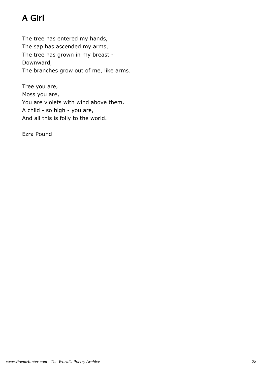# A Girl

The tree has entered my hands, The sap has ascended my arms, The tree has grown in my breast - Downward, The branches grow out of me, like arms.

Tree you are, Moss you are, You are violets with wind above them. A child - so high - you are, And all this is folly to the world.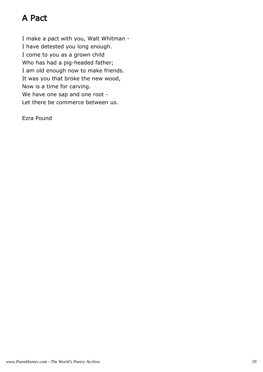# A Pact

I make a pact with you, Walt Whitman - I have detested you long enough. I come to you as a grown child Who has had a pig-headed father; I am old enough now to make friends. It was you that broke the new wood, Now is a time for carving. We have one sap and one root -Let there be commerce between us.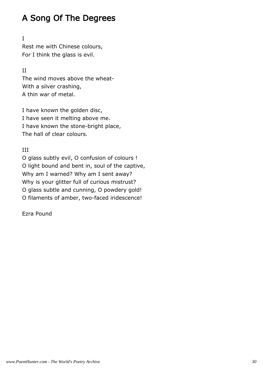# A Song Of The Degrees

#### I

Rest me with Chinese colours, For I think the glass is evil.

#### II

The wind moves above the wheat-With a silver crashing, A thin war of metal.

I have known the golden disc, I have seen it melting above me. I have known the stone-bright place, The hall of clear colours.

#### III

O glass subtly evil, O confusion of colours ! O light bound and bent in, soul of the captive, Why am I warned? Why am I sent away? Why is your glitter full of curious mistrust? O glass subtle and cunning, O powdery gold! O filaments of amber, two-faced iridescence!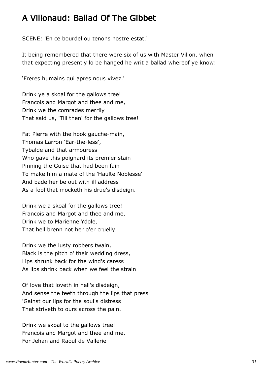### A Villonaud: Ballad Of The Gibbet

SCENE: 'En ce bourdel ou tenons nostre estat.'

It being remembered that there were six of us with Master Villon, when that expecting presently lo be hanged he writ a ballad whereof ye know:

'Freres humains qui apres nous vivez.'

Drink ye a skoal for the gallows tree! Francois and Margot and thee and me, Drink we the comrades merrily That said us, 'Till then' for the gallows tree!

Fat Pierre with the hook gauche-main, Thomas Larron 'Ear-the-less', Tybalde and that armouress Who gave this poignard its premier stain Pinning the Guise that had been fain To make him a mate of the 'Haulte Noblesse' And bade her be out with ill address As a fool that mocketh his drue's disdeign.

Drink we a skoal for the gallows tree! Francois and Margot and thee and me, Drink we to Marienne Ydole, That hell brenn not her o'er cruelly.

Drink we the lusty robbers twain, Black is the pitch o' their wedding dress, Lips shrunk back for the wind's caress As lips shrink back when we feel the strain

Of love that loveth in hell's disdeign, And sense the teeth through the lips that press 'Gainst our lips for the soul's distress That striveth to ours across the pain.

Drink we skoal to the gallows tree! Francois and Margot and thee and me, For Jehan and Raoul de Vallerie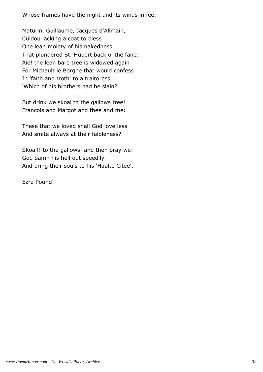Whose frames have the night and its winds in fee.

Maturin, Guillaume, Jacques d'Allmain, Culdou lacking a coat to bless One lean moiety of his nakedness That plundered St. Hubert back o' the fane: Aie! the lean bare tree is widowed again For Michault le Borgne that would confess In 'faith and troth' to a traitoress, 'Which of his brothers had he slain?'

But drink we skoal to the gallows tree! Francois and Margot and thee and me:

These that we loved shall God love less And smite always at their faibleness?

Skoal!! to the gallows! and then pray we: God damn his hell out speedily And bring their souls to his 'Haulte Citee'.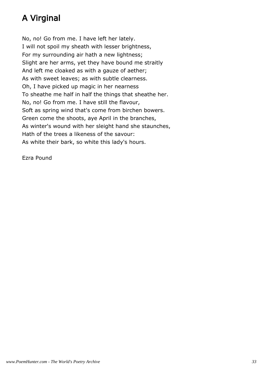# A Virginal

No, no! Go from me. I have left her lately. I will not spoil my sheath with lesser brightness, For my surrounding air hath a new lightness; Slight are her arms, yet they have bound me straitly And left me cloaked as with a gauze of aether; As with sweet leaves; as with subtle clearness. Oh, I have picked up magic in her nearness To sheathe me half in half the things that sheathe her. No, no! Go from me. I have still the flavour, Soft as spring wind that's come from birchen bowers. Green come the shoots, aye April in the branches, As winter's wound with her sleight hand she staunches, Hath of the trees a likeness of the savour: As white their bark, so white this lady's hours.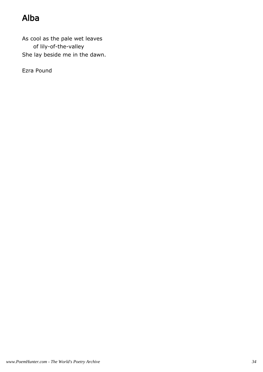# Alba

As cool as the pale wet leaves of lily-of-the-valley She lay beside me in the dawn.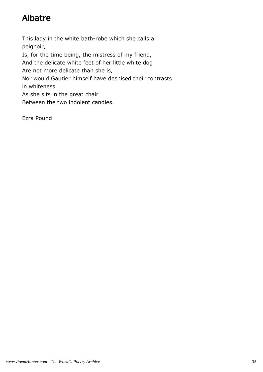# Albatre

This lady in the white bath-robe which she calls a peignoir, Is, for the time being, the mistress of my friend, And the delicate white feet of her little white dog Are not more delicate than she is, Nor would Gautier himself have despised their contrasts in whiteness As she sits in the great chair Between the two indolent candles.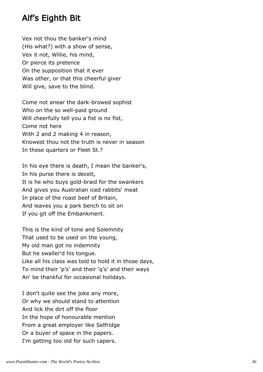## Alf's Eighth Bit

Vex not thou the banker's mind (His what?) with a show of sense, Vex it not, Willie, his mind, Or pierce its pretence On the supposition that it ever Was other, or that this cheerful giver Will give, save to the blind.

Come not anear the dark-browed sophist Who on the so well-paid ground Will cheerfully tell you a fist is no fist, Come not here With 2 and 2 making 4 in reason, Knowest thou not the truth is never in season In these quarters or Fleet St.?

In his eye there is death, I mean the banker's, In his purse there is deceit, It is he who buys gold-braid for the swankers And gives you Australian iced rabbits' meat In place of the roast beef of Britain, And leaves you a park bench to sit on If you git off the Embankment.

This is the kind of tone and Solemnity That used to be used on the young, My old man got no indemnity But he swaller'd his tongue. Like all his class was told to hold it in those days, To mind their 'p's' and their 'q's' and their ways An' be thankful for occasional holidays.

I don't quite see the joke any more, Or why we should stand to attention And lick the dirt off the floor In the hope of honourable mention From a great employer like Selfridge Or a buyer of space in the papers. I'm getting too old for such capers.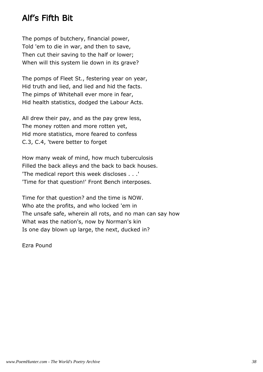## Alf's Fifth Bit

The pomps of butchery, financial power, Told 'em to die in war, and then to save, Then cut their saving to the half or lower; When will this system lie down in its grave?

The pomps of Fleet St., festering year on year, Hid truth and lied, and lied and hid the facts. The pimps of Whitehall ever more in fear, Hid health statistics, dodged the Labour Acts.

All drew their pay, and as the pay grew less, The money rotten and more rotten yet, Hid more statistics, more feared to confess C.3, C.4, 'twere better to forget

How many weak of mind, how much tuberculosis Filled the back alleys and the back to back houses. 'The medical report this week discloses . . .' 'Time for that question!' Front Bench interposes.

Time for that question? and the time is NOW. Who ate the profits, and who locked 'em in The unsafe safe, wherein all rots, and no man can say how What was the nation's, now by Norman's kin Is one day blown up large, the next, ducked in?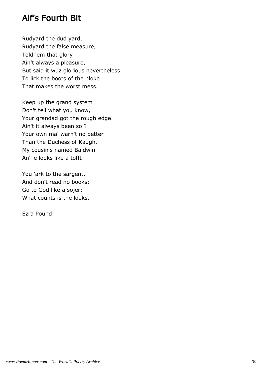## Alf's Fourth Bit

Rudyard the dud yard, Rudyard the false measure, Told 'em that glory Ain't always a pleasure, But said it wuz glorious nevertheless To lick the boots of the bloke That makes the worst mess.

Keep up the grand system Don't tell what you know, Your grandad got the rough edge. Ain't it always been so ? Your own ma' warn't no better Than the Duchess of Kaugh. My cousin's named Baldwin An' 'e looks like a tofft

You 'ark to the sargent, And don't read no books; Go to God like a sojer; What counts is the looks.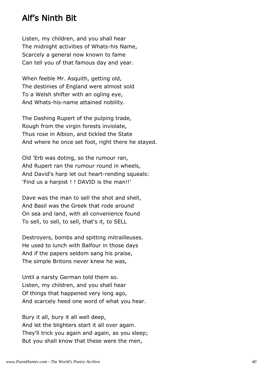### Alf's Ninth Bit

Listen, my children, and you shall hear The midnight activities of Whats-his Name, Scarcely a general now known to fame Can tell you of that famous day and year.

When feeble Mr. Asquith, getting old, The destinies of England were almost sold To a Welsh shifter with an ogling eye, And Whats-his-name attained nobility.

The Dashing Rupert of the pulping trade, Rough from the virgin forests inviolate, Thus rose in Albion, and tickled the State And where he once set foot, right there he stayed.

Old 'Erb was doting, so the rumour ran, Ahd Rupert ran the rumour round in wheels, And David's harp let out heart-rending squeals: 'Find us a harpist ! ! DAVID is the man!!'

Dave was the man to sell the shot and shell, And Basil was the Greek that rode around On sea and land, with all convenience found To sell, to sell, to sell, that's it, to SELL

Destroyers, bombs and spitting mitrailleuses. He used to lunch with Balfour in those days And if the papers seldom sang his praise, The simple Britons never knew he was,

Until a narsty German told them so. Listen, my children, and you shall hear Of things that happened very long ago, And scarcely heed one word of what you hear.

Bury it all, bury it all well deep, And let the blighters start it all over again. They'll trick you again and again, as you sleep; But you shall know that these were the men,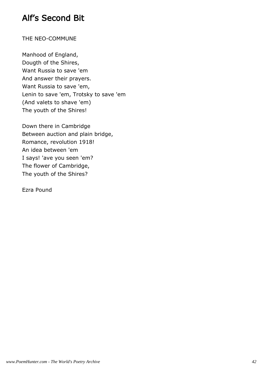## Alf's Second Bit

#### THE NEO-COMMUNE

Manhood of England, Dougth of the Shires, Want Russia to save 'em And answer their prayers. Want Russia to save 'em, Lenin to save 'em, Trotsky to save 'em (And valets to shave 'em) The youth of the Shires!

Down there in Cambridge Between auction and plain bridge, Romance, revolution 1918! An idea between 'em I says! 'ave you seen 'em? The flower of Cambridge, The youth of the Shires?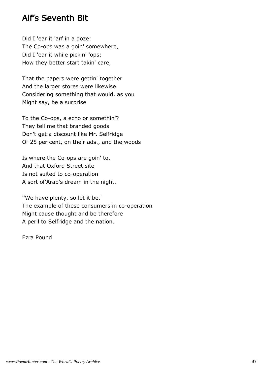#### Alf's Seventh Bit

Did I 'ear it 'arf in a doze: The Co-ops was a goin' somewhere, Did I 'ear it while pickin' 'ops; How they better start takin' care,

That the papers were gettin' together And the larger stores were likewise Considering something that would, as you Might say, be a surprise

To the Co-ops, a echo or somethin'? They tell me that branded goods Don't get a discount like Mr. Selfridge Of 25 per cent, on their ads., and the woods

Is where the Co-ops are goin' to, And that Oxford Street site Is not suited to co-operation A sort of'Arab's dream in the night.

''We have plenty, so let it be.' The example of these consumers in co-operation Might cause thought and be therefore A peril to Selfridge and the nation.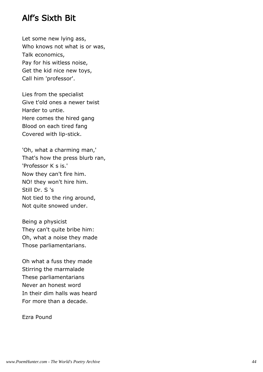## Alf's Sixth Bit

Let some new lying ass, Who knows not what is or was, Talk economics, Pay for his witless noise, Get the kid nice new toys, Call him 'professor'.

Lies from the specialist Give t'old ones a newer twist Harder to untie. Here comes the hired gang Blood on each tired fang Covered with lip-stick.

'Oh, what a charming man,' That's how the press blurb ran, 'Professor K s is.' Now they can't fire him. NO! they won't hire him. Still Dr. S 's Not tied to the ring around, Not quite snowed under.

Being a physicist They can't quite bribe him: Oh, what a noise they made Those parliamentarians.

Oh what a fuss they made Stirring the marmalade These parliamentarians Never an honest word In their dim halls was heard For more than a decade.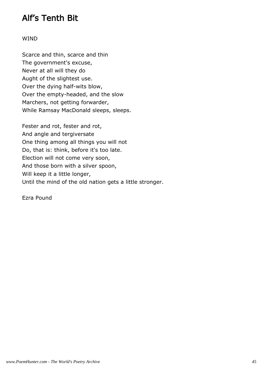## Alf's Tenth Bit

#### WIND

Scarce and thin, scarce and thin The government's excuse, Never at all will they do Aught of the slightest use. Over the dying half-wits blow, Over the empty-headed, and the slow Marchers, not getting forwarder, While Ramsay MacDonald sleeps, sleeps.

Fester and rot, fester and rot, And angle and tergiversate One thing among all things you will not Do, that is: think, before it's too late. Election will not come very soon, And those born with a silver spoon, Will keep it a little longer, Until the mind of the old nation gets a little stronger.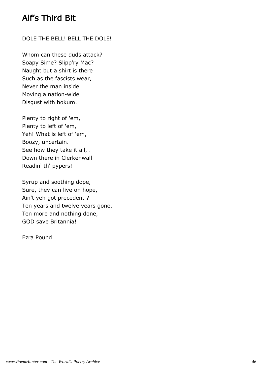## Alf's Third Bit

#### DOLE THE BELL! BELL THE DOLE!

Whom can these duds attack? Soapy Sime? Slipp'ry Mac? Naught but a shirt is there Such as the fascists wear, Never the man inside Moving a nation-wide Disgust with hokum.

Plenty to right of 'em, Plenty to left of 'em, Yeh! What is left of 'em, Boozy, uncertain. See how they take it all, . Down there in Clerkenwall Readin' th' pypers!

Syrup and soothing dope, Sure, they can live on hope, Ain't yeh got precedent ? Ten years and twelve years gone, Ten more and nothing done, GOD save Britannia!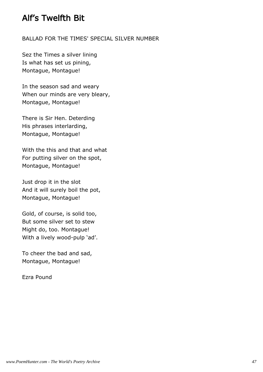## Alf's Twelfth Bit

#### BALLAD FOR THE TIMES' SPECIAL SILVER NUMBER

Sez the Times a silver lining Is what has set us pining, Montague, Montague!

In the season sad and weary When our minds are very bleary, Montague, Montague!

There is Sir Hen. Deterding His phrases interlarding, Montague, Montague!

With the this and that and what For putting silver on the spot, Montague, Montague!

Just drop it in the slot And it will surely boil the pot, Montague, Montague!

Gold, of course, is solid too, But some silver set to stew Might do, too. Montague! With a lively wood-pulp 'ad'.

To cheer the bad and sad, Montague, Montague!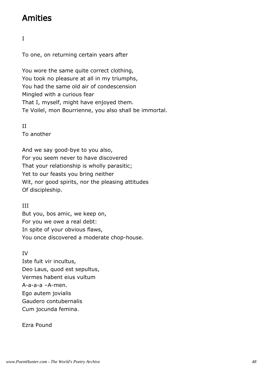## Amities

I

To one, on returning certain years after

You wore the same quite correct clothing, You took no pleasure at all in my triumphs, You had the same old air of condescension Mingled with a curious fear That I, myself, might have enjoyed them. Te Voilel, mon Bourrienne, you also shall be immortal.

II

To another

And we say good-bye to you also, For you seem never to have discovered That your relationship is wholly parasitic; Yet to our feasts you bring neither Wit, nor good spirits, nor the pleasing attitudes Of discipleship.

III

But you, bos amic, we keep on, For you we owe a real debt: In spite of your obvious flaws, You once discovered a moderate chop-house.

IV Iste fuit vir incultus, Deo Laus, quod est sepultus, Vermes habent eius vultum A-a-a-a –A-men. Ego autem jovialis Gaudero contubernalis Cum jocunda femina.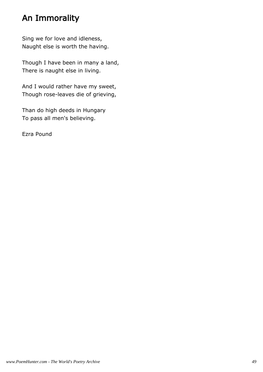## An Immorality

Sing we for love and idleness, Naught else is worth the having.

Though I have been in many a land, There is naught else in living.

And I would rather have my sweet, Though rose-leaves die of grieving,

Than do high deeds in Hungary To pass all men's believing.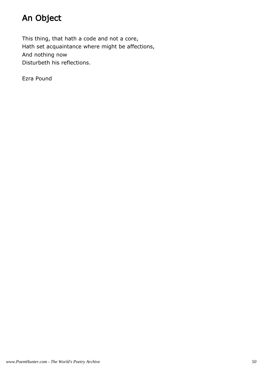## An Object

This thing, that hath a code and not a core, Hath set acquaintance where might be affections, And nothing now Disturbeth his reflections.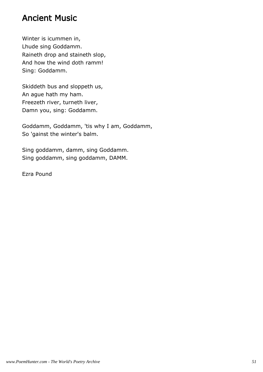## Ancient Music

Winter is icummen in, Lhude sing Goddamm. Raineth drop and staineth slop, And how the wind doth ramm! Sing: Goddamm.

Skiddeth bus and sloppeth us, An ague hath my ham. Freezeth river, turneth liver, Damn you, sing: Goddamm.

Goddamm, Goddamm, 'tis why I am, Goddamm, So 'gainst the winter's balm.

Sing goddamm, damm, sing Goddamm. Sing goddamm, sing goddamm, DAMM.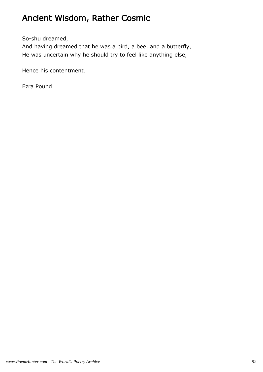## Ancient Wisdom, Rather Cosmic

So-shu dreamed,

And having dreamed that he was a bird, a bee, and a butterfly, He was uncertain why he should try to feel like anything else,

Hence his contentment.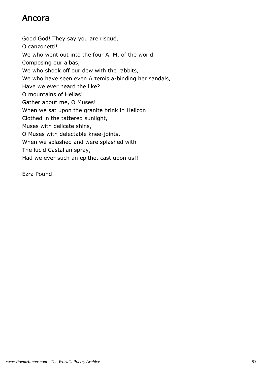## Ancora

Good God! They say you are risqué, O canzonetti! We who went out into the four A. M. of the world Composing our albas, We who shook off our dew with the rabbits, We who have seen even Artemis a-binding her sandals, Have we ever heard the like? O mountains of Hellas!! Gather about me, O Muses! When we sat upon the granite brink in Helicon Clothed in the tattered sunlight, Muses with delicate shins, O Muses with delectable knee-joints, When we splashed and were splashed with The lucid Castalian spray, Had we ever such an epithet cast upon us!!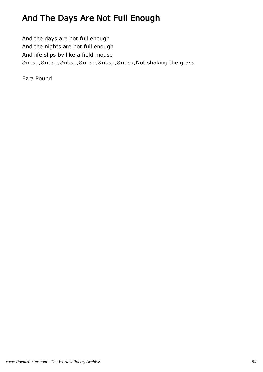## And The Days Are Not Full Enough

And the days are not full enough And the nights are not full enough And life slips by like a field mouse Not shaking the grass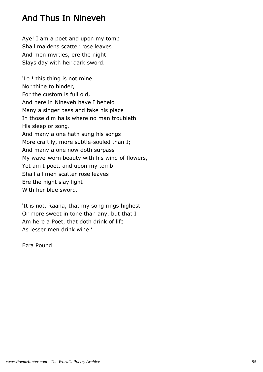## And Thus In Nineveh

Aye! I am a poet and upon my tomb Shall maidens scatter rose leaves And men myrtles, ere the night Slays day with her dark sword.

'Lo ! this thing is not mine Nor thine to hinder, For the custom is full old, And here in Nineveh have I beheld Many a singer pass and take his place In those dim halls where no man troubleth His sleep or song. And many a one hath sung his songs More craftily, more subtle-souled than I; And many a one now doth surpass My wave-worn beauty with his wind of flowers, Yet am I poet, and upon my tomb Shall all men scatter rose leaves Ere the night slay light With her blue sword.

'It is not, Raana, that my song rings highest Or more sweet in tone than any, but that I Am here a Poet, that doth drink of life As lesser men drink wine.'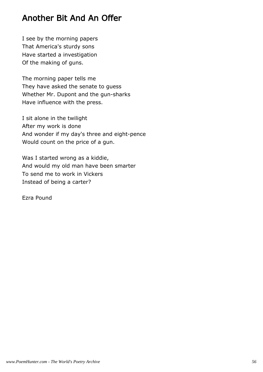## Another Bit And An Offer

I see by the morning papers That America's sturdy sons Have started a investigation Of the making of guns.

The morning paper tells me They have asked the senate to guess Whether Mr. Dupont and the gun-sharks Have influence with the press.

I sit alone in the twilight After my work is done And wonder if my day's three and eight-pence Would count on the price of a gun.

Was I started wrong as a kiddie, And would my old man have been smarter To send me to work in Vickers Instead of being a carter?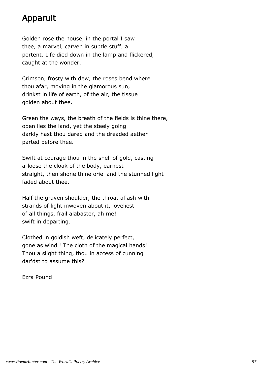## Apparuit

Golden rose the house, in the portal I saw thee, a marvel, carven in subtle stuff, a portent. Life died down in the lamp and flickered, caught at the wonder.

Crimson, frosty with dew, the roses bend where thou afar, moving in the glamorous sun, drinkst in life of earth, of the air, the tissue golden about thee.

Green the ways, the breath of the fields is thine there, open lies the land, yet the steely going darkly hast thou dared and the dreaded aether parted before thee.

Swift at courage thou in the shell of gold, casting a-loose the cloak of the body, earnest straight, then shone thine oriel and the stunned light faded about thee.

Half the graven shoulder, the throat aflash with strands of light inwoven about it, loveliest of all things, frail alabaster, ah me! swift in departing.

Clothed in goldish weft, delicately perfect, gone as wind ! The cloth of the magical hands! Thou a slight thing, thou in access of cunning dar'dst to assume this?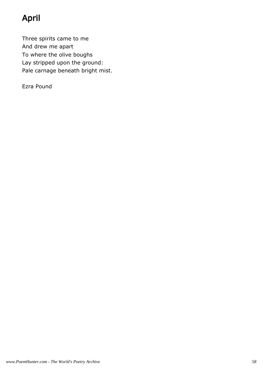## April

Three spirits came to me And drew me apart To where the olive boughs Lay stripped upon the ground: Pale carnage beneath bright mist.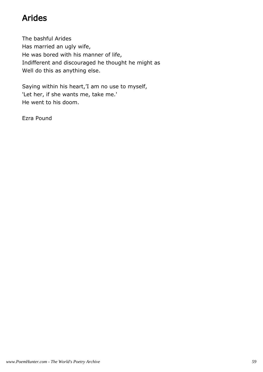## Arides

The bashful Arides Has married an ugly wife, He was bored with his manner of life, Indifferent and discouraged he thought he might as Well do this as anything else.

Saying within his heart,'I am no use to myself, 'Let her, if she wants me, take me.' He went to his doom.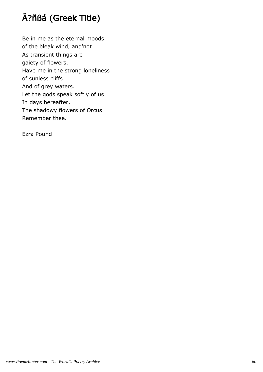# Ä?ñßá (Greek Title)

Be in me as the eternal moods of the bleak wind, and'not As transient things are gaiety of flowers. Have me in the strong loneliness of sunless cliffs And of grey waters. Let the gods speak softly of us In days hereafter, The shadowy flowers of Orcus Remember thee.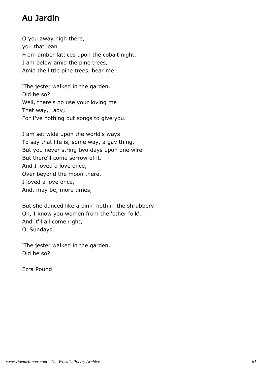## Au Jardin

O you away high there, you that lean From amber lattices upon the cobalt night, I am below amid the pine trees, Amid the little pine trees, hear me!

'The jester walked in the garden.' Did he so? Well, there's no use your loving me That way, Lady; For I've nothing but songs to give you.

I am set wide upon the world's ways To say that life is, some way, a gay thing, But you never string two days upon one wire But there'll come sorrow of it. And I loved a love once, Over beyond the moon there, I loved a love once, And, may be, more times,

But she danced like a pink moth in the shrubbery. Oh, I know you women from the 'other folk', And it'll all come right, O' Sundays.

'The jester walked in the garden.' Did he so?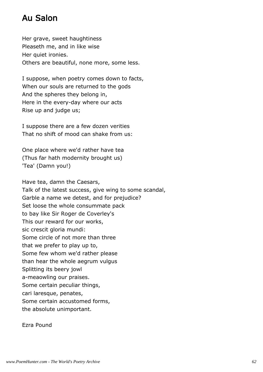## Au Salon

Her grave, sweet haughtiness Pleaseth me, and in like wise Her quiet ironies. Others are beautiful, none more, some less.

I suppose, when poetry comes down to facts, When our souls are returned to the gods And the spheres they belong in, Here in the every-day where our acts Rise up and judge us;

I suppose there are a few dozen verities That no shift of mood can shake from us:

One place where we'd rather have tea (Thus far hath modernity brought us) 'Tea' (Damn you!)

Have tea, damn the Caesars, Talk of the latest success, give wing to some scandal, Garble a name we detest, and for prejudice? Set loose the whole consummate pack to bay like Sir Roger de Coverley's This our reward for our works, sic crescit gloria mundi: Some circle of not more than three that we prefer to play up to, Some few whom we'd rather please than hear the whole aegrum vulgus Splitting its beery jowl a-meaowling our praises. Some certain peculiar things, cari laresque, penates, Some certain accustomed forms, the absolute unimportant.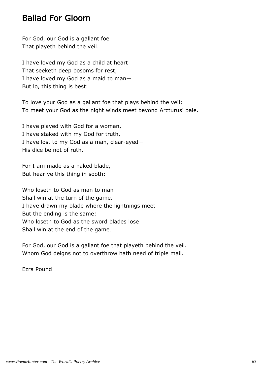#### Ballad For Gloom

For God, our God is a gallant foe That playeth behind the veil.

I have loved my God as a child at heart That seeketh deep bosoms for rest, I have loved my God as a maid to man— But lo, this thing is best:

To love your God as a gallant foe that plays behind the veil; To meet your God as the night winds meet beyond Arcturus' pale.

I have played with God for a woman, I have staked with my God for truth, I have lost to my God as a man, clear-eyed— His dice be not of ruth.

For I am made as a naked blade, But hear ye this thing in sooth:

Who loseth to God as man to man Shall win at the turn of the game. I have drawn my blade where the lightnings meet But the ending is the same: Who loseth to God as the sword blades lose Shall win at the end of the game.

For God, our God is a gallant foe that playeth behind the veil. Whom God deigns not to overthrow hath need of triple mail.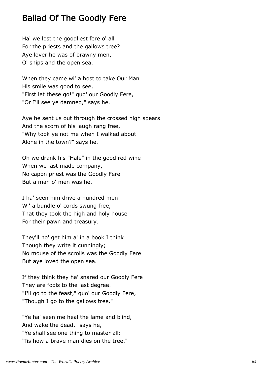### Ballad Of The Goodly Fere

Ha' we lost the goodliest fere o' all For the priests and the gallows tree? Aye lover he was of brawny men, O' ships and the open sea.

When they came wi' a host to take Our Man His smile was good to see, "First let these go!" quo' our Goodly Fere, "Or I'll see ye damned," says he.

Aye he sent us out through the crossed high spears And the scorn of his laugh rang free, "Why took ye not me when I walked about Alone in the town?" says he.

Oh we drank his "Hale" in the good red wine When we last made company, No capon priest was the Goodly Fere But a man o' men was he.

I ha' seen him drive a hundred men Wi' a bundle o' cords swung free, That they took the high and holy house For their pawn and treasury.

They'll no' get him a' in a book I think Though they write it cunningly; No mouse of the scrolls was the Goodly Fere But aye loved the open sea.

If they think they ha' snared our Goodly Fere They are fools to the last degree. "I'll go to the feast," quo' our Goodly Fere, "Though I go to the gallows tree."

"Ye ha' seen me heal the lame and blind, And wake the dead," says he, "Ye shall see one thing to master all: 'Tis how a brave man dies on the tree."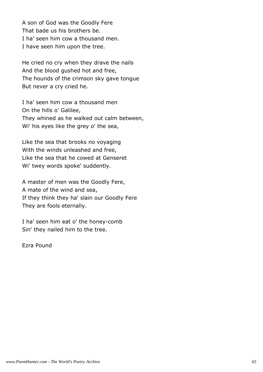A son of God was the Goodly Fere That bade us his brothers be. I ha' seen him cow a thousand men. I have seen him upon the tree.

He cried no cry when they drave the nails And the blood gushed hot and free, The hounds of the crimson sky gave tongue But never a cry cried he.

I ha' seen him cow a thousand men On the hills o' Galilee, They whined as he walked out calm between, Wi' his eyes like the grey o' the sea,

Like the sea that brooks no voyaging With the winds unleashed and free, Like the sea that he cowed at Genseret Wi' twey words spoke' suddently.

A master of men was the Goodly Fere, A mate of the wind and sea, If they think they ha' slain our Goodly Fere They are fools eternally.

I ha' seen him eat o' the honey-comb Sin' they nailed him to the tree.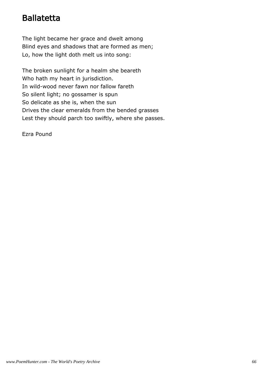## Ballatetta

The light became her grace and dwelt among Blind eyes and shadows that are formed as men; Lo, how the light doth melt us into song:

The broken sunlight for a healm she beareth Who hath my heart in jurisdiction. In wild-wood never fawn nor fallow fareth So silent light; no gossamer is spun So delicate as she is, when the sun Drives the clear emeralds from the bended grasses Lest they should parch too swiftly, where she passes.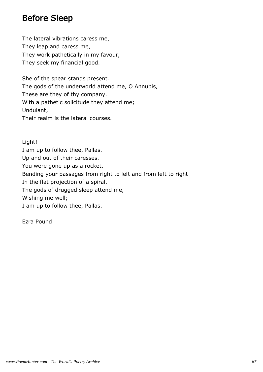## Before Sleep

The lateral vibrations caress me, They leap and caress me, They work pathetically in my favour, They seek my financial good.

She of the spear stands present. The gods of the underworld attend me, O Annubis, These are they of thy company. With a pathetic solicitude they attend me; Undulant, Their realm is the lateral courses.

Light! I am up to follow thee, Pallas. Up and out of their caresses. You were gone up as a rocket, Bending your passages from right to left and from left to right In the flat projection of a spiral. The gods of drugged sleep attend me, Wishing me well; I am up to follow thee, Pallas.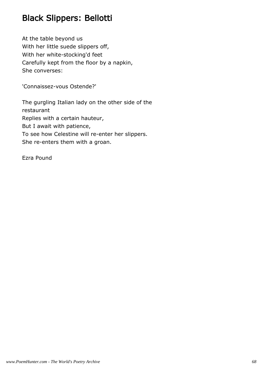## Black Slippers: Bellotti

At the table beyond us With her little suede slippers off, With her white-stocking'd feet Carefully kept from the floor by a napkin, She converses:

'Connaissez-vous Ostende?'

The gurgling Italian lady on the other side of the restaurant Replies with a certain hauteur, But I await with patience, To see how Celestine will re-enter her slippers. She re-enters them with a groan.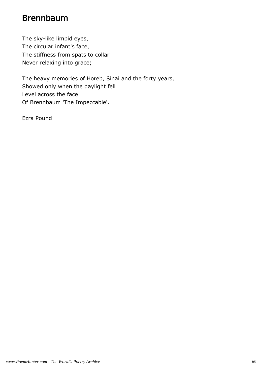## Brennbaum

The sky-like limpid eyes, The circular infant's face, The stiffness from spats to collar Never relaxing into grace;

The heavy memories of Horeb, Sinai and the forty years, Showed only when the daylight fell Level across the face Of Brennbaum 'The Impeccable'.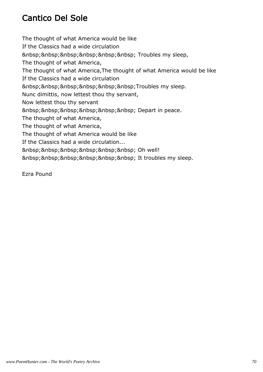## Cantico Del Sole

The thought of what America would be like If the Classics had a wide circulation Troubles my sleep, The thought of what America, The thought of what America,The thought of what America would be like If the Classics had a wide circulation Troubles my sleep. Nunc dimittis, now lettest thou thy servant, Now lettest thou thy servant Depart in peace. The thought of what America, The thought of what America, The thought of what America would be like If the Classics had a wide circulation... Oh well! It troubles my sleep.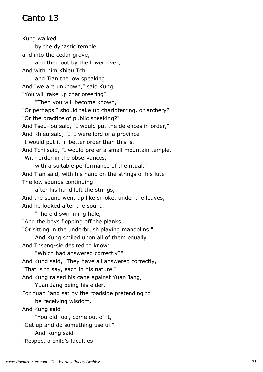## Canto 13

Kung walked by the dynastic temple and into the cedar grove, and then out by the lower river, And with him Khieu Tchi and Tian the low speaking And "we are unknown," said Kung, "You will take up charioteering? "Then you will become known, "Or perhaps I should take up charioterring, or archery? "Or the practice of public speaking?" And Tseu-lou said, "I would put the defences in order," And Khieu said, "If I were lord of a province "I would put it in better order than this is." And Tchi said, "I would prefer a small mountain temple, "With order in the observances, with a suitable performance of the ritual," And Tian said, with his hand on the strings of his lute The low sounds continuing after his hand left the strings, And the sound went up like smoke, under the leaves, And he looked after the sound: "The old swimming hole, "And the boys flopping off the planks, "Or sitting in the underbrush playing mandolins." And Kung smiled upon all of them equally. And Thseng-sie desired to know: "Which had answered correctly?" And Kung said, "They have all answered correctly, "That is to say, each in his nature." And Kung raised his cane against Yuan Jang, Yuan Jang being his elder, For Yuan Jang sat by the roadside pretending to be receiving wisdom. And Kung said "You old fool, come out of it, "Get up and do something useful." And Kung said "Respect a child's faculties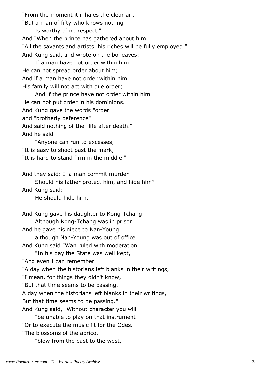"From the moment it inhales the clear air, "But a man of fifty who knows nothng

 Is worthy of no respect." And "When the prince has gathered about him "All the savants and artists, his riches will be fully employed." And Kung said, and wrote on the bo leaves:

 If a man have not order within him He can not spread order about him; And if a man have not order within him His family will not act with due order;

 And if the prince have not order within him He can not put order in his dominions. And Kung gave the words "order" and "brotherly deference" And said nothing of the "life after death." And he said

 "Anyone can run to excesses, "It is easy to shoot past the mark, "It is hard to stand firm in the middle."

And they said: If a man commit murder Should his father protect him, and hide him?

And Kung said:

He should hide him.

And Kung gave his daughter to Kong-Tchang Although Kong-Tchang was in prison. And he gave his niece to Nan-Young although Nan-Young was out of office. And Kung said "Wan ruled with moderation, "In his day the State was well kept, "And even I can remember "A day when the historians left blanks in their writings, "I mean, for things they didn't know, "But that time seems to be passing. A day when the historians left blanks in their writings, But that time seems to be passing." And Kung said, "Without character you will "be unable to play on that instrument

"Or to execute the music fit for the Odes.

"The blossoms of the apricot

"blow from the east to the west,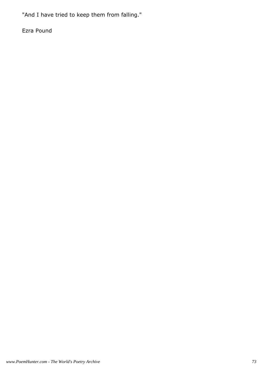"And I have tried to keep them from falling."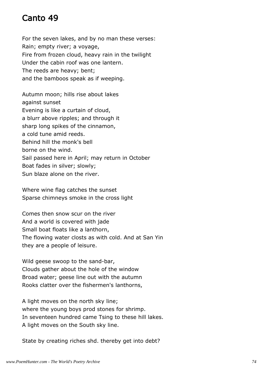### Canto 49

For the seven lakes, and by no man these verses: Rain; empty river; a voyage, Fire from frozen cloud, heavy rain in the twilight Under the cabin roof was one lantern. The reeds are heavy; bent; and the bamboos speak as if weeping.

Autumn moon; hills rise about lakes against sunset Evening is like a curtain of cloud, a blurr above ripples; and through it sharp long spikes of the cinnamon, a cold tune amid reeds. Behind hill the monk's bell borne on the wind. Sail passed here in April; may return in October Boat fades in silver; slowly; Sun blaze alone on the river.

Where wine flag catches the sunset Sparse chimneys smoke in the cross light

Comes then snow scur on the river And a world is covered with jade Small boat floats like a lanthorn, The flowing water closts as with cold. And at San Yin they are a people of leisure.

Wild geese swoop to the sand-bar, Clouds gather about the hole of the window Broad water; geese line out with the autumn Rooks clatter over the fishermen's lanthorns,

A light moves on the north sky line; where the young boys prod stones for shrimp. In seventeen hundred came Tsing to these hill lakes. A light moves on the South sky line.

State by creating riches shd. thereby get into debt?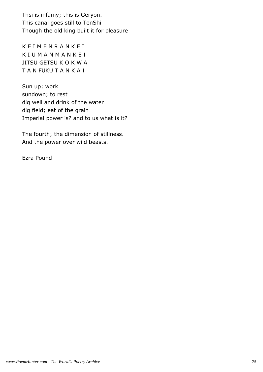Thsi is infamy; this is Geryon. This canal goes still to TenShi Though the old king built it for pleasure

K E I M E N R A N K E I K I U M A N M A N K E I JITSU GETSU K O K W A T A N FUKU T A N K A I

Sun up; work sundown; to rest dig well and drink of the water dig field; eat of the grain Imperial power is? and to us what is it?

The fourth; the dimension of stillness. And the power over wild beasts.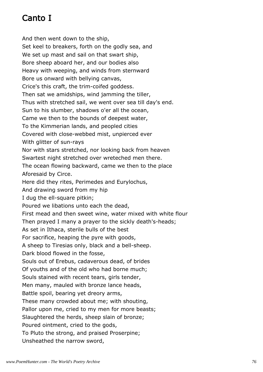## Canto I

And then went down to the ship, Set keel to breakers, forth on the godly sea, and We set up mast and sail on that swart ship, Bore sheep aboard her, and our bodies also Heavy with weeping, and winds from sternward Bore us onward with bellying canvas, Crice's this craft, the trim-coifed goddess. Then sat we amidships, wind jamming the tiller, Thus with stretched sail, we went over sea till day's end. Sun to his slumber, shadows o'er all the ocean, Came we then to the bounds of deepest water, To the Kimmerian lands, and peopled cities Covered with close-webbed mist, unpierced ever With glitter of sun-rays Nor with stars stretched, nor looking back from heaven Swartest night stretched over wreteched men there. The ocean flowing backward, came we then to the place Aforesaid by Circe. Here did they rites, Perimedes and Eurylochus, And drawing sword from my hip I dug the ell-square pitkin; Poured we libations unto each the dead, First mead and then sweet wine, water mixed with white flour Then prayed I many a prayer to the sickly death's-heads; As set in Ithaca, sterile bulls of the best For sacrifice, heaping the pyre with goods, A sheep to Tiresias only, black and a bell-sheep. Dark blood flowed in the fosse, Souls out of Erebus, cadaverous dead, of brides Of youths and of the old who had borne much; Souls stained with recent tears, girls tender, Men many, mauled with bronze lance heads, Battle spoil, bearing yet dreory arms, These many crowded about me; with shouting, Pallor upon me, cried to my men for more beasts; Slaughtered the herds, sheep slain of bronze; Poured ointment, cried to the gods, To Pluto the strong, and praised Proserpine; Unsheathed the narrow sword,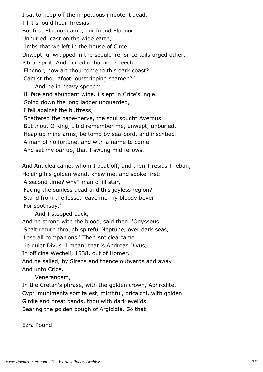I sat to keep off the impetuous impotent dead, Till I should hear Tiresias. But first Elpenor came, our friend Elpenor, Unburied, cast on the wide earth, Limbs that we left in the house of Circe, Unwept, unwrapped in the sepulchre, since toils urged other. Pitiful spirit. And I cried in hurried speech: 'Elpenor, how art thou come to this dark coast? 'Cam'st thou afoot, outstripping seamen? ' And he in heavy speech: 'Ill fate and abundant wine. I slept in Crice's ingle. 'Going down the long ladder unguarded, 'I fell against the buttress, 'Shattered the nape-nerve, the soul sought Avernus. 'But thou, O King, I bid remember me, unwept, unburied, 'Heap up mine arms, be tomb by sea-bord, and inscribed: 'A man of no fortune, and with a name to come. 'And set my oar up, that I swung mid fellows.'

And Anticlea came, whom I beat off, and then Tiresias Theban, Holding his golden wand, knew me, and spoke first: 'A second time? why? man of ill star, 'Facing the sunless dead and this joyless region? 'Stand from the fosse, leave me my bloody bever 'For soothsay.'

And I stepped back,

And he strong with the blood, said then: 'Odysseus 'Shalt return through spiteful Neptune, over dark seas, 'Lose all companions.' Then Anticlea came. Lie quiet Divus. I mean, that is Andreas Divus, In officina Wecheli, 1538, out of Homer. And he sailed, by Sirens and thence outwards and away And unto Crice.

Venerandam,

In the Cretan's phrase, with the golden crown, Aphrodite, Cypri munimenta sortita est, mirthful, oricalchi, with golden Girdle and breat bands, thou with dark eyelids Bearing the golden bough of Argicidia. So that: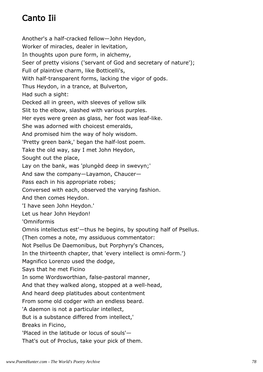# Canto Iii

Another's a half-cracked fellow—John Heydon, Worker of miracles, dealer in levitation, In thoughts upon pure form, in alchemy, Seer of pretty visions ('servant of God and secretary of nature'); Full of plaintive charm, like Botticelli's, With half-transparent forms, lacking the vigor of gods. Thus Heydon, in a trance, at Bulverton, Had such a sight: Decked all in green, with sleeves of yellow silk Slit to the elbow, slashed with various purples. Her eyes were green as glass, her foot was leaf-like. She was adorned with choicest emeralds, And promised him the way of holy wisdom. 'Pretty green bank,' began the half-lost poem. Take the old way, say I met John Heydon, Sought out the place, Lay on the bank, was 'plungèd deep in swevyn;' And saw the company—Layamon, Chaucer— Pass each in his appropriate robes; Conversed with each, observed the varying fashion. And then comes Heydon. 'I have seen John Heydon.' Let us hear John Heydon! 'Omniformis Omnis intellectus est'—thus he begins, by spouting half of Psellus. (Then comes a note, my assiduous commentator: Not Psellus De Daemonibus, but Porphyry's Chances, In the thirteenth chapter, that 'every intellect is omni-form.') Magnifico Lorenzo used the dodge, Says that he met Ficino In some Wordsworthian, false-pastoral manner, And that they walked along, stopped at a well-head, And heard deep platitudes about contentment From some old codger with an endless beard. 'A daemon is not a particular intellect, But is a substance differed from intellect,' Breaks in Ficino, 'Placed in the latitude or locus of souls'— That's out of Proclus, take your pick of them.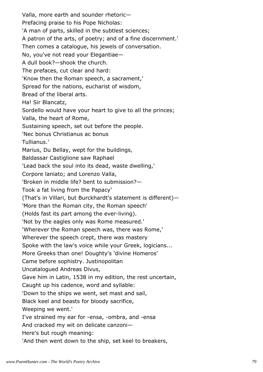Valla, more earth and sounder rhetoric— Prefacing praise to his Pope Nicholas: 'A man of parts, skilled in the subtlest sciences; A patron of the arts, of poetry; and of a fine discernment.' Then comes a catalogue, his jewels of conversation. No, you've not read your Elegantiae— A dull book?—shook the church. The prefaces, cut clear and hard: 'Know then the Roman speech, a sacrament,' Spread for the nations, eucharist of wisdom, Bread of the liberal arts. Ha! Sir Blancatz, Sordello would have your heart to give to all the princes; Valla, the heart of Rome, Sustaining speech, set out before the people. 'Nec bonus Christianus ac bonus Tullianus.' Marius, Du Bellay, wept for the buildings, Baldassar Castiglione saw Raphael 'Lead back the soul into its dead, waste dwelling,' Corpore laniato; and Lorenzo Valla, 'Broken in middle life? bent to submission?— Took a fat living from the Papacy' (That's in Villari, but Burckhardt's statement is different)— 'More than the Roman city, the Roman speech' (Holds fast its part among the ever-living). 'Not by the eagles only was Rome measured.' 'Wherever the Roman speech was, there was Rome,' Wherever the speech crept, there was mastery Spoke with the law's voice while your Greek, logicians... More Greeks than one! Doughty's 'divine Homeros' Came before sophistry. Justinopolitan Uncatalogued Andreas Divus, Gave him in Latin, 1538 in my edition, the rest uncertain, Caught up his cadence, word and syllable: 'Down to the ships we went, set mast and sail, Black keel and beasts for bloody sacrifice, Weeping we went.' I've strained my ear for -ensa, -ombra, and -ensa And cracked my wit on delicate canzoni— Here's but rough meaning: 'And then went down to the ship, set keel to breakers,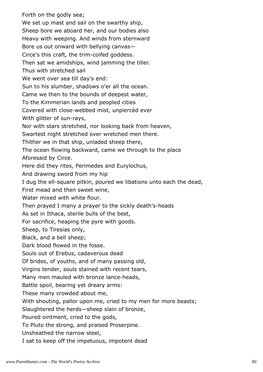Forth on the godly sea; We set up mast and sail on the swarthy ship, Sheep bore we aboard her, and our bodies also Heavy with weeping. And winds from sternward Bore us out onward with bellying canvas— Circe's this craft, the trim-coifed goddess. Then sat we amidships, wind jamming the tiller. Thus with stretched sail We went over sea till day's end: Sun to his slumber, shadows o'er all the ocean. Came we then to the bounds of deepest water, To the Kimmerian lands and peopled cities Covered with close-webbed mist, unpiercèd ever With glitter of sun-rays, Nor with stars stretched, nor looking back from heaven, Swartest night stretched over wretched men there. Thither we in that ship, unladed sheep there, The ocean flowing backward, came we through to the place Aforesaid by Circe. Here did they rites, Perimedes and Eurylochus, And drawing sword from my hip I dug the ell-square pitkin, poured we libations unto each the dead, First mead and then sweet wine, Water mixed with white flour. Then prayed I many a prayer to the sickly death's-heads As set in Ithaca, sterile bulls of the best, For sacrifice, heaping the pyre with goods. Sheep, to Tiresias only, Black, and a bell sheep; Dark blood flowed in the fosse. Souls out of Erebus, cadaverous dead Of brides, of youths, and of many passing old, Virgins tender, souls stained with recent tears, Many men mauled with bronze lance-heads, Battle spoil, bearing yet dreary arms: These many crowded about me, With shouting, pallor upon me, cried to my men for more beasts; Slaughtered the herds—sheep slain of bronze, Poured ointment, cried to the gods, To Pluto the strong, and praised Proserpine. Unsheathed the narrow steel, I sat to keep off the impetuous, impotent dead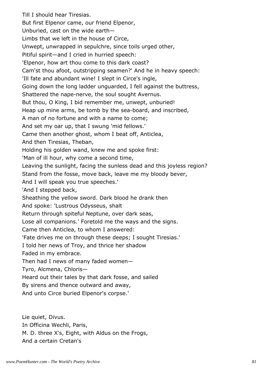Till I should hear Tiresias. But first Elpenor came, our friend Elpenor, Unburied, cast on the wide earth— Limbs that we left in the house of Circe, Unwept, unwrapped in sepulchre, since toils urged other, Pitiful spirit—and I cried in hurried speech: 'Elpenor, how art thou come to this dark coast? Cam'st thou afoot, outstripping seamen?' And he in heavy speech: 'Ill fate and abundant wine! I slept in Circe's ingle, Going down the long ladder unguarded, I fell against the buttress, Shattered the nape-nerve, the soul sought Avernus. But thou, O King, I bid remember me, unwept, unburied! Heap up mine arms, be tomb by the sea-board, and inscribed, A man of no fortune and with a name to come; And set my oar up, that I swung 'mid fellows.' Came then another ghost, whom I beat off, Anticlea, And then Tiresias, Theban, Holding his golden wand, knew me and spoke first: 'Man of ill hour, why come a second time, Leaving the sunlight, facing the sunless dead and this joyless region? Stand from the fosse, move back, leave me my bloody bever, And I will speak you true speeches.' 'And I stepped back, Sheathing the yellow sword. Dark blood he drank then And spoke: 'Lustrous Odysseus, shalt Return through spiteful Neptune, over dark seas, Lose all companions.' Foretold me the ways and the signs. Came then Anticlea, to whom I answered: 'Fate drives me on through these deeps; I sought Tiresias.' I told her news of Troy, and thrice her shadow Faded in my embrace. Then had I news of many faded women— Tyro, Alcmena, Chloris— Heard out their tales by that dark fosse, and sailed By sirens and thence outward and away, And unto Circe buried Elpenor's corpse.'

Lie quiet, Divus. In Officina Wechli, Paris, M. D. three X's, Eight, with Aldus on the Frogs, And a certain Cretan's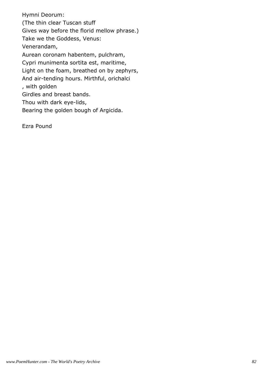Hymni Deorum: (The thin clear Tuscan stuff Gives way before the florid mellow phrase.) Take we the Goddess, Venus: Venerandam, Aurean coronam habentem, pulchram, Cypri munimenta sortita est, maritime, Light on the foam, breathed on by zephyrs, And air-tending hours. Mirthful, orichalci , with golden Girdles and breast bands. Thou with dark eye-lids, Bearing the golden bough of Argicida.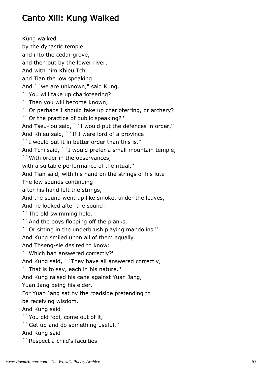### Canto Xiii: Kung Walked

Kung walked by the dynastic temple and into the cedar grove, and then out by the lower river, And with him Khieu Tchi and Tian the low speaking And ``we are unknown," said Kung, ``You will take up charioteering? ``Then you will become known, ``Or perhaps I should take up charioterring, or archery? ``Or the practice of public speaking?'' And Tseu-lou said, ``I would put the defences in order,'' And Khieu said, ``If I were lord of a province ``I would put it in better order than this is.'' And Tchi said, ``I would prefer a small mountain temple, ``With order in the observances, with a suitable performance of the ritual," And Tian said, with his hand on the strings of his lute The low sounds continuing after his hand left the strings, And the sound went up like smoke, under the leaves, And he looked after the sound: ``The old swimming hole, ``And the boys flopping off the planks, ``Or sitting in the underbrush playing mandolins.'' And Kung smiled upon all of them equally. And Thseng-sie desired to know: ``Which had answered correctly?'' And Kung said, ``They have all answered correctly, ``That is to say, each in his nature.'' And Kung raised his cane against Yuan Jang, Yuan Jang being his elder, For Yuan Jang sat by the roadside pretending to be receiving wisdom. And Kung said ``You old fool, come out of it, ``Get up and do something useful.'' And Kung said ``Respect a child's faculties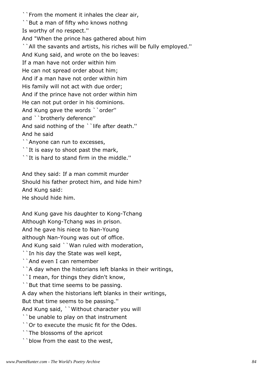``From the moment it inhales the clear air, ``But a man of fifty who knows nothng Is worthy of no respect.'' And "When the prince has gathered about him ``All the savants and artists, his riches will be fully employed.'' And Kung said, and wrote on the bo leaves: If a man have not order within him He can not spread order about him; And if a man have not order within him His family will not act with due order; And if the prince have not order within him He can not put order in his dominions. And Kung gave the words ``order'' and ``brotherly deference'' And said nothing of the ``life after death.'' And he said ``Anyone can run to excesses, ``It is easy to shoot past the mark,

``It is hard to stand firm in the middle.''

And they said: If a man commit murder Should his father protect him, and hide him? And Kung said: He should hide him.

And Kung gave his daughter to Kong-Tchang Although Kong-Tchang was in prison. And he gave his niece to Nan-Young although Nan-Young was out of office. And Kung said ``Wan ruled with moderation, ``In his day the State was well kept, ``And even I can remember ``A day when the historians left blanks in their writings, ``I mean, for things they didn't know, ``But that time seems to be passing. A day when the historians left blanks in their writings,

But that time seems to be passing.''

And Kung said, ``Without character you will

``be unable to play on that instrument

``Or to execute the music fit for the Odes.

``The blossoms of the apricot

``blow from the east to the west,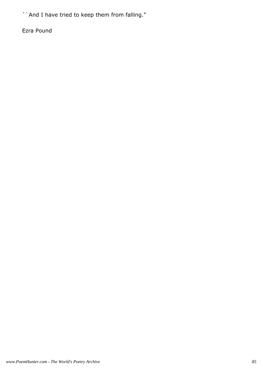``And I have tried to keep them from falling."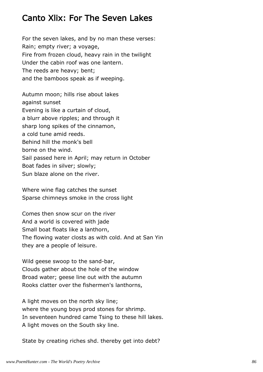#### Canto Xlix: For The Seven Lakes

For the seven lakes, and by no man these verses: Rain; empty river; a voyage, Fire from frozen cloud, heavy rain in the twilight Under the cabin roof was one lantern. The reeds are heavy; bent; and the bamboos speak as if weeping.

Autumn moon; hills rise about lakes against sunset Evening is like a curtain of cloud, a blurr above ripples; and through it sharp long spikes of the cinnamon, a cold tune amid reeds. Behind hill the monk's bell borne on the wind. Sail passed here in April; may return in October Boat fades in silver; slowly; Sun blaze alone on the river.

Where wine flag catches the sunset Sparse chimneys smoke in the cross light

Comes then snow scur on the river And a world is covered with jade Small boat floats like a lanthorn, The flowing water closts as with cold. And at San Yin they are a people of leisure.

Wild geese swoop to the sand-bar, Clouds gather about the hole of the window Broad water; geese line out with the autumn Rooks clatter over the fishermen's lanthorns,

A light moves on the north sky line; where the young boys prod stones for shrimp. In seventeen hundred came Tsing to these hill lakes. A light moves on the South sky line.

State by creating riches shd. thereby get into debt?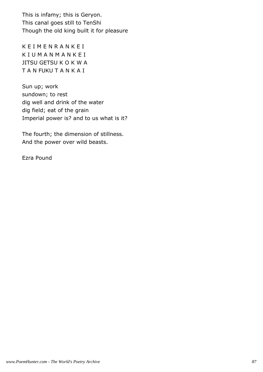This is infamy; this is Geryon. This canal goes still to TenShi Though the old king built it for pleasure

K E I M E N R A N K E I K I U M A N M A N K E I JITSU GETSU K O K W A T A N FUKU T A N K A I

Sun up; work sundown; to rest dig well and drink of the water dig field; eat of the grain Imperial power is? and to us what is it?

The fourth; the dimension of stillness. And the power over wild beasts.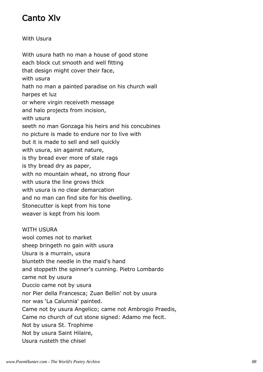### Canto Xlv

#### With Usura

With usura hath no man a house of good stone each block cut smooth and well fitting that design might cover their face, with usura hath no man a painted paradise on his church wall harpes et luz or where virgin receiveth message and halo projects from incision, with usura seeth no man Gonzaga his heirs and his concubines no picture is made to endure nor to live with but it is made to sell and sell quickly with usura, sin against nature, is thy bread ever more of stale rags is thy bread dry as paper, with no mountain wheat, no strong flour with usura the line grows thick with usura is no clear demarcation and no man can find site for his dwelling. Stonecutter is kept from his tone weaver is kept from his loom WITH USURA

wool comes not to market sheep bringeth no gain with usura Usura is a murrain, usura blunteth the needle in the maid's hand and stoppeth the spinner's cunning. Pietro Lombardo came not by usura Duccio came not by usura nor Pier della Francesca; Zuan Bellin' not by usura nor was 'La Calunnia' painted. Came not by usura Angelico; came not Ambrogio Praedis, Came no church of cut stone signed: Adamo me fecit. Not by usura St. Trophime Not by usura Saint Hilaire, Usura rusteth the chisel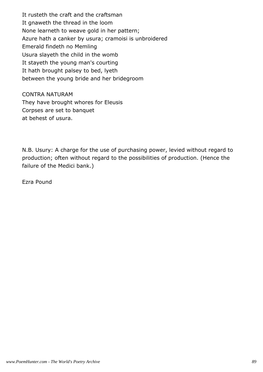It rusteth the craft and the craftsman It gnaweth the thread in the loom None learneth to weave gold in her pattern; Azure hath a canker by usura; cramoisi is unbroidered Emerald findeth no Memling Usura slayeth the child in the womb It stayeth the young man's courting It hath brought palsey to bed, lyeth between the young bride and her bridegroom

CONTRA NATURAM They have brought whores for Eleusis Corpses are set to banquet at behest of usura.

N.B. Usury: A charge for the use of purchasing power, levied without regard to production; often without regard to the possibilities of production. (Hence the failure of the Medici bank.)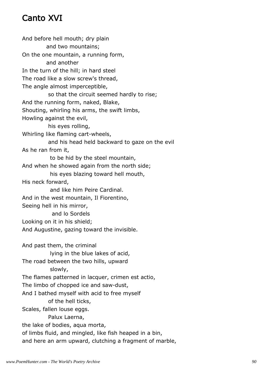## Canto XVI

And before hell mouth; dry plain and two mountains; On the one mountain, a running form, and another In the turn of the hill; in hard steel The road like a slow screw's thread, The angle almost imperceptible, so that the circuit seemed hardly to rise; And the running form, naked, Blake, Shouting, whirling his arms, the swift limbs, Howling against the evil, his eyes rolling, Whirling like flaming cart-wheels, and his head held backward to gaze on the evil As he ran from it, to be hid by the steel mountain, And when he showed again from the north side; his eyes blazing toward hell mouth, His neck forward, and like him Peire Cardinal. And in the west mountain, Il Fiorentino, Seeing hell in his mirror, and lo Sordels Looking on it in his shield; And Augustine, gazing toward the invisible. And past them, the criminal lying in the blue lakes of acid, The road between the two hills, upward slowly, The flames patterned in lacquer, crimen est actio, The limbo of chopped ice and saw-dust, And I bathed myself with acid to free myself of the hell ticks, Scales, fallen louse eggs. Palux Laerna, the lake of bodies, aqua morta, of limbs fluid, and mingled, like fish heaped in a bin, and here an arm upward, clutching a fragment of marble,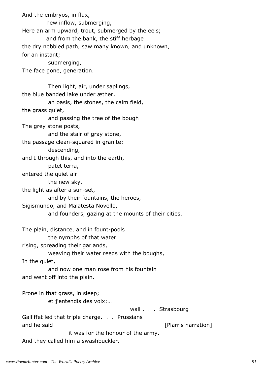And the embryos, in flux, new inflow, submerging, Here an arm upward, trout, submerged by the eels; and from the bank, the stiff herbage the dry nobbled path, saw many known, and unknown, for an instant; submerging, The face gone, generation. Then light, air, under saplings, the blue banded lake under æther, an oasis, the stones, the calm field, the grass quiet, and passing the tree of the bough The grey stone posts, and the stair of gray stone, the passage clean-squared in granite: descending, and I through this, and into the earth, patet terra, entered the quiet air the new sky, the light as after a sun-set, and by their fountains, the heroes, Sigismundo, and Malatesta Novello, and founders, gazing at the mounts of their cities. The plain, distance, and in fount-pools the nymphs of that water rising, spreading their garlands, weaving their water reeds with the boughs, In the quiet, and now one man rose from his fountain and went off into the plain. Prone in that grass, in sleep; et j'entendis des voix:… wall . . . Strasbourg Galliffet led that triple charge. . . Prussians and he said [Plarr's narration] it was for the honour of the army. And they called him a swashbuckler.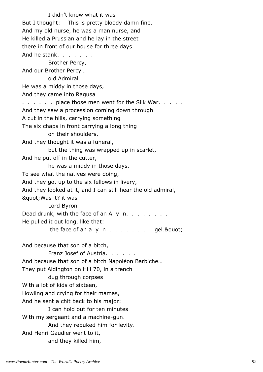I didn't know what it was But I thought: This is pretty bloody damn fine. And my old nurse, he was a man nurse, and He killed a Prussian and he lay in the street there in front of our house for three days And he stank. . . . . . . Brother Percy, And our Brother Percy… old Admiral He was a middy in those days, And they came into Ragusa . . . . . . place those men went for the Silk War. . . . . And they saw a procession coming down through A cut in the hills, carrying something The six chaps in front carrying a long thing on their shoulders, And they thought it was a funeral, but the thing was wrapped up in scarlet, And he put off in the cutter, he was a middy in those days, To see what the natives were doing, And they got up to the six fellows in livery, And they looked at it, and I can still hear the old admiral, " Was it? it was Lord Byron Dead drunk, with the face of an A  $y$  n. . . . . . . . He pulled it out long, like that: the face of an  $a \vee n$ . . . . . . . . . gel. & quot; And because that son of a bitch, Franz Josef of Austria. . . . . . And because that son of a bitch Napoléon Barbiche… They put Aldington on Hill 70, in a trench dug through corpses With a lot of kids of sixteen, Howling and crying for their mamas, And he sent a chit back to his major: I can hold out for ten minutes With my sergeant and a machine-gun. And they rebuked him for levity. And Henri Gaudier went to it, and they killed him,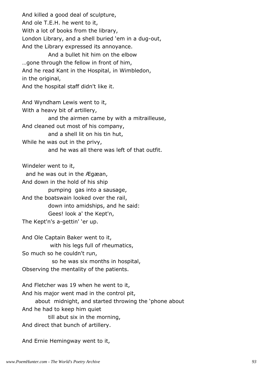And killed a good deal of sculpture, And ole T.E.H. he went to it, With a lot of books from the library, London Library, and a shell buried 'em in a dug-out, And the Library expressed its annoyance. And a bullet hit him on the elbow …gone through the fellow in front of him, And he read Kant in the Hospital, in Wimbledon, in the original, And the hospital staff didn't like it. And Wyndham Lewis went to it, With a heavy bit of artillery, and the airmen came by with a mitrailleuse, And cleaned out most of his company, and a shell lit on his tin hut, While he was out in the privy,

and he was all there was left of that outfit.

Windeler went to it,

 and he was out in the Ægæan, And down in the hold of his ship pumping gas into a sausage, And the boatswain looked over the rail, down into amidships, and he said: Gees! look a' the Kept'n,

The Kept'n's a-gettin' 'er up.

And Ole Captain Baker went to it, with his legs full of rheumatics, So much so he couldn't run, so he was six months in hospital,

Observing the mentality of the patients.

And Fletcher was 19 when he went to it,

And his major went mad in the control pit,

about midnight, and started throwing the 'phone about

And he had to keep him quiet

till abut six in the morning,

And direct that bunch of artillery.

And Ernie Hemingway went to it,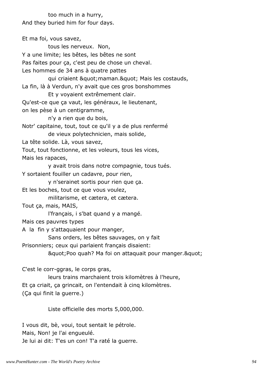too much in a hurry, And they buried him for four days.

Et ma foi, vous savez, tous les nerveux. Non, Y a une limite; les bêtes, les bêtes ne sont Pas faites pour ça, c'est peu de chose un cheval. Les hommes de 34 ans à quatre pattes qui criaient & quot; maman. & quot; Mais les costauds, La fin, là à Verdun, n'y avait que ces gros bonshommes Et y voyaient extrêmement clair. Qu'est-ce que ça vaut, les généraux, le lieutenant, on les pèse à un centigramme, n'y a rien que du bois, Notr' capitaine, tout, tout ce qu'il y a de plus renfermé de vieux polytechnicien, mais solide, La tête solide. Là, vous savez, Tout, tout fonctionne, et les voleurs, tous les vices, Mais les rapaces, y avait trois dans notre compagnie, tous tués. Y sortaient fouiller un cadavre, pour rien, y n'serainet sortis pour rien que ça. Et les boches, tout ce que vous voulez, militarisme, et cætera, et cætera. Tout ça, mais, MAIS, l'français, i s'bat quand y a mangé. Mais ces pauvres types A la fin y s'attaquaient pour manger, Sans orders, les bêtes sauvages, on y fait Prisonniers; ceux qui parlaient français disaient: & quot; Poo quah? Ma foi on attaquait pour manger. & quot; C'est le corr-ggras, le corps gras, leurs trains marchaient trois kilomètres à l'heure,

Et ça criait, ça grincait, on l'entendait à cinq kilomètres. (Ça qui finit la guerre.)

Liste officielle des morts 5,000,000.

I vous dit, bè, voui, tout sentait le pétrole. Mais, Non! je l'ai engueulé. Je lui ai dit: T'es un con! T'a raté la guerre.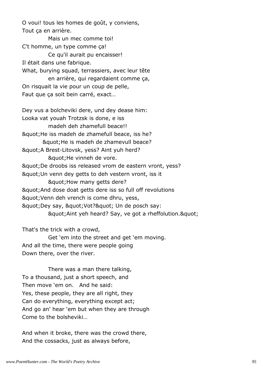O voui! tous les homes de goût, y conviens, Tout ça en arrière. Mais un mec comme toi! C't homme, un type comme ça! Ce qu'il aurait pu encaisser! Il était dans une fabrique. What, burying squad, terrassiers, avec leur tête en arrière, qui regardaient comme ça, On risquait la vie pour un coup de pelle, Faut que ça soit bein carré, exact… Dey vus a bolcheviki dere, und dey dease him: Looka vat youah Trotzsk is done, e iss

 madeh deh zhamefull beace!! & quot; He iss madeh de zhamefull beace, iss he? " He is madeh de zhamevull beace? & quot; A Brest-Litovsk, yess? Aint yuh herd? & quot; He vinneh de vore. " De droobs iss released vrom de eastern vront, yess? & quot; Un venn dey getts to deh vestern vront, iss it & guot; How many getts dere? & quot; And dose doat getts dere iss so full off revolutions " Venn deh vrench is come dhru, yess, & guot; Dey say, & guot; Vot? & guot; Un de posch say: & guot; Aint yeh heard? Say, ve got a rheffolution. & quot;

That's the trick with a crowd,

 Get 'em into the street and get 'em moving. And all the time, there were people going Down there, over the river.

 There was a man there talking, To a thousand, just a short speech, and Then move 'em on. And he said: Yes, these people, they are all right, they Can do everything, everything except act; And go an' hear 'em but when they are through Come to the bolsheviki…

And when it broke, there was the crowd there, And the cossacks, just as always before,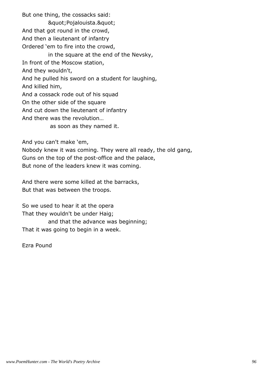But one thing, the cossacks said: " Pojalouista. " And that got round in the crowd, And then a lieutenant of infantry Ordered 'em to fire into the crowd, in the square at the end of the Nevsky, In front of the Moscow station, And they wouldn't, And he pulled his sword on a student for laughing, And killed him, And a cossack rode out of his squad On the other side of the square And cut down the lieutenant of infantry And there was the revolution… as soon as they named it.

And you can't make 'em,

Nobody knew it was coming. They were all ready, the old gang, Guns on the top of the post-office and the palace, But none of the leaders knew it was coming.

And there were some killed at the barracks, But that was between the troops.

So we used to hear it at the opera That they wouldn't be under Haig; and that the advance was beginning; That it was going to begin in a week.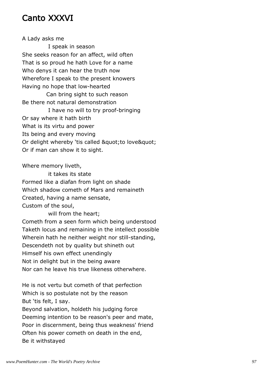#### Canto XXXVI

#### A Lady asks me

 I speak in season She seeks reason for an affect, wild often That is so proud he hath Love for a name Who denys it can hear the truth now Wherefore I speak to the present knowers Having no hope that low-hearted Can bring sight to such reason Be there not natural demonstration I have no will to try proof-bringing Or say where it hath birth What is its virtu and power Its being and every moving Or delight whereby 'tis called " to love" Or if man can show it to sight.

Where memory liveth,

 it takes its state Formed like a diafan from light on shade Which shadow cometh of Mars and remaineth Created, having a name sensate, Custom of the soul,

 will from the heart; Cometh from a seen form which being understood Taketh locus and remaining in the intellect possible Wherein hath he neither weight nor still-standing, Descendeth not by quality but shineth out Himself his own effect unendingly Not in delight but in the being aware Nor can he leave his true likeness otherwhere.

He is not vertu but cometh of that perfection Which is so postulate not by the reason But 'tis felt, I say. Beyond salvation, holdeth his judging force Deeming intention to be reason's peer and mate, Poor in discernment, being thus weakness' friend Often his power cometh on death in the end, Be it withstayed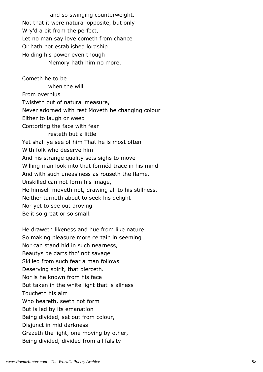and so swinging counterweight. Not that it were natural opposite, but only Wry'd a bit from the perfect, Let no man say love cometh from chance Or hath not established lordship Holding his power even though Memory hath him no more.

Cometh he to be when the will From overplus Twisteth out of natural measure, Never adorned with rest Moveth he changing colour Either to laugh or weep Contorting the face with fear resteth but a little Yet shall ye see of him That he is most often With folk who deserve him And his strange quality sets sighs to move Willing man look into that forméd trace in his mind And with such uneasiness as rouseth the flame. Unskilled can not form his image, He himself moveth not, drawing all to his stillness, Neither turneth about to seek his delight Nor yet to see out proving Be it so great or so small.

He draweth likeness and hue from like nature So making pleasure more certain in seeming Nor can stand hid in such nearness, Beautys be darts tho' not savage Skilled from such fear a man follows Deserving spirit, that pierceth. Nor is he known from his face But taken in the white light that is allness Toucheth his aim Who heareth, seeth not form But is led by its emanation Being divided, set out from colour, Disjunct in mid darkness Grazeth the light, one moving by other, Being divided, divided from all falsity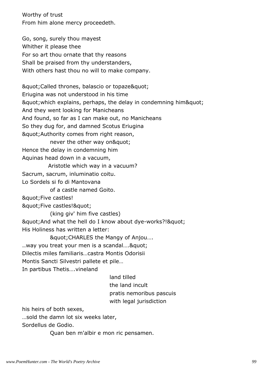Worthy of trust From him alone mercy proceedeth.

Go, song, surely thou mayest Whither it please thee For so art thou ornate that thy reasons Shall be praised from thy understanders, With others hast thou no will to make company.

" Called thrones, balascio or topaze" Eriugina was not understood in his time & quot; which explains, perhaps, the delay in condemning him & quot; And they went looking for Manicheans And found, so far as I can make out, no Manicheans So they dug for, and damned Scotus Eriugina & guot; Authority comes from right reason, never the other way on & quot; Hence the delay in condemning him Aquinas head down in a vacuum, Aristotle which way in a vacuum? Sacrum, sacrum, inluminatio coitu. Lo Sordels si fo di Mantovana of a castle named Goito. & quot; Five castles! & guot; Five castles! & guot; (king giv' him five castles) & guot; And what the hell do I know about dye-works?! & quot; His Holiness has written a letter: & guot; CHARLES the Mangy of Anjou.... ..way you treat your men is a scandal...." Dilectis miles familiaris…castra Montis Odorisii Montis Sancti Silvestri pallete et pile… In partibus Thetis….vineland land tilled the land incult pratis nemoribus pascuis

with legal jurisdiction

his heirs of both sexes,

…sold the damn lot six weeks later,

Sordellus de Godio.

Quan ben m'albir e mon ric pensamen.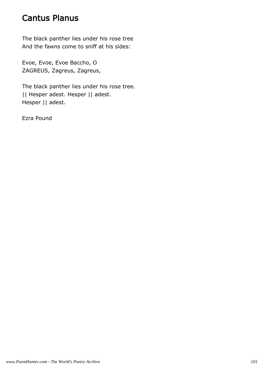#### Cantus Planus

The black panther lies under his rose tree And the fawns come to sniff at his sides:

Evoe, Evoe, Evoe Baccho, O ZAGREUS, Zagreus, Zagreus,

The black panther lies under his rose tree. || Hesper adest. Hesper || adest. Hesper || adest.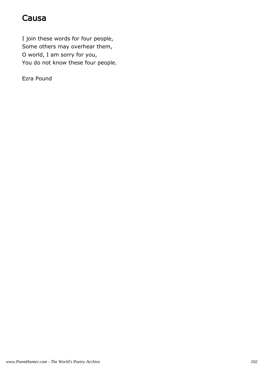### Causa

I join these words for four people, Some others may overhear them, O world, I am sorry for you, You do not know these four people.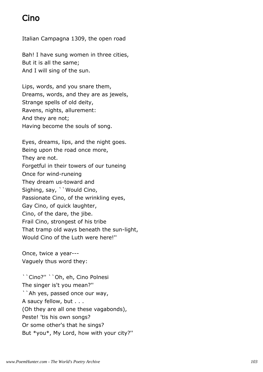### Cino

Italian Campagna 1309, the open road

Bah! I have sung women in three cities, But it is all the same; And I will sing of the sun.

Lips, words, and you snare them, Dreams, words, and they are as jewels, Strange spells of old deity, Ravens, nights, allurement: And they are not; Having become the souls of song.

Eyes, dreams, lips, and the night goes. Being upon the road once more, They are not. Forgetful in their towers of our tuneing Once for wind-runeing They dream us-toward and Sighing, say, ``Would Cino, Passionate Cino, of the wrinkling eyes, Gay Cino, of quick laughter, Cino, of the dare, the jibe. Frail Cino, strongest of his tribe That tramp old ways beneath the sun-light, Would Cino of the Luth were here!''

Once, twice a year--- Vaguely thus word they:

``Cino?'' ``Oh, eh, Cino Polnesi The singer is't you mean?'' ``Ah yes, passed once our way, A saucy fellow, but . . . (Oh they are all one these vagabonds), Peste! 'tis his own songs? Or some other's that he sings? But \*you\*, My Lord, how with your city?''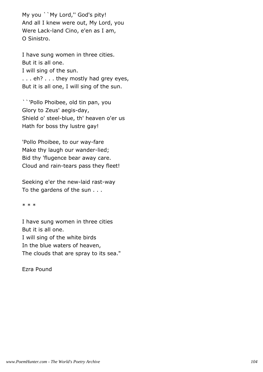My you ``My Lord,'' God's pity! And all I knew were out, My Lord, you Were Lack-land Cino, e'en as I am, O Sinistro.

I have sung women in three cities. But it is all one. I will sing of the sun. ... eh? ... they mostly had grey eyes, But it is all one, I will sing of the sun.

``'Pollo Phoibee, old tin pan, you Glory to Zeus' aegis-day, Shield o' steel-blue, th' heaven o'er us Hath for boss thy lustre gay!

'Pollo Phoibee, to our way-fare Make thy laugh our wander-lied; Bid thy 'flugence bear away care. Cloud and rain-tears pass they fleet!

Seeking e'er the new-laid rast-way To the gardens of the sun . . .

\* \* \*

I have sung women in three cities But it is all one. I will sing of the white birds In the blue waters of heaven, The clouds that are spray to its sea."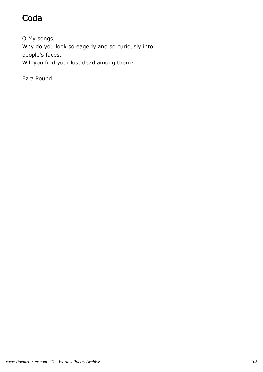# Coda

O My songs, Why do you look so eagerly and so curiously into people's faces, Will you find your lost dead among them?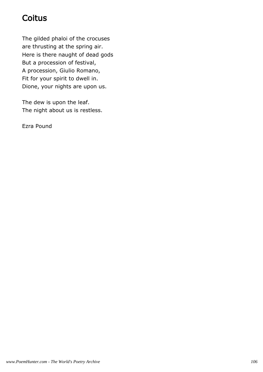## **Coitus**

The gilded phaloi of the crocuses are thrusting at the spring air. Here is there naught of dead gods But a procession of festival, A procession, Giulio Romano, Fit for your spirit to dwell in. Dione, your nights are upon us.

The dew is upon the leaf. The night about us is restless.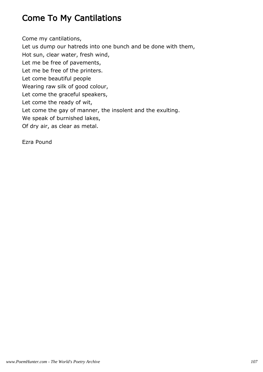## Come To My Cantilations

Come my cantilations, Let us dump our hatreds into one bunch and be done with them, Hot sun, clear water, fresh wind, Let me be free of pavements, Let me be free of the printers. Let come beautiful people Wearing raw silk of good colour, Let come the graceful speakers, Let come the ready of wit, Let come the gay of manner, the insolent and the exulting. We speak of burnished lakes, Of dry air, as clear as metal.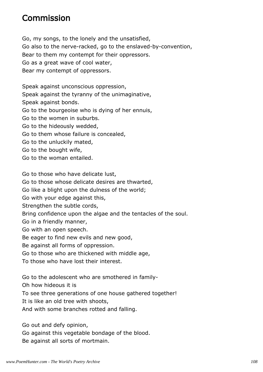#### Commission

Go, my songs, to the lonely and the unsatisfied, Go also to the nerve-racked, go to the enslaved-by-convention, Bear to them my contempt for their oppressors. Go as a great wave of cool water, Bear my contempt of oppressors.

Speak against unconscious oppression, Speak against the tyranny of the unimaginative, Speak against bonds. Go to the bourgeoise who is dying of her ennuis, Go to the women in suburbs. Go to the hideously wedded, Go to them whose failure is concealed, Go to the unluckily mated, Go to the bought wife, Go to the woman entailed.

Go to those who have delicate lust,

Go to those whose delicate desires are thwarted,

Go like a blight upon the dulness of the world;

Go with your edge against this,

Strengthen the subtle cords,

Bring confidence upon the algae and the tentacles of the soul.

Go in a friendly manner,

Go with an open speech.

Be eager to find new evils and new good,

Be against all forms of oppression.

Go to those who are thickened with middle age,

To those who have lost their interest.

Go to the adolescent who are smothered in family-

Oh how hideous it is

To see three generations of one house gathered together!

It is like an old tree with shoots,

And with some branches rotted and falling.

Go out and defy opinion,

Go against this vegetable bondage of the blood.

Be against all sorts of mortmain.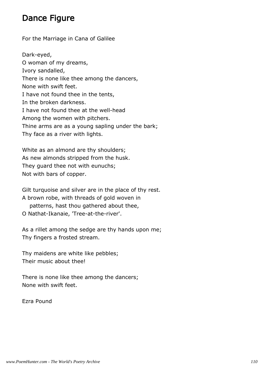## Dance Figure

For the Marriage in Cana of Galilee

Dark-eyed, O woman of my dreams, Ivory sandalled, There is none like thee among the dancers, None with swift feet. I have not found thee in the tents, In the broken darkness. I have not found thee at the well-head Among the women with pitchers. Thine arms are as a young sapling under the bark; Thy face as a river with lights.

White as an almond are thy shoulders; As new almonds stripped from the husk. They guard thee not with eunuchs; Not with bars of copper.

Gilt turquoise and silver are in the place of thy rest. A brown robe, with threads of gold woven in patterns, hast thou gathered about thee, O Nathat-Ikanaie, 'Tree-at-the-river'.

As a rillet among the sedge are thy hands upon me; Thy fingers a frosted stream.

Thy maidens are white like pebbles; Their music about thee!

There is none like thee among the dancers; None with swift feet.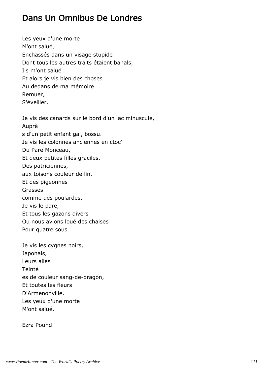# Dans Un Omnibus De Londres

Les yeux d'une morte M'ont salué, Enchassés dans un visage stupide Dont tous les autres traits étaient banals, Ils m'ont salué Et alors je vis bien des choses Au dedans de ma mémoire Remuer, S'éveiller.

Je vis des canards sur le bord d'un lac minuscule, Auprè s d'un petit enfant gai, bossu. Je vis les colonnes anciennes en ctoc' Du Pare Monceau, Et deux petites filles graciles, Des patriciennes, aux toisons couleur de lin, Et des pigeonnes Grasses comme des poulardes. Je vis le pare, Et tous les gazons divers Ou nous avions loué des chaises Pour quatre sous.

Je vis les cygnes noirs, Japonais, Leurs ailes Teinté es de couleur sang-de-dragon, Et toutes les fleurs D'Armenonville. Les yeux d'une morte M'ont salué.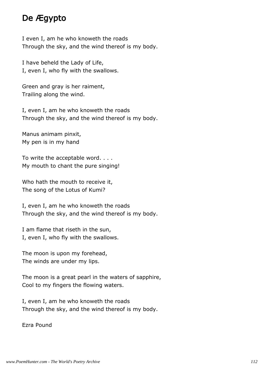## De Ægypto

I even I, am he who knoweth the roads Through the sky, and the wind thereof is my body.

I have beheld the Lady of Life, I, even I, who fly with the swallows.

Green and gray is her raiment, Trailing along the wind.

I, even I, am he who knoweth the roads Through the sky, and the wind thereof is my body.

Manus animam pinxit, My pen is in my hand

To write the acceptable word. . . . My mouth to chant the pure singing!

Who hath the mouth to receive it, The song of the Lotus of Kumi?

I, even I, am he who knoweth the roads Through the sky, and the wind thereof is my body.

I am flame that riseth in the sun, I, even I, who fly with the swallows.

The moon is upon my forehead, The winds are under my lips.

The moon is a great pearl in the waters of sapphire, Cool to my fingers the flowing waters.

I, even I, am he who knoweth the roads Through the sky, and the wind thereof is my body.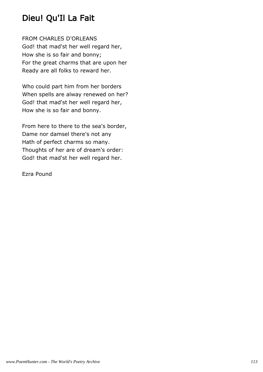# Dieu! Qu'Il La Fait

FROM CHARLES D'ORLEANS God! that mad'st her well regard her, How she is so fair and bonny; For the great charms that are upon her Ready are all folks to reward her.

Who could part him from her borders When spells are alway renewed on her? God! that mad'st her well regard her, How she is so fair and bonny.

From here to there to the sea's border, Dame nor damsel there's not any Hath of perfect charms so many. Thoughts of her are of dream's order: God! that mad'st her well regard her.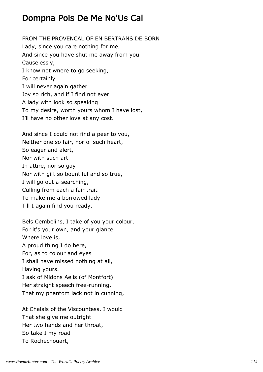# Dompna Pois De Me No'Us Cal

FROM THE PROVENCAL OF EN BERTRANS DE BORN Lady, since you care nothing for me, And since you have shut me away from you Causelessly, I know not wnere to go seeking, For certainly I will never again gather Joy so rich, and if I find not ever A lady with look so speaking To my desire, worth yours whom I have lost, I'll have no other love at any cost.

And since I could not find a peer to you, Neither one so fair, nor of such heart, So eager and alert, Nor with such art In attire, nor so gay Nor with gift so bountiful and so true, I will go out a-searching, Culling from each a fair trait To make me a borrowed lady Till I again find you ready.

Bels Cembelins, I take of you your colour, For it's your own, and your glance Where love is, A proud thing I do here, For, as to colour and eyes I shall have missed nothing at all, Having yours. I ask of Midons Aelis (of Montfort) Her straight speech free-running, That my phantom lack not in cunning,

At Chalais of the Viscountess, I would That she give me outright Her two hands and her throat, So take I my road To Rochechouart,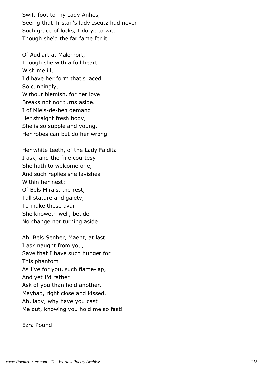Swift-foot to my Lady Anhes, Seeing that Tristan's lady Iseutz had never Such grace of locks, I do ye to wit, Though she'd the far fame for it.

Of Audiart at Malemort, Though she with a full heart Wish me ill, I'd have her form that's laced So cunningly, Without blemish, for her love Breaks not nor turns aside. I of Miels-de-ben demand Her straight fresh body, She is so supple and young, Her robes can but do her wrong.

Her white teeth, of the Lady Faidita I ask, and the fine courtesy She hath to welcome one, And such replies she lavishes Within her nest; Of Bels Mirals, the rest, Tall stature and gaiety, To make these avail She knoweth well, betide No change nor turning aside.

Ah, Bels Senher, Maent, at last I ask naught from you, Save that I have such hunger for This phantom As I've for you, such flame-lap, And yet I'd rather Ask of you than hold another, Mayhap, right close and kissed. Ah, lady, why have you cast Me out, knowing you hold me so fast!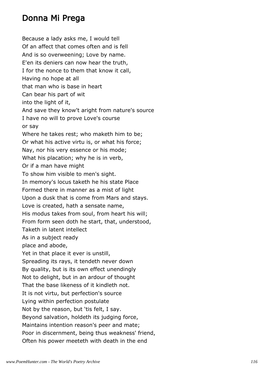# Donna Mi Prega

Because a lady asks me, I would tell Of an affect that comes often and is fell And is so overweening; Love by name. E'en its deniers can now hear the truth, I for the nonce to them that know it call, Having no hope at all that man who is base in heart Can bear his part of wit into the light of it, And save they know't aright from nature's source I have no will to prove Love's course or say Where he takes rest; who maketh him to be; Or what his active virtu is, or what his force; Nay, nor his very essence or his mode; What his placation; why he is in verb, Or if a man have might To show him visible to men's sight. In memory's locus taketh he his state Place Formed there in manner as a mist of light Upon a dusk that is come from Mars and stays. Love is created, hath a sensate name, His modus takes from soul, from heart his will; From form seen doth he start, that, understood, Taketh in latent intellect As in a subject ready place and abode, Yet in that place it ever is unstill, Spreading its rays, it tendeth never down By quality, but is its own effect unendingly Not to delight, but in an ardour of thought That the base likeness of it kindleth not. It is not virtu, but perfection's source Lying within perfection postulate Not by the reason, but 'tis felt, I say. Beyond salvation, holdeth its judging force, Maintains intention reason's peer and mate; Poor in discernment, being thus weakness' friend, Often his power meeteth with death in the end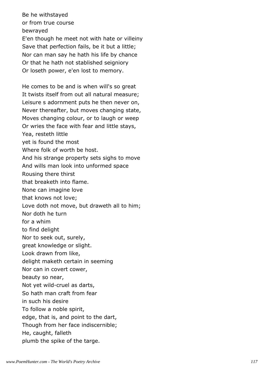Be he withstayed or from true course bewrayed E'en though he meet not with hate or villeiny Save that perfection fails, be it but a little; Nor can man say he hath his life by chance Or that he hath not stablished seigniory Or loseth power, e'en lost to memory. He comes to be and is when will's so great It twists itself from out all natural measure; Leisure s adornment puts he then never on, Never thereafter, but moves changing state, Moves changing colour, or to laugh or weep Or wries the face with fear and little stays, Yea, resteth little yet is found the most Where folk of worth be host. And his strange property sets sighs to move And wills man look into unformed space Rousing there thirst

that breaketh into flame.

None can imagine love

that knows not love;

Love doth not move, but draweth all to him;

Nor doth he turn

for a whim

to find delight

Nor to seek out, surely,

great knowledge or slight.

Look drawn from like,

delight maketh certain in seeming

Nor can in covert cower,

beauty so near,

Not yet wild-cruel as darts,

So hath man craft from fear

in such his desire

To follow a noble spirit,

edge, that is, and point to the dart,

Though from her face indiscernible;

He, caught, falleth

plumb the spike of the targe.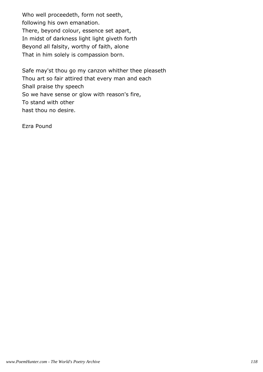Who well proceedeth, form not seeth, following his own emanation. There, beyond colour, essence set apart, In midst of darkness light light giveth forth Beyond all falsity, worthy of faith, alone That in him solely is compassion born.

Safe may'st thou go my canzon whither thee pleaseth Thou art so fair attired that every man and each Shall praise thy speech So we have sense or glow with reason's fire, To stand with other hast thou no desire.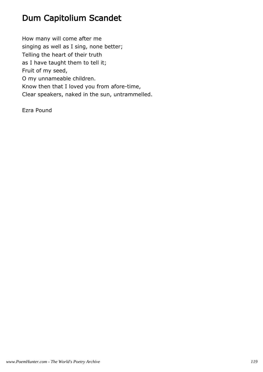# Dum Capitolium Scandet

How many will come after me singing as well as I sing, none better; Telling the heart of their truth as I have taught them to tell it; Fruit of my seed, O my unnameable children. Know then that I loved you from afore-time, Clear speakers, naked in the sun, untrammelled.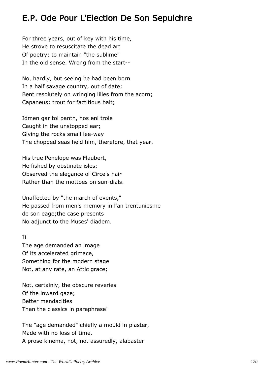# E.P. Ode Pour L'Election De Son Sepulchre

For three years, out of key with his time, He strove to resuscitate the dead art Of poetry; to maintain "the sublime" In the old sense. Wrong from the start--

No, hardly, but seeing he had been born In a half savage country, out of date; Bent resolutely on wringing lilies from the acorn; Capaneus; trout for factitious bait;

Idmen gar toi panth, hos eni troie Caught in the unstopped ear; Giving the rocks small lee-way The chopped seas held him, therefore, that year.

His true Penelope was Flaubert, He fished by obstinate isles; Observed the elegance of Circe's hair Rather than the mottoes on sun-dials.

Unaffected by "the march of events," He passed from men's memory in l'an trentuniesme de son eage;the case presents No adjunct to the Muses' diadem.

#### II

The age demanded an image Of its accelerated grimace, Something for the modern stage Not, at any rate, an Attic grace;

Not, certainly, the obscure reveries Of the inward gaze; Better mendacities Than the classics in paraphrase!

The "age demanded" chiefly a mould in plaster, Made with no loss of time, A prose kinema, not, not assuredly, alabaster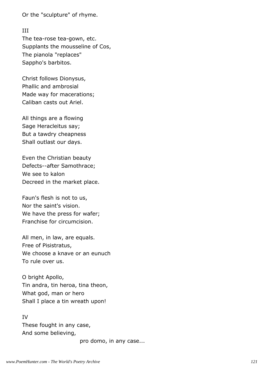Or the "sculpture" of rhyme.

III The tea-rose tea-gown, etc. Supplants the mousseline of Cos, The pianola "replaces" Sappho's barbitos.

Christ follows Dionysus, Phallic and ambrosial Made way for macerations; Caliban casts out Ariel.

All things are a flowing Sage Heracleitus say; But a tawdry cheapness Shall outlast our days.

Even the Christian beauty Defects--after Samothrace; We see to kalon Decreed in the market place.

Faun's flesh is not to us, Nor the saint's vision. We have the press for wafer; Franchise for circumcision.

All men, in law, are equals. Free of Pisistratus, We choose a knave or an eunuch To rule over us.

O bright Apollo, Tin andra, tin heroa, tina theon, What god, man or hero Shall I place a tin wreath upon!

IV These fought in any case, And some believing,

pro domo, in any case...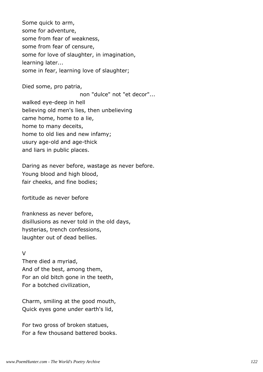Some quick to arm, some for adventure, some from fear of weakness, some from fear of censure, some for love of slaughter, in imagination, learning later... some in fear, learning love of slaughter;

Died some, pro patria,

 non "dulce" not "et decor"... walked eye-deep in hell believing old men's lies, then unbelieving came home, home to a lie, home to many deceits, home to old lies and new infamy; usury age-old and age-thick and liars in public places.

Daring as never before, wastage as never before. Young blood and high blood, fair cheeks, and fine bodies;

fortitude as never before

frankness as never before, disillusions as never told in the old days, hysterias, trench confessions, laughter out of dead bellies.

#### $\overline{V}$

There died a myriad, And of the best, among them, For an old bitch gone in the teeth, For a botched civilization,

Charm, smiling at the good mouth, Quick eyes gone under earth's lid,

For two gross of broken statues, For a few thousand battered books.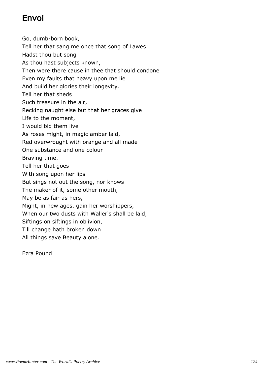# Envoi

Go, dumb-born book, Tell her that sang me once that song of Lawes: Hadst thou but song As thou hast subjects known, Then were there cause in thee that should condone Even my faults that heavy upon me lie And build her glories their longevity. Tell her that sheds Such treasure in the air, Recking naught else but that her graces give Life to the moment, I would bid them live As roses might, in magic amber laid, Red overwrought with orange and all made One substance and one colour Braving time. Tell her that goes With song upon her lips But sings not out the song, nor knows The maker of it, some other mouth, May be as fair as hers, Might, in new ages, gain her worshippers, When our two dusts with Waller's shall be laid, Siftings on siftings in oblivion, Till change hath broken down All things save Beauty alone.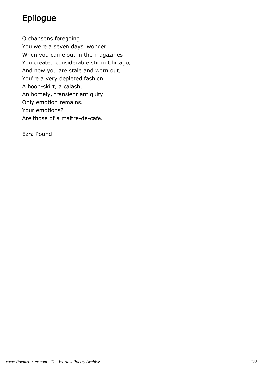# Epilogue

O chansons foregoing You were a seven days' wonder. When you came out in the magazines You created considerable stir in Chicago, And now you are stale and worn out, You're a very depleted fashion, A hoop-skirt, a calash, An homely, transient antiquity. Only emotion remains. Your emotions? Are those of a maitre-de-cafe.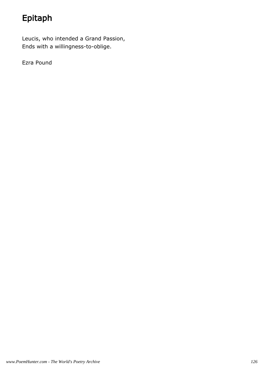# Epitaph

Leucis, who intended a Grand Passion, Ends with a willingness-to-oblige.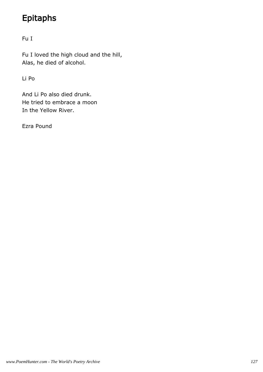# Epitaphs

#### Fu I

Fu I loved the high cloud and the hill, Alas, he died of alcohol.

Li Po

And Li Po also died drunk. He tried to embrace a moon In the Yellow River.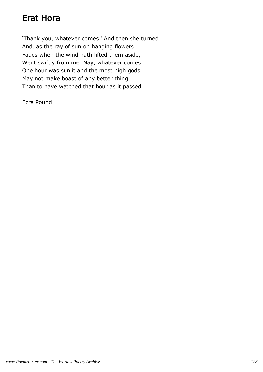# Erat Hora

'Thank you, whatever comes.' And then she turned And, as the ray of sun on hanging flowers Fades when the wind hath lifted them aside, Went swiftly from me. Nay, whatever comes One hour was sunlit and the most high gods May not make boast of any better thing Than to have watched that hour as it passed.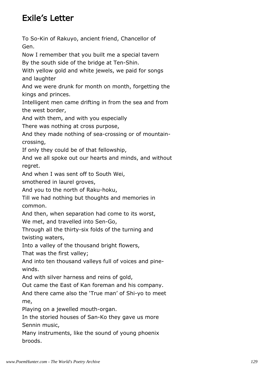# Exile's Letter

To So-Kin of Rakuyo, ancient friend, Chancellor of Gen.

Now I remember that you built me a special tavern By the south side of the bridge at Ten-Shin.

With yellow gold and white jewels, we paid for songs and laughter

And we were drunk for month on month, forgetting the kings and princes.

Intelligent men came drifting in from the sea and from the west border,

And with them, and with you especially

There was nothing at cross purpose,

And they made nothing of sea-crossing or of mountaincrossing,

If only they could be of that fellowship,

And we all spoke out our hearts and minds, and without regret.

And when I was sent off to South Wei,

smothered in laurel groves,

And you to the north of Raku-hoku,

Till we had nothing but thoughts and memories in common.

And then, when separation had come to its worst,

We met, and travelled into Sen-Go,

Through all the thirty-six folds of the turning and twisting waters,

Into a valley of the thousand bright flowers,

That was the first valley;

And into ten thousand valleys full of voices and pinewinds.

And with silver harness and reins of gold,

Out came the East of Kan foreman and his company.

And there came also the 'True man' of Shi-yo to meet me,

Playing on a jewelled mouth-organ.

In the storied houses of San-Ko they gave us more Sennin music,

Many instruments, like the sound of young phoenix broods.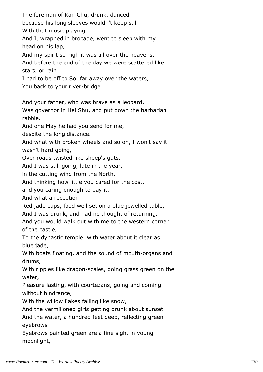The foreman of Kan Chu, drunk, danced because his long sleeves wouldn't keep still With that music playing, And I, wrapped in brocade, went to sleep with my head on his lap, And my spirit so high it was all over the heavens, And before the end of the day we were scattered like stars, or rain. I had to be off to So, far away over the waters, You back to your river-bridge. And your father, who was brave as a leopard, Was governor in Hei Shu, and put down the barbarian rabble. And one May he had you send for me, despite the long distance. And what with broken wheels and so on, I won't say it wasn't hard going, Over roads twisted like sheep's guts. And I was still going, late in the year, in the cutting wind from the North, And thinking how little you cared for the cost, and you caring enough to pay it. And what a reception: Red jade cups, food well set on a blue jewelled table, And I was drunk, and had no thought of returning. And you would walk out with me to the western corner of the castle, To the dynastic temple, with water about it clear as blue jade, With boats floating, and the sound of mouth-organs and drums, With ripples like dragon-scales, going grass green on the water, Pleasure lasting, with courtezans, going and coming

without hindrance,

With the willow flakes falling like snow,

And the vermilioned girls getting drunk about sunset,

And the water, a hundred feet deep, reflecting green eyebrows

Eyebrows painted green are a fine sight in young moonlight,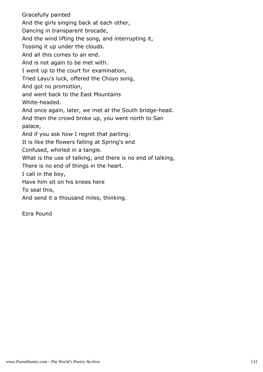Gracefully painted And the girls singing back at each other, Dancing in transparent brocade, And the wind lifting the song, and interrupting it, Tossing it up under the clouds. And all this comes to an end. And is not again to be met with. I went up to the court for examination, Tried Layu's luck, offered the Choyo song, And got no promotion, and went back to the East Mountains White-headed. And once again, later, we met at the South bridge-head. And then the crowd broke up, you went north to San palace, And if you ask how I regret that parting: It is like the flowers falling at Spring's end Confused, whirled in a tangle. What is the use of talking, and there is no end of talking, There is no end of things in the heart. I call in the boy, Have him sit on his knees here To seal this, And send it a thousand miles, thinking.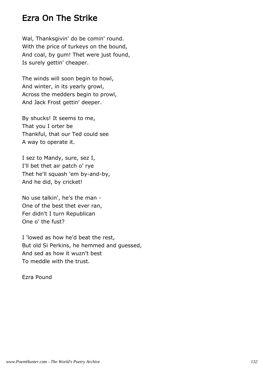# Ezra On The Strike

Wal, Thanksgivin' do be comin' round. With the price of turkeys on the bound, And coal, by gum! Thet were just found, Is surely gettin' cheaper.

The winds will soon begin to howl, And winter, in its yearly growl, Across the medders begin to prowl, And Jack Frost gettin' deeper.

By shucks! It seems to me, That you I orter be Thankful, that our Ted could see A way to operate it.

I sez to Mandy, sure, sez I, I'll bet thet air patch o' rye Thet he'll squash 'em by-and-by, And he did, by cricket!

No use talkin', he's the man - One of the best thet ever ran, Fer didn't I turn Republican One o' the fust?

I 'lowed as how he'd beat the rest, But old Si Perkins, he hemmed and guessed, And sed as how it wuzn't best To meddle with the trust.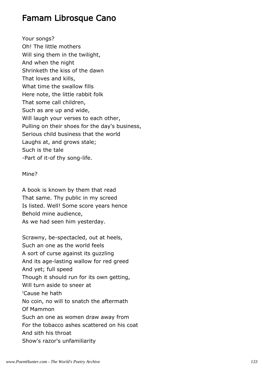#### Famam Librosque Cano

Your songs? Oh! The little mothers Will sing them in the twilight, And when the night Shrinketh the kiss of the dawn That loves and kills, What time the swallow fills Here note, the little rabbit folk That some call children, Such as are up and wide, Will laugh your verses to each other, Pulling on their shoes for the day's business, Serious child business that the world Laughs at, and grows stale; Such is the tale -Part of it-of thy song-life.

#### Mine?

A book is known by them that read That same. Thy public in my screed Is listed. Well! Some score years hence Behold mine audience, As we had seen him yesterday.

Scrawny, be-spectacled, out at heels, Such an one as the world feels A sort of curse against its guzzling And its age-lasting wallow for red greed And yet; full speed Though it should run for its own getting, Will turn aside to sneer at 'Cause he hath No coin, no will to snatch the aftermath Of Mammon Such an one as women draw away from For the tobacco ashes scattered on his coat And sith his throat Show's razor's unfamiliarity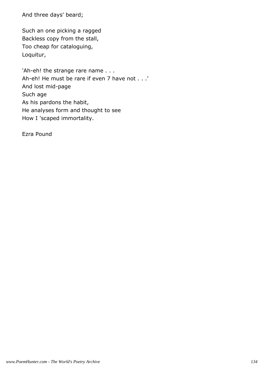And three days' beard;

Such an one picking a ragged Backless copy from the stall, Too cheap for cataloguing, Loquitur,

'Ah-eh! the strange rare name . . . Ah-eh! He must be rare if even 7 have not . . .' And lost mid-page Such age As his pardons the habit, He analyses form and thought to see How I 'scaped immortality.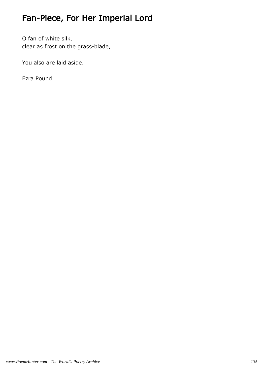# Fan-Piece, For Her Imperial Lord

O fan of white silk, clear as frost on the grass-blade,

You also are laid aside.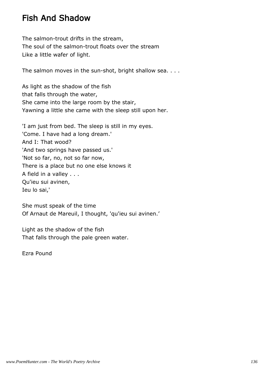# Fish And Shadow

The salmon-trout drifts in the stream, The soul of the salmon-trout floats over the stream Like a little wafer of light.

The salmon moves in the sun-shot, bright shallow sea. . . .

As light as the shadow of the fish that falls through the water, She came into the large room by the stair, Yawning a little she came with the sleep still upon her.

'I am just from bed. The sleep is still in my eyes. 'Come. I have had a long dream.' And I: That wood? 'And two springs have passed us.' 'Not so far, no, not so far now, There is a place but no one else knows it A field in a valley . . . Qu'ieu sui avinen, Ieu lo sai,'

She must speak of the time Of Arnaut de Mareuil, I thought, 'qu'ieu sui avinen.'

Light as the shadow of the fish That falls through the pale green water.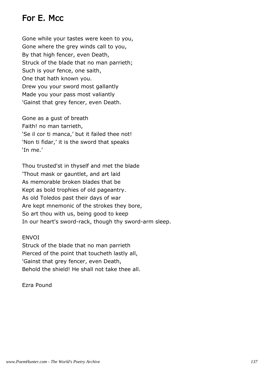# For E. Mcc

Gone while your tastes were keen to you, Gone where the grey winds call to you, By that high fencer, even Death, Struck of the blade that no man parrieth; Such is your fence, one saith, One that hath known you. Drew you your sword most gallantly Made you your pass most valiantly 'Gainst that grey fencer, even Death.

Gone as a gust of breath Faith! no man tarrieth, 'Se il cor ti manca,' but it failed thee not! 'Non ti fidar,' it is the sword that speaks 'In me.'

Thou trusted'st in thyself and met the blade 'Thout mask or gauntlet, and art laid As memorable broken blades that be Kept as bold trophies of old pageantry. As old Toledos past their days of war Are kept mnemonic of the strokes they bore, So art thou with us, being good to keep In our heart's sword-rack, though thy sword-arm sleep.

#### ENVOI

Struck of the blade that no man parrieth Pierced of the point that toucheth lastly all, 'Gainst that grey fencer, even Death, Behold the shield! He shall not take thee all.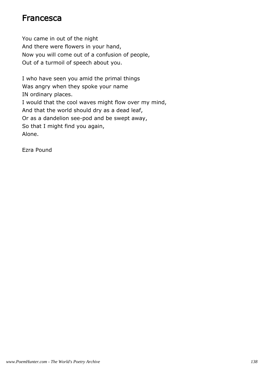#### Francesca

You came in out of the night And there were flowers in your hand, Now you will come out of a confusion of people, Out of a turmoil of speech about you.

I who have seen you amid the primal things Was angry when they spoke your name IN ordinary places. I would that the cool waves might flow over my mind, And that the world should dry as a dead leaf, Or as a dandelion see-pod and be swept away, So that I might find you again, Alone.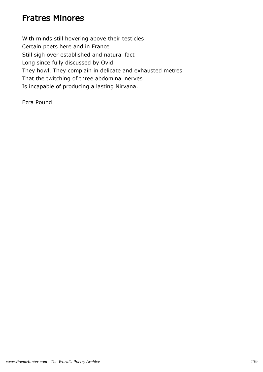## Fratres Minores

With minds still hovering above their testicles Certain poets here and in France Still sigh over established and natural fact Long since fully discussed by Ovid. They howl. They complain in delicate and exhausted metres That the twitching of three abdominal nerves Is incapable of producing a lasting Nirvana.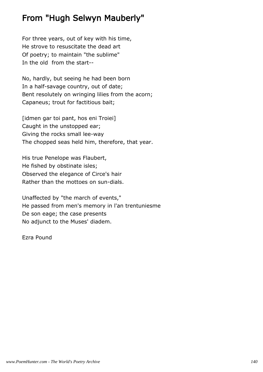# From "Hugh Selwyn Mauberly"

For three years, out of key with his time, He strove to resuscitate the dead art Of poetry; to maintain "the sublime" In the old from the start--

No, hardly, but seeing he had been born In a half-savage country, out of date; Bent resolutely on wringing lilies from the acorn; Capaneus; trout for factitious bait;

[idmen gar toi pant, hos eni Troiei] Caught in the unstopped ear; Giving the rocks small lee-way The chopped seas held him, therefore, that year.

His true Penelope was Flaubert, He fished by obstinate isles; Observed the elegance of Circe's hair Rather than the mottoes on sun-dials.

Unaffected by "the march of events," He passed from men's memory in l'an trentuniesme De son eage; the case presents No adjunct to the Muses' diadem.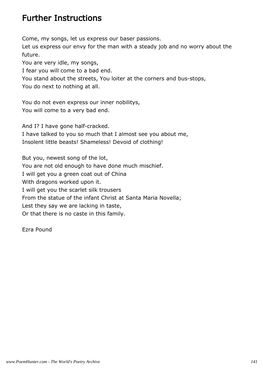# Further Instructions

Come, my songs, let us express our baser passions.

Let us express our envy for the man with a steady job and no worry about the future.

You are very idle, my songs,

I fear you will come to a bad end.

You stand about the streets, You loiter at the corners and bus-stops,

You do next to nothing at all.

You do not even express our inner nobilitys, You will come to a very bad end.

And I? I have gone half-cracked.

I have talked to you so much that I almost see you about me, Insolent little beasts! Shameless! Devoid of clothing!

But you, newest song of the lot, You are not old enough to have done much mischief. I will get you a green coat out of China With dragons worked upon it. I will get you the scarlet silk trousers From the statue of the infant Christ at Santa Maria Novella; Lest they say we are lacking in taste, Or that there is no caste in this family.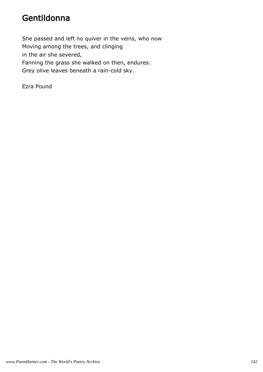# Gentildonna

She passed and left no quiver in the veins, who now Moving among the trees, and clinging in the air she severed, Fanning the grass she walked on then, endures: Grey olive leaves beneath a rain-cold sky.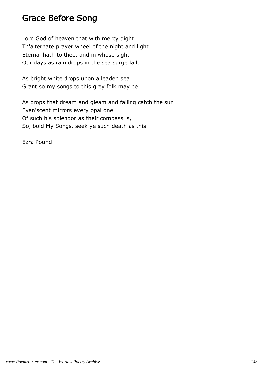# Grace Before Song

Lord God of heaven that with mercy dight Th'alternate prayer wheel of the night and light Eternal hath to thee, and in whose sight Our days as rain drops in the sea surge fall,

As bright white drops upon a leaden sea Grant so my songs to this grey folk may be:

As drops that dream and gleam and falling catch the sun Evan'scent mirrors every opal one Of such his splendor as their compass is, So, bold My Songs, seek ye such death as this.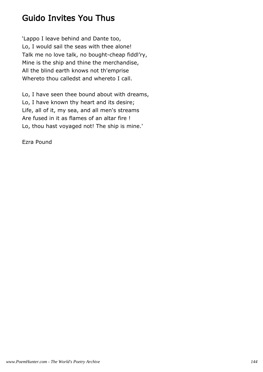## Guido Invites You Thus

'Lappo I leave behind and Dante too, Lo, I would sail the seas with thee alone! Talk me no love talk, no bought-cheap fiddl'ry, Mine is the ship and thine the merchandise, All the blind earth knows not th'emprise Whereto thou calledst and whereto I call.

Lo, I have seen thee bound about with dreams, Lo, I have known thy heart and its desire; Life, all of it, my sea, and all men's streams Are fused in it as flames of an altar fire ! Lo, thou hast voyaged not! The ship is mine.'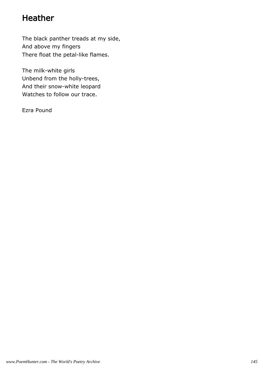# Heather

The black panther treads at my side, And above my fingers There float the petal-like flames.

The milk-white girls Unbend from the holly-trees, And their snow-white leopard Watches to follow our trace.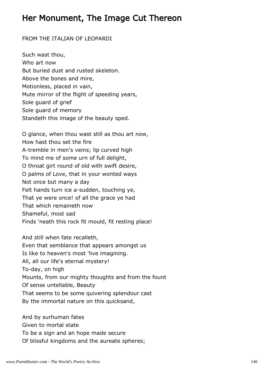## Her Monument, The Image Cut Thereon

#### FROM THE ITALIAN OF LEOPARDI

Such wast thou, Who art now But buried dust and rusted skeleton. Above the bones and mire, Motionless, placed in vain, Mute mirror of the flight of speeding years, Sole guard of grief Sole guard of memory Standeth this image of the beauty sped.

O glance, when thou wast still as thou art now, How hast thou set the fire A-tremble in men's veins; lip curved high To mind me of some urn of full delight, O throat girt round of old with swift desire, O palms of Love, that in your wonted ways Not once but many a day Felt hands turn ice a-sudden, touching ye, That ye were once! of all the grace ye had That which remaineth now Shameful, most sad Finds 'neath this rock fit mould, fit resting place!

And still when fate recalleth, Even that semblance that appears amongst us Is like to heaven's most 'live imagining. All, all our life's eternal mystery! To-day, on high Mounts, from our mighty thoughts and from the fount Of sense untellable, Beauty That seems to be some quivering splendour cast By the immortal nature on this quicksand,

And by surhuman fates Given to mortal state To be a sign and an hope made secure Of blissful kingdoms and the aureate spheres;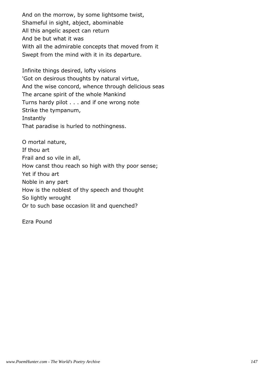And on the morrow, by some lightsome twist, Shameful in sight, abject, abominable All this angelic aspect can return And be but what it was With all the admirable concepts that moved from it Swept from the mind with it in its departure.

Infinite things desired, lofty visions 'Got on desirous thoughts by natural virtue, And the wise concord, whence through delicious seas The arcane spirit of the whole Mankind Turns hardy pilot . . . and if one wrong note Strike the tympanum, Instantly That paradise is hurled to nothingness.

O mortal nature, If thou art Frail and so vile in all, How canst thou reach so high with thy poor sense; Yet if thou art Noble in any part How is the noblest of thy speech and thought So lightly wrought Or to such base occasion lit and quenched?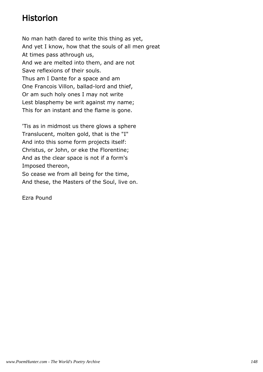# Historion

No man hath dared to write this thing as yet, And yet I know, how that the souls of all men great At times pass athrough us, And we are melted into them, and are not Save reflexions of their souls. Thus am I Dante for a space and am One Francois Villon, ballad-lord and thief, Or am such holy ones I may not write Lest blasphemy be writ against my name; This for an instant and the flame is gone.

'Tis as in midmost us there glows a sphere Translucent, molten gold, that is the "I" And into this some form projects itself: Christus, or John, or eke the Florentine; And as the clear space is not if a form's Imposed thereon, So cease we from all being for the time, And these, the Masters of the Soul, live on.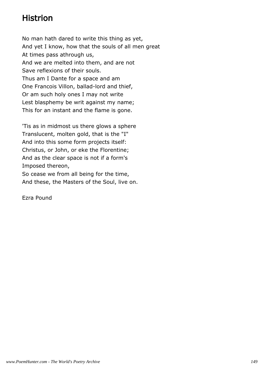# Histrion

No man hath dared to write this thing as yet, And yet I know, how that the souls of all men great At times pass athrough us, And we are melted into them, and are not Save reflexions of their souls. Thus am I Dante for a space and am One Francois Villon, ballad-lord and thief, Or am such holy ones I may not write Lest blasphemy be writ against my name; This for an instant and the flame is gone.

'Tis as in midmost us there glows a sphere Translucent, molten gold, that is the "I" And into this some form projects itself: Christus, or John, or eke the Florentine; And as the clear space is not if a form's Imposed thereon, So cease we from all being for the time, And these, the Masters of the Soul, live on.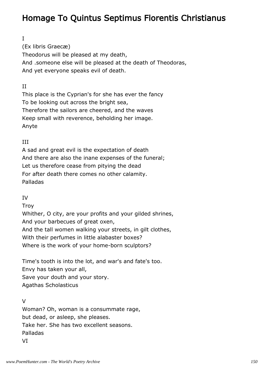# Homage To Quintus Septimus Florentis Christianus

#### I

(Ex libris Graecæ) Theodorus will be pleased at my death, And .someone else will be pleased at the death of Theodoras, And yet everyone speaks evil of death.

#### II

This place is the Cyprian's for she has ever the fancy To be looking out across the bright sea, Therefore the sailors are cheered, and the waves Keep small with reverence, beholding her image. Anyte

#### III

A sad and great evil is the expectation of death And there are also the inane expenses of the funeral; Let us therefore cease from pitying the dead For after death there comes no other calamity. Palladas

#### IV

**Trov** 

Whither, O city, are your profits and your gilded shrines, And your barbecues of great oxen, And the tall women walking your streets, in gilt clothes, With their perfumes in little alabaster boxes? Where is the work of your home-born sculptors?

Time's tooth is into the lot, and war's and fate's too. Envy has taken your all, Save your douth and your story. Agathas Scholasticus

#### V

Woman? Oh, woman is a consummate rage, but dead, or asleep, she pleases. Take her. She has two excellent seasons. Palladas VI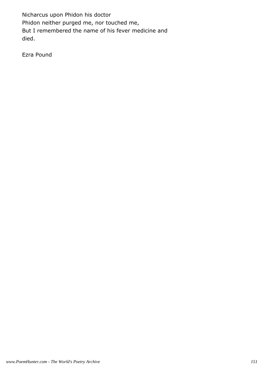Nicharcus upon Phidon his doctor Phidon neither purged me, nor touched me, But I remembered the name of his fever medicine and died.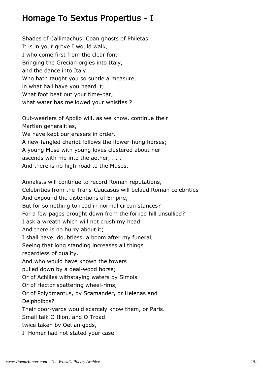## Homage To Sextus Propertius - I

Shades of Callimachus, Coan ghosts of Philetas It is in your grove I would walk, I who come first from the clear font Bringing the Grecian orgies into Italy, and the dance into Italy. Who hath taught you so subtle a measure, in what hall have you heard it; What foot beat out your time-bar, what water has mellowed your whistles ?

Out-weariers of Apollo will, as we know, continue their Martian generalities,

We have kept our erasers in order.

A new-fangled chariot follows the flower-hung horses;

A young Muse with young loves clustered about her

ascends with me into the aether, . . .

And there is no high-road to the Muses.

Annalists will continue to record Roman reputations, Celebrities from the Trans-Caucasus will belaud Roman celebrities And expound the distentions of Empire, But for something to read in normal circumstances? For a few pages brought down from the forked hill unsullied? I ask a wreath which will not crush my head. And there is no hurry about it; I shall have, doubtless, a boom after my funeral, Seeing that long standing increases all things regardless of quality. And who would have known the towers pulled down by a deal-wood horse; Or of Achilles withstaying waters by Simois Or of Hector spattering wheel-rims, Or of Polydmantus, by Scamander, or Helenas and Deiphoibos? Their door-yards would scarcely know them, or Paris. Small talk O Ilion, and O Troad twice taken by Oetian gods,

If Homer had not stated your case!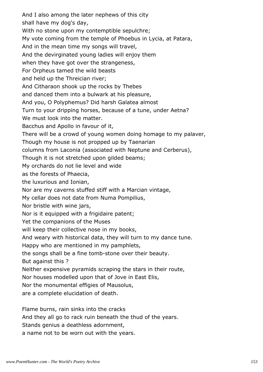And I also among the later nephews of this city shall have my dog's day, With no stone upon my contemptible sepulchre; My vote coming from the temple of Phoebus in Lycia, at Patara, And in the mean time my songs will travel, And the devirginated young ladies will enjoy them when they have got over the strangeness, For Orpheus tamed the wild beasts and held up the Threician river; And Citharaon shook up the rocks by Thebes and danced them into a bulwark at his pleasure, And you, O Polyphemus? Did harsh Galatea almost Turn to your dripping horses, because of a tune, under Aetna? We must look into the matter. Bacchus and Apollo in favour of it, There will be a crowd of young women doing homage to my palaver, Though my house is not propped up by Taenarian columns from Laconia (associated with Neptune and Cerberus), Though it is not stretched upon gilded beams; My orchards do not lie level and wide as the forests of Phaecia, the luxurious and Ionian, Nor are my caverns stuffed stiff with a Marcian vintage, My cellar does not date from Numa Pompilius, Nor bristle with wine jars, Nor is it equipped with a frigidaire patent; Yet the companions of the Muses will keep their collective nose in my books, And weary with historical data, they will turn to my dance tune. Happy who are mentioned in my pamphlets, the songs shall be a fine tomb-stone over their beauty. But against this ? Neither expensive pyramids scraping the stars in their route, Nor houses modelled upon that of Jove in East Elis, Nor the monumental effigies of Mausolus, are a complete elucidation of death. Flame burns, rain sinks into the cracks And they all go to rack ruin beneath the thud of the years.

Stands genius a deathless adornment,

a name not to be worn out with the years.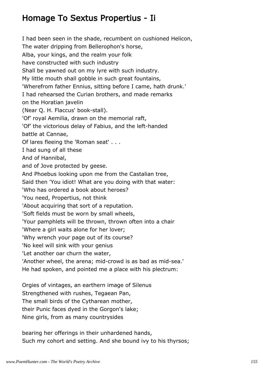## Homage To Sextus Propertius - Ii

I had been seen in the shade, recumbent on cushioned Helicon, The water dripping from Bellerophon's horse, Alba, your kings, and the realm your folk have constructed with such industry Shall be yawned out on my lyre with such industry. My little mouth shall gobble in such great fountains, 'Wherefrom father Ennius, sitting before I came, hath drunk.' I had rehearsed the Curian brothers, and made remarks on the Horatian javelin (Near Q. H. Flaccus' book-stall). 'Of' royal Aemilia, drawn on the memorial raft, 'Of' the victorious delay of Fabius, and the left-handed battle at Cannae, Of lares fleeing the 'Roman seat' . . . I had sung of all these And of Hannibal, and of Jove protected by geese. And Phoebus looking upon me from the Castalian tree, Said then 'You idiot! What are you doing with that water: 'Who has ordered a book about heroes? 'You need, Propertius, not think 'About acquiring that sort of a reputation. 'Soft fields must be worn by small wheels, 'Your pamphlets will be thrown, thrown often into a chair 'Where a girl waits alone for her lover; 'Why wrench your page out of its course? 'No keel will sink with your genius 'Let another oar churn the water, 'Another wheel, the arena; mid-crowd is as bad as mid-sea.' He had spoken, and pointed me a place with his plectrum: Orgies of vintages, an earthern image of Silenus

Strengthened with rushes, Tegaean Pan,

The small birds of the Cytharean mother,

their Punic faces dyed in the Gorgon's lake;

Nine girls, from as many countrysides

bearing her offerings in their unhardened hands, Such my cohort and setting. And she bound ivy to his thyrsos;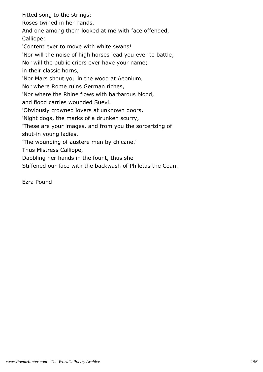Fitted song to the strings;

Roses twined in her hands.

And one among them looked at me with face offended,

Calliope:

'Content ever to move with white swans!

'Nor will the noise of high horses lead you ever to battle;

Nor will the public criers ever have your name;

in their classic horns,

'Nor Mars shout you in the wood at Aeonium,

Nor where Rome ruins German riches,

'Nor where the Rhine flows with barbarous blood,

and flood carries wounded Suevi.

'Obviously crowned lovers at unknown doors,

'Night dogs, the marks of a drunken scurry,

'These are your images, and from you the sorcerizing of shut-in young ladies,

'The wounding of austere men by chicane.'

Thus Mistress Calliope,

Dabbling her hands in the fount, thus she

Stiffened our face with the backwash of Philetas the Coan.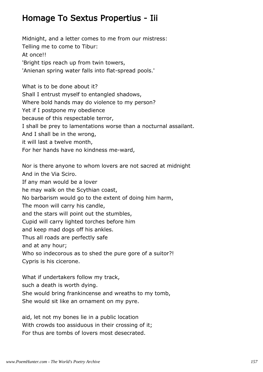## Homage To Sextus Propertius - Iii

Midnight, and a letter comes to me from our mistress: Telling me to come to Tibur: At once!! 'Bright tips reach up from twin towers, 'Anienan spring water falls into flat-spread pools.'

What is to be done about it? Shall I entrust myself to entangled shadows, Where bold hands may do violence to my person? Yet if I postpone my obedience because of this respectable terror, I shall be prey to lamentations worse than a nocturnal assailant. And I shall be in the wrong, it will last a twelve month, For her hands have no kindness me-ward,

Nor is there anyone to whom lovers are not sacred at midnight And in the Via Sciro. If any man would be a lover he may walk on the Scythian coast, No barbarism would go to the extent of doing him harm, The moon will carry his candle, and the stars will point out the stumbles, Cupid will carry lighted torches before him and keep mad dogs off his ankles. Thus all roads are perfectly safe and at any hour; Who so indecorous as to shed the pure gore of a suitor?! Cypris is his cicerone.

What if undertakers follow my track, such a death is worth dying. She would bring frankincense and wreaths to my tomb, She would sit like an ornament on my pyre.

aid, let not my bones lie in a public location With crowds too assiduous in their crossing of it; For thus are tombs of lovers most desecrated.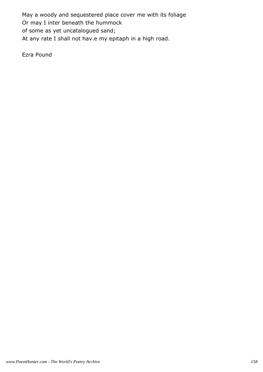May a woody and sequestered place cover me with its foliage Or may I inter beneath the hummock of some as yet uncatalogued sand; At any rate I shall not hav.e my epitaph in a high road.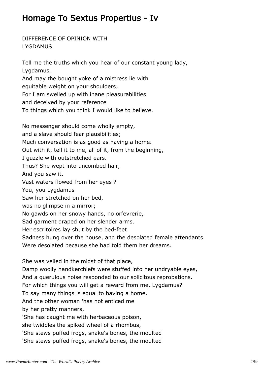## Homage To Sextus Propertius - Iv

### DIFFERENCE OF OPINION WITH LYGDAMUS

Tell me the truths which you hear of our constant young lady, Lygdamus, And may the bought yoke of a mistress lie with equitable weight on your shoulders; For I am swelled up with inane pleasurabilities and deceived by your reference To things which you think I would like to believe. No messenger should come wholly empty, and a slave should fear plausibilities; Much conversation is as good as having a home. Out with it, tell it to me, all of it, from the beginning, I guzzle with outstretched ears. Thus? She wept into uncombed hair, And you saw it. Vast waters flowed from her eyes ? You, you Lygdamus Saw her stretched on her bed, was no glimpse in a mirror; No gawds on her snowy hands, no orfevrerie, Sad garment draped on her slender arms. Her escritoires lay shut by the bed-feet. Sadness hung over the house, and the desolated female attendants Were desolated because she had told them her dreams. She was veiled in the midst of that place,

Damp woolly handkerchiefs were stuffed into her undryable eyes, And a querulous noise responded to our solicitous reprobations. For which things you will get a reward from me, Lygdamus? To say many things is equal to having a home. And the other woman 'has not enticed me by her pretty manners, 'She has caught me with herbaceous poison, she twiddles the spiked wheel of a rhombus, 'She stews puffed frogs, snake's bones, the moulted 'She stews puffed frogs, snake's bones, the moulted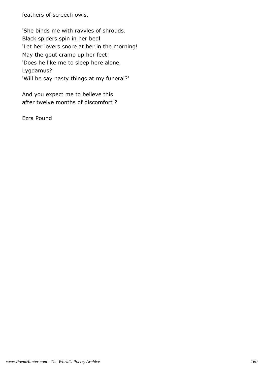feathers of screech owls,

'She binds me with ravvles of shrouds. Black spiders spin in her bedl 'Let her lovers snore at her in the morning! May the gout cramp up her feet! 'Does he like me to sleep here alone, Lygdamus? 'Will he say nasty things at my funeral?'

And you expect me to believe this after twelve months of discomfort ?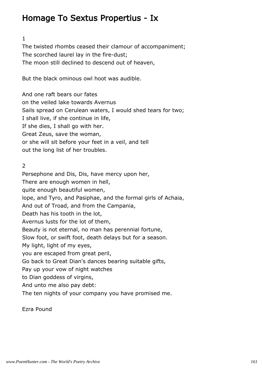## Homage To Sextus Propertius - Ix

1

The twisted rhombs ceased their clamour of accompaniment; The scorched laurel lay in the fire-dust; The moon still declined to descend out of heaven,

But the black ominous owl hoot was audible.

And one raft bears our fates on the veiled lake towards Avernus Sails spread on Cerulean waters, I would shed tears for two; I shall live, if she continue in life, If she dies, I shall go with her. Great Zeus, save the woman, or she will sit before your feet in a veil, and tell out the long list of her troubles.

### 2

Persephone and Dis, Dis, have mercy upon her, There are enough women in hell, quite enough beautiful women, lope, and Tyro, and Pasiphae, and the formal girls of Achaia, And out of Troad, and from the Campania, Death has his tooth in the lot, Avernus lusts for the lot of them, Beauty is not eternal, no man has perennial fortune, Slow foot, or swift foot, death delays but for a season. My light, light of my eyes, you are escaped from great peril, Go back to Great Dian's dances bearing suitable gifts, Pay up your vow of night watches to Dian goddess of virgins, And unto me also pay debt: The ten nights of your company you have promised me.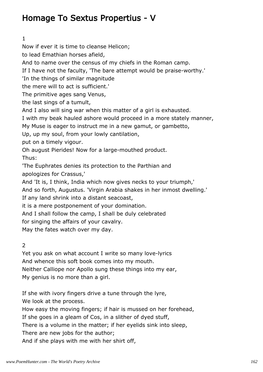## Homage To Sextus Propertius - V

1 Now if ever it is time to cleanse Helicon; to lead Emathian horses afield, And to name over the census of my chiefs in the Roman camp. If I have not the faculty, 'The bare attempt would be praise-worthy.' 'In the things of similar magnitude the mere will to act is sufficient.' The primitive ages sang Venus, the last sings of a tumult, And I also will sing war when this matter of a girl is exhausted. I with my beak hauled ashore would proceed in a more stately manner, My Muse is eager to instruct me in a new gamut, or gambetto, Up, up my soul, from your lowly cantilation, put on a timely vigour. Oh august Pierides! Now for a large-mouthed product. Thus: 'The Euphrates denies its protection to the Parthian and apologizes for Crassus,' And 'It is, I think, India which now gives necks to your triumph,' And so forth, Augustus. 'Virgin Arabia shakes in her inmost dwelling.' If any land shrink into a distant seacoast, it is a mere postponement of your domination. And I shall follow the camp, I shall be duly celebrated for singing the affairs of your cavalry. May the fates watch over my day.  $\overline{2}$ Yet you ask on what account I write so many love-lyrics

And whence this soft book comes into my mouth.

Neither Calliope nor Apollo sung these things into my ear, My genius is no more than a girl.

If she with ivory fingers drive a tune through the lyre,

We look at the process.

How easy the moving fingers; if hair is mussed on her forehead,

If she goes in a gleam of Cos, in a slither of dyed stuff,

There is a volume in the matter; if her eyelids sink into sleep,

There are new jobs for the author;

And if she plays with me with her shirt off,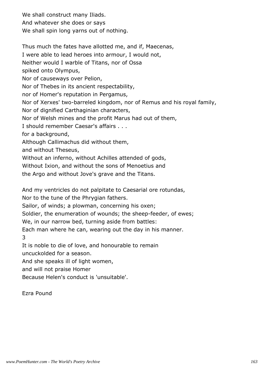We shall construct many Iliads. And whatever she does or says We shall spin long yarns out of nothing.

Thus much the fates have allotted me, and if, Maecenas, I were able to lead heroes into armour, I would not, Neither would I warble of Titans, nor of Ossa spiked onto Olympus, Nor of causeways over Pelion, Nor of Thebes in its ancient respectability, nor of Homer's reputation in Pergamus, Nor of Xerxes' two-barreled kingdom, nor of Remus and his royal family, Nor of dignified Carthaginian characters, Nor of Welsh mines and the profit Marus had out of them, I should remember Caesar's affairs . . . for a background, Although Callimachus did without them, and without Theseus, Without an inferno, without Achilles attended of gods, Without Ixion, and without the sons of Menoetius and the Argo and without Jove's grave and the Titans.

And my ventricles do not palpitate to Caesarial ore rotundas,

Nor to the tune of the Phrygian fathers.

Sailor, of winds; a plowman, concerning his oxen;

Soldier, the enumeration of wounds; the sheep-feeder, of ewes;

We, in our narrow bed, turning aside from battles:

Each man where he can, wearing out the day in his manner.

3

It is noble to die of love, and honourable to remain

uncuckolded for a season.

And she speaks ill of light women,

and will not praise Homer

Because Helen's conduct is 'unsuitable'.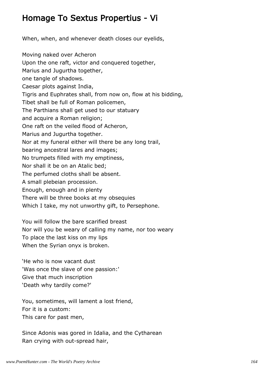## Homage To Sextus Propertius - Vi

When, when, and whenever death closes our eyelids,

Moving naked over Acheron Upon the one raft, victor and conquered together, Marius and Jugurtha together, one tangle of shadows. Caesar plots against India, Tigris and Euphrates shall, from now on, flow at his bidding, Tibet shall be full of Roman policemen, The Parthians shall get used to our statuary and acquire a Roman religion; One raft on the veiled flood of Acheron, Marius and Jugurtha together. Nor at my funeral either will there be any long trail, bearing ancestral lares and images; No trumpets filled with my emptiness, Nor shall it be on an Atalic bed; The perfumed cloths shall be absent. A small plebeian procession. Enough, enough and in plenty There will be three books at my obsequies Which I take, my not unworthy gift, to Persephone.

You will follow the bare scarified breast Nor will you be weary of calling my name, nor too weary To place the last kiss on my lips When the Syrian onyx is broken.

'He who is now vacant dust 'Was once the slave of one passion:' Give that much inscription 'Death why tardily come?'

You, sometimes, will lament a lost friend, For it is a custom: This care for past men,

Since Adonis was gored in Idalia, and the Cytharean Ran crying with out-spread hair,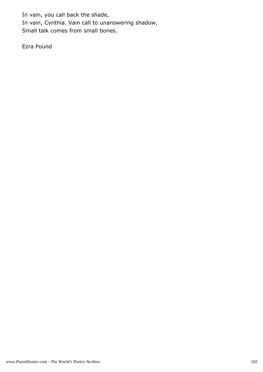In vain, you call back the shade, In vain, Cynthia. Vain call to unanswering shadow, Small talk comes from small bones.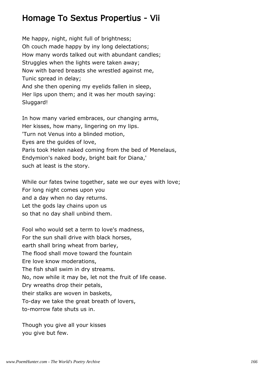## Homage To Sextus Propertius - Vii

Me happy, night, night full of brightness; Oh couch made happy by iny long delectations; How many words talked out with abundant candles; Struggles when the lights were taken away; Now with bared breasts she wrestled against me, Tunic spread in delay; And she then opening my eyelids fallen in sleep, Her lips upon them; and it was her mouth saying: Sluggard!

In how many varied embraces, our changing arms, Her kisses, how many, lingering on my lips. 'Turn not Venus into a blinded motion, Eyes are the guides of love, Paris took Helen naked coming from the bed of Menelaus, Endymion's naked body, bright bait for Diana,' such at least is the story.

While our fates twine together, sate we our eyes with love; For long night comes upon you and a day when no day returns. Let the gods lay chains upon us so that no day shall unbind them.

Fool who would set a term to love's madness, For the sun shall drive with black horses, earth shall bring wheat from barley, The flood shall move toward the fountain Ere love know moderations, The fish shall swim in dry streams. No, now while it may be, let not the fruit of life cease. Dry wreaths drop their petals, their stalks are woven in baskets, To-day we take the great breath of lovers, to-morrow fate shuts us in.

Though you give all your kisses you give but few.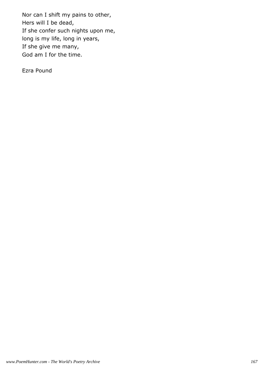Nor can I shift my pains to other, Hers will I be dead, If she confer such nights upon me, long is my life, long in years, If she give me many, God am I for the time.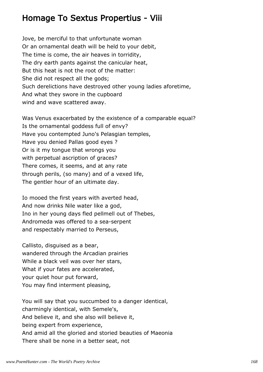## Homage To Sextus Propertius - Viii

Jove, be merciful to that unfortunate woman Or an ornamental death will be held to your debit, The time is come, the air heaves in torridity, The dry earth pants against the canicular heat, But this heat is not the root of the matter: She did not respect all the gods; Such derelictions have destroyed other young ladies aforetime, And what they swore in the cupboard wind and wave scattered away.

Was Venus exacerbated by the existence of a comparable equal? Is the ornamental goddess full of envy? Have you contempted Juno's Pelasgian temples, Have you denied Pallas good eyes ? Or is it my tongue that wrongs you with perpetual ascription of graces? There comes, it seems, and at any rate through perils, (so many) and of a vexed life, The gentler hour of an ultimate day.

Io mooed the first years with averted head, And now drinks Nile water like a god, Ino in her young days fled pellmell out of Thebes, Andromeda was offered to a sea-serpent and respectably married to Perseus,

Callisto, disguised as a bear, wandered through the Arcadian prairies While a black veil was over her stars, What if your fates are accelerated, your quiet hour put forward, You may find interment pleasing,

You will say that you succumbed to a danger identical, charmingly identical, with Semele's, And believe it, and she also will believe it, being expert from experience, And amid all the gloried and storied beauties of Maeonia There shall be none in a better seat, not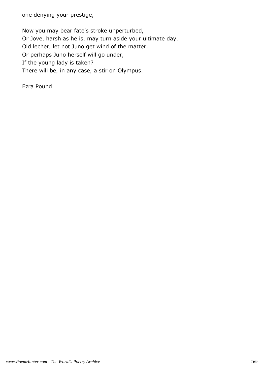one denying your prestige,

Now you may bear fate's stroke unperturbed, Or Jove, harsh as he is, may turn aside your ultimate day. Old lecher, let not Juno get wind of the matter, Or perhaps Juno herself will go under, If the young lady is taken? There will be, in any case, a stir on Olympus.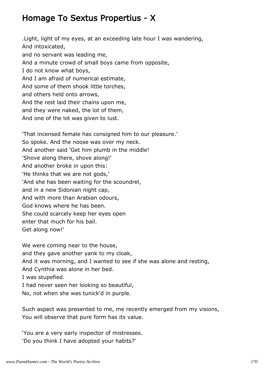## Homage To Sextus Propertius - X

.Light, light of my eyes, at an exceeding late hour I was wandering, And intoxicated, and no servant was leading me, And a minute crowd of small boys came from opposite, I do not know what boys, And I am afraid of numerical estimate, And some of them shook little torches, and others held onto arrows, And the rest laid their chains upon me, and they were naked, the lot of them, And one of the lot was given to lust.

'That incensed female has consigned him to our pleasure.' So spoke. And the noose was over my neck. And another said 'Get him plumb in the middle! 'Shove along there, shove along!' And another broke in upon this: 'He thinks that we are not gods,' 'And she has been waiting for the scoundrel, and in a new Sidonian night cap, And with more than Arabian odours, God knows where he has been. She could scarcely keep her eyes open enter that much for his bail. Get along now!'

We were coming near to the house, and they gave another yank to my cloak, And it was morning, and I wanted to see if she was alone and resting, And Cynthia was alone in her bed. I was stupefied. I had never seen her looking so beautiful, No, not when she was tunick'd in purple.

Such aspect was presented to me, me recently emerged from my visions, You will observe that pure form has its value.

'You are a very early inspector of mistresses. 'Do you think I have adopted your habits?'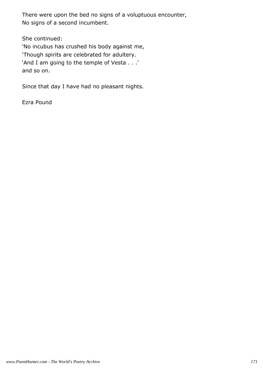There were upon the bed no signs of a voluptuous encounter, No signs of a second incumbent.

She continued:

'No incubus has crushed his body against me, 'Though spirits are celebrated for adultery. 'And I am going to the temple of Vesta . . .' and so on.

Since that day I have had no pleasant nights.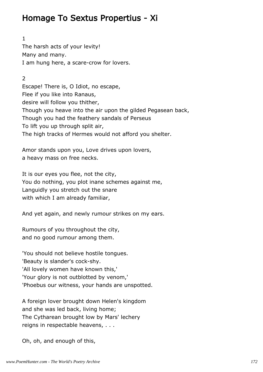## Homage To Sextus Propertius - Xi

1 The harsh acts of your levity! Many and many. I am hung here, a scare-crow for lovers.

2

Escape! There is, O Idiot, no escape, Flee if you like into Ranaus, desire will follow you thither, Though you heave into the air upon the gilded Pegasean back, Though you had the feathery sandals of Perseus To lift you up through split air, The high tracks of Hermes would not afford you shelter.

Amor stands upon you, Love drives upon lovers, a heavy mass on free necks.

It is our eyes you flee, not the city, You do nothing, you plot inane schemes against me, Languidly you stretch out the snare with which I am already familiar,

And yet again, and newly rumour strikes on my ears.

Rumours of you throughout the city, and no good rumour among them.

'You should not believe hostile tongues. 'Beauty is slander's cock-shy. 'All lovely women have known this,' 'Your glory is not outblotted by venom,' 'Phoebus our witness, your hands are unspotted.

A foreign lover brought down Helen's kingdom and she was led back, living home; The Cytharean brought low by Mars' lechery reigns in respectable heavens, . . .

Oh, oh, and enough of this,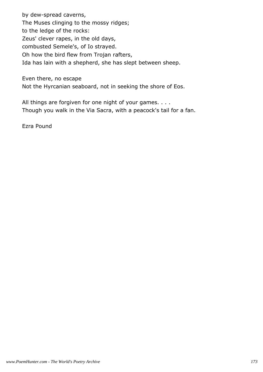by dew-spread caverns, The Muses clinging to the mossy ridges; to the ledge of the rocks: Zeus' clever rapes, in the old days, combusted Semele's, of Io strayed. Oh how the bird flew from Trojan rafters, Ida has lain with a shepherd, she has slept between sheep.

Even there, no escape Not the Hyrcanian seaboard, not in seeking the shore of Eos.

All things are forgiven for one night of your games. . . . Though you walk in the Via Sacra, with a peacock's tail for a fan.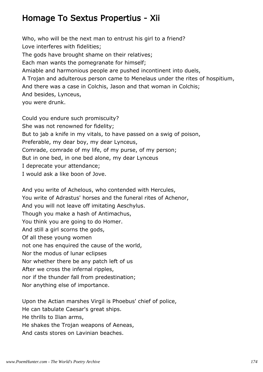## Homage To Sextus Propertius - Xii

Who, who will be the next man to entrust his girl to a friend? Love interferes with fidelities; The gods have brought shame on their relatives; Each man wants the pomegranate for himself; Amiable and harmonious people are pushed incontinent into duels, A Trojan and adulterous person came to Menelaus under the rites of hospitium, And there was a case in Colchis, Jason and that woman in Colchis; And besides, Lynceus, you were drunk.

Could you endure such promiscuity? She was not renowned for fidelity; But to jab a knife in my vitals, to have passed on a swig of poison, Preferable, my dear boy, my dear Lynceus, Comrade, comrade of my life, of my purse, of my person; But in one bed, in one bed alone, my dear Lynceus I deprecate your attendance; I would ask a like boon of Jove.

And you write of Achelous, who contended with Hercules, You write of Adrastus' horses and the funeral rites of Achenor, And you will not leave off imitating Aeschylus. Though you make a hash of Antimachus, You think you are going to do Homer. And still a girl scorns the gods, Of all these young women not one has enquired the cause of the world, Nor the modus of lunar eclipses Nor whether there be any patch left of us After we cross the infernal ripples, nor if the thunder fall from predestination; Nor anything else of importance.

Upon the Actian marshes Virgil is Phoebus' chief of police, He can tabulate Caesar's great ships. He thrills to Ilian arms, He shakes the Trojan weapons of Aeneas, And casts stores on Lavinian beaches.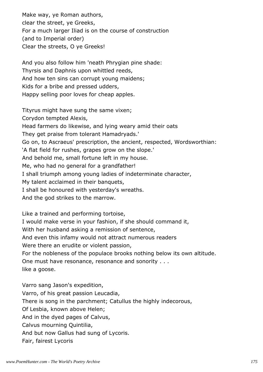Make way, ye Roman authors, clear the street, ye Greeks, For a much larger Iliad is on the course of construction (and to Imperial order) Clear the streets, O ye Greeks!

And you also follow him 'neath Phrygian pine shade: Thyrsis and Daphnis upon whittled reeds, And how ten sins can corrupt young maidens; Kids for a bribe and pressed udders, Happy selling poor loves for cheap apples.

Tityrus might have sung the same vixen; Corydon tempted Alexis, Head farmers do likewise, and lying weary amid their oats They get praise from tolerant Hamadryads.' Go on, to Ascraeus' prescription, the ancient, respected, Wordsworthian: 'A flat field for rushes, grapes grow on the slope.' And behold me, small fortune left in my house. Me, who had no general for a grandfather! I shall triumph among young ladies of indeterminate character, My talent acclaimed in their banquets, I shall be honoured with yesterday's wreaths. And the god strikes to the marrow.

Like a trained and performing tortoise, I would make verse in your fashion, if she should command it, With her husband asking a remission of sentence, And even this infamy would not attract numerous readers Were there an erudite or violent passion, For the nobleness of the populace brooks nothing below its own altitude. One must have resonance, resonance and sonority . . . like a goose. Varro sang Jason's expedition, Varro, of his great passion Leucadia, There is song in the parchment; Catullus the highly indecorous, Of Lesbia, known above Helen; And in the dyed pages of Calvus, Calvus mourning Quintilia, And but now Gallus had sung of Lycoris. Fair, fairest Lycoris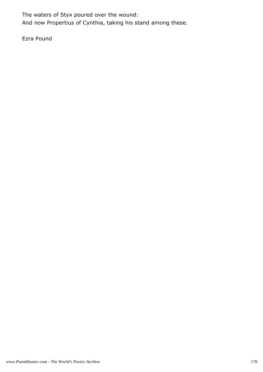The waters of Styx poured over the wound: And now Propertius of Cynthia, taking his stand among these.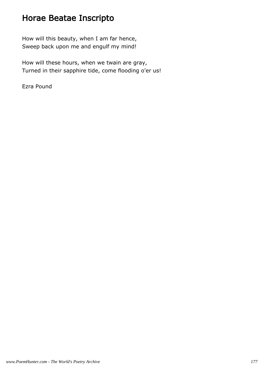# Horae Beatae Inscripto

How will this beauty, when I am far hence, Sweep back upon me and engulf my mind!

How will these hours, when we twain are gray, Turned in their sapphire tide, come flooding o'er us!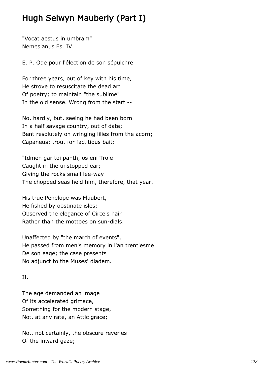# Hugh Selwyn Mauberly (Part I)

"Vocat aestus in umbram" Nemesianus Es. IV.

E. P. Ode pour l'élection de son sépulchre

For three years, out of key with his time, He strove to resuscitate the dead art Of poetry; to maintain "the sublime" In the old sense. Wrong from the start --

No, hardly, but, seeing he had been born In a half savage country, out of date; Bent resolutely on wringing lilies from the acorn; Capaneus; trout for factitious bait:

"Idmen gar toi panth, os eni Troie Caught in the unstopped ear; Giving the rocks small lee-way The chopped seas held him, therefore, that year.

His true Penelope was Flaubert, He fished by obstinate isles; Observed the elegance of Circe's hair Rather than the mottoes on sun-dials.

Unaffected by "the march of events", He passed from men's memory in l'an trentiesme De son eage; the case presents No adjunct to the Muses' diadem.

II.

The age demanded an image Of its accelerated grimace, Something for the modern stage, Not, at any rate, an Attic grace;

Not, not certainly, the obscure reveries Of the inward gaze;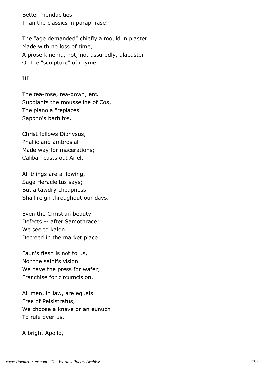Better mendacities Than the classics in paraphrase!

The "age demanded" chiefly a mould in plaster, Made with no loss of time, A prose kinema, not, not assuredly, alabaster Or the "sculpture" of rhyme.

#### III.

The tea-rose, tea-gown, etc. Supplants the mousseline of Cos, The pianola "replaces" Sappho's barbitos.

Christ follows Dionysus, Phallic and ambrosial Made way for macerations; Caliban casts out Ariel.

All things are a flowing, Sage Heracleitus says; But a tawdry cheapness Shall reign throughout our days.

Even the Christian beauty Defects -- after Samothrace; We see to kalon Decreed in the market place.

Faun's flesh is not to us, Nor the saint's vision. We have the press for wafer; Franchise for circumcision.

All men, in law, are equals. Free of Peisistratus, We choose a knave or an eunuch To rule over us.

A bright Apollo,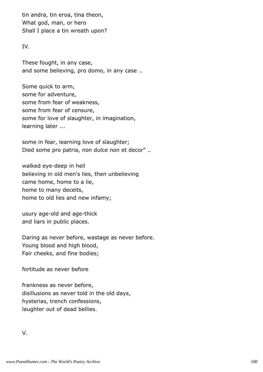tin andra, tin eroa, tina theon, What god, man, or hero Shall I place a tin wreath upon?

IV.

These fought, in any case, and some believing, pro domo, in any case ..

Some quick to arm, some for adventure, some from fear of weakness, some from fear of censure, some for love of slaughter, in imagination, learning later ...

some in fear, learning love of slaughter; Died some pro patria, non dulce non et decor" ..

walked eye-deep in hell believing in old men's lies, then unbelieving came home, home to a lie, home to many deceits, home to old lies and new infamy;

usury age-old and age-thick and liars in public places.

Daring as never before, wastage as never before. Young blood and high blood, Fair cheeks, and fine bodies;

fortitude as never before

frankness as never before, disillusions as never told in the old days, hysterias, trench confessions, laughter out of dead bellies.

V.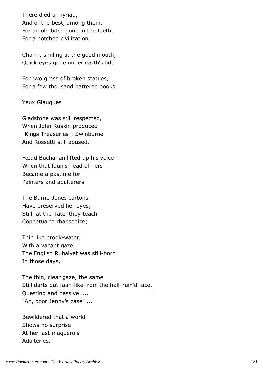There died a myriad, And of the best, among them, For an old bitch gone in the teeth, For a botched civilization.

Charm, smiling at the good mouth, Quick eyes gone under earth's lid,

For two gross of broken statues, For a few thousand battered books.

#### Yeux Glauques

Gladstone was still respected, When John Ruskin produced "Kings Treasuries"; Swinburne And Rossetti still abused.

Fœtid Buchanan lifted up his voice When that faun's head of hers Became a pastime for Painters and adulterers.

The Burne-Jones cartons Have preserved her eyes; Still, at the Tate, they teach Cophetua to rhapsodize;

Thin like brook-water, With a vacant gaze. The English Rubaiyat was still-born In those days.

The thin, clear gaze, the same Still darts out faun-like from the half-ruin'd face, Questing and passive .... "Ah, poor Jenny's case" ...

Bewildered that a world Shows no surprise At her last maquero's Adulteries.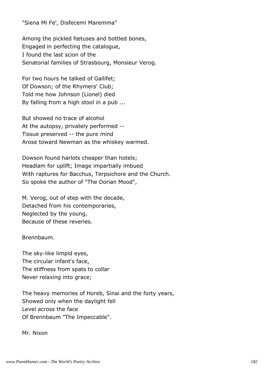"Siena Mi Fe', Disfecemi Maremma"

Among the pickled fœtuses and bottled bones, Engaged in perfecting the catalogue, I found the last scion of the Senatorial families of Strasbourg, Monsieur Verog.

For two hours he talked of Gallifet; Of Dowson; of the Rhymers' Club; Told me how Johnson (Lionel) died By falling from a high stool in a pub ...

But showed no trace of alcohol At the autopsy, privately performed -- Tissue preserved -- the pure mind Arose toward Newman as the whiskey warmed.

Dowson found harlots cheaper than hotels; Headlam for uplift; Image impartially imbued With raptures for Bacchus, Terpsichore and the Church. So spoke the author of "The Dorian Mood",

M. Verog, out of step with the decade, Detached from his contemporaries, Neglected by the young, Because of these reveries.

Brennbaum.

The sky-like limpid eyes, The circular infant's face, The stiffness from spats to collar Never relaxing into grace;

The heavy memories of Horeb, Sinai and the forty years, Showed only when the daylight fell Level across the face Of Brennbaum "The Impeccable".

Mr. Nixon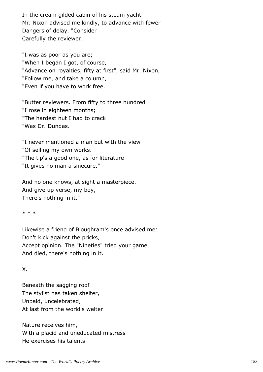In the cream gilded cabin of his steam yacht Mr. Nixon advised me kindly, to advance with fewer Dangers of delay. "Consider Carefully the reviewer.

"I was as poor as you are; "When I began I got, of course, "Advance on royalties, fifty at first", said Mr. Nixon, "Follow me, and take a column, "Even if you have to work free.

"Butter reviewers. From fifty to three hundred "I rose in eighteen months; "The hardest nut I had to crack "Was Dr. Dundas.

"I never mentioned a man but with the view "Of selling my own works. "The tip's a good one, as for literature "It gives no man a sinecure."

And no one knows, at sight a masterpiece. And give up verse, my boy, There's nothing in it."

\* \* \*

Likewise a friend of Bloughram's once advised me: Don't kick against the pricks, Accept opinion. The "Nineties" tried your game And died, there's nothing in it.

X.

Beneath the sagging roof The stylist has taken shelter, Unpaid, uncelebrated, At last from the world's welter

Nature receives him, With a placid and uneducated mistress He exercises his talents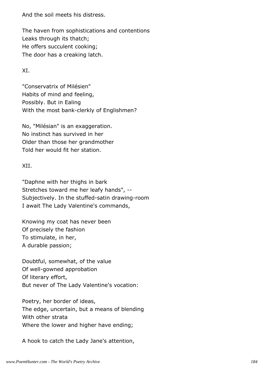And the soil meets his distress.

The haven from sophistications and contentions Leaks through its thatch; He offers succulent cooking; The door has a creaking latch.

### XI.

"Conservatrix of Milésien" Habits of mind and feeling, Possibly. But in Ealing With the most bank-clerkly of Englishmen?

No, "Milésian" is an exaggeration. No instinct has survived in her Older than those her grandmother Told her would fit her station.

### XII.

"Daphne with her thighs in bark Stretches toward me her leafy hands", -- Subjectively. In the stuffed-satin drawing-room I await The Lady Valentine's commands,

Knowing my coat has never been Of precisely the fashion To stimulate, in her, A durable passion;

Doubtful, somewhat, of the value Of well-gowned approbation Of literary effort, But never of The Lady Valentine's vocation:

Poetry, her border of ideas, The edge, uncertain, but a means of blending With other strata Where the lower and higher have ending;

A hook to catch the Lady Jane's attention,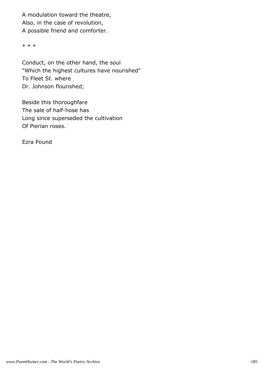A modulation toward the theatre, Also, in the case of revolution, A possible friend and comforter.

\* \* \*

Conduct, on the other hand, the soul "Which the highest cultures have nourished" To Fleet St. where Dr. Johnson flourished;

Beside this thoroughfare The sale of half-hose has Long since superseded the cultivation Of Pierian roses.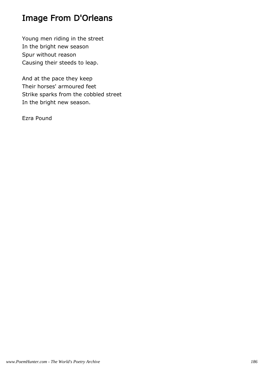# Image From D'Orleans

Young men riding in the street In the bright new season Spur without reason Causing their steeds to leap.

And at the pace they keep Their horses' armoured feet Strike sparks from the cobbled street In the bright new season.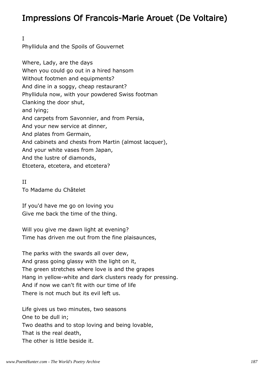## Impressions Of Francois-Marie Arouet (De Voltaire)

### I

Phyllidula and the Spoils of Gouvernet

Where, Lady, are the days When you could go out in a hired hansom Without footmen and equipments? And dine in a soggy, cheap restaurant? Phyllidula now, with your powdered Swiss footman Clanking the door shut, and lying; And carpets from Savonnier, and from Persia, And your new service at dinner, And plates from Germain, And cabinets and chests from Martin (almost lacquer), And your white vases from Japan, And the lustre of diamonds, Etcetera, etcetera, and etcetera?

### II

To Madame du Châtelet

If you'd have me go on loving you Give me back the time of the thing.

Will you give me dawn light at evening? Time has driven me out from the fine plaisaunces,

The parks with the swards all over dew, And grass going glassy with the light on it, The green stretches where love is and the grapes Hang in yellow-white and dark clusters ready for pressing. And if now we can't fit with our time of life There is not much but its evil left us.

Life gives us two minutes, two seasons One to be dull in; Two deaths and to stop loving and being lovable, That is the real death, The other is little beside it.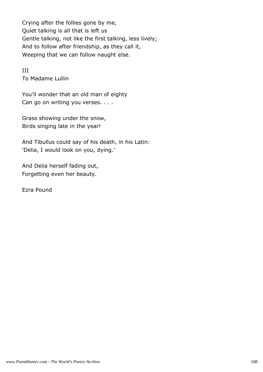Crying after the follies gone by me, Quiet talking is all that is left us Gentle talking, not like the first talking, less lively; And to follow after friendship, as they call it, Weeping that we can follow naught else.

### III

To Madame Lullin

You'll wonder that an old man of eighty Can go on writing you verses. . . .

Grass showing under the snow, Birds singing late in the year!

And Tibullus could say of his death, in his Latin: 'Delia, I would look on you, dying.'

And Delia herself fading out, Forgetting even her beauty.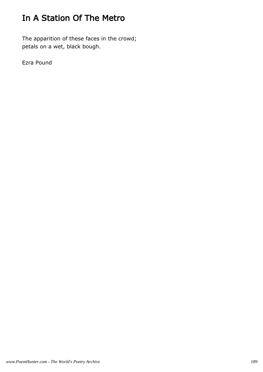# In A Station Of The Metro

The apparition of these faces in the crowd; petals on a wet, black bough.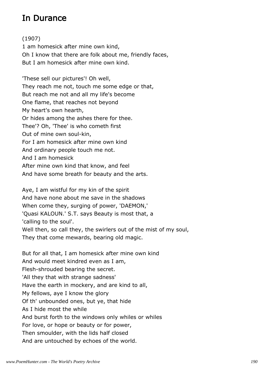## In Durance

(1907) 1 am homesick after mine own kind, Oh I know that there are folk about me, friendly faces, But I am homesick after mine own kind.

'These sell our pictures'! Oh well, They reach me not, touch me some edge or that, But reach me not and all my life's become One flame, that reaches not beyond My heart's own hearth, Or hides among the ashes there for thee. Thee'? Oh, 'Thee' is who cometh first Out of mine own soul-kin, For I am homesick after mine own kind And ordinary people touch me not. And I am homesick After mine own kind that know, and feel And have some breath for beauty and the arts.

Aye, I am wistful for my kin of the spirit And have none about me save in the shadows When come they, surging of power, 'DAEMON,' 'Quasi KALOUN.' S.T. says Beauty is most that, a 'calling to the soul'. Well then, so call they, the swirlers out of the mist of my soul, They that come mewards, bearing old magic.

But for all that, I am homesick after mine own kind And would meet kindred even as I am, Flesh-shrouded bearing the secret. 'All they that with strange sadness' Have the earth in mockery, and are kind to all, My fellows, aye I know the glory Of th' unbounded ones, but ye, that hide As I hide most the while And burst forth to the windows only whiles or whiles For love, or hope or beauty or for power, Then smoulder, with the lids half closed And are untouched by echoes of the world.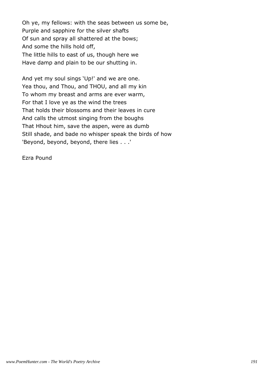Oh ye, my fellows: with the seas between us some be, Purple and sapphire for the silver shafts Of sun and spray all shattered at the bows; And some the hills hold off, The little hills to east of us, though here we Have damp and plain to be our shutting in.

And yet my soul sings 'Up!' and we are one. Yea thou, and Thou, and THOU, and all my kin To whom my breast and arms are ever warm, For that I love ye as the wind the trees That holds their blossoms and their leaves in cure And calls the utmost singing from the boughs That Hhout him, save the aspen, were as dumb Still shade, and bade no whisper speak the birds of how 'Beyond, beyond, beyond, there lies . . .'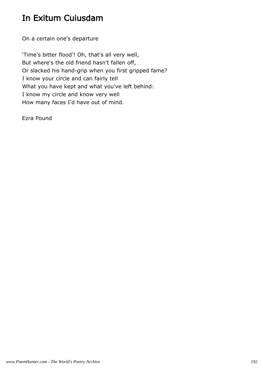## In Exitum Cuiusdam

On a certain one's departure

'Time's bitter flood'! Oh, that's all very well, But where's the old friend hasn't fallen off, Or slacked his hand-grip when you first gripped fame? I know your circle and can fairly tell What you have kept and what you've left behind: I know my circle and know very well How many faces I'd have out of mind.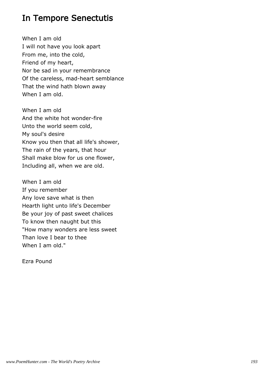## In Tempore Senectutis

When I am old I will not have you look apart From me, into the cold, Friend of my heart, Nor be sad in your remembrance Of the careless, mad-heart semblance That the wind hath blown away When I am old.

When I am old And the white hot wonder-fire Unto the world seem cold, My soul's desire Know you then that all life's shower, The rain of the years, that hour Shall make blow for us one flower, Including all, when we are old.

When I am old If you remember Any love save what is then Hearth light unto life's December Be your joy of past sweet chalices To know then naught but this "How many wonders are less sweet Than love I bear to thee When I am old."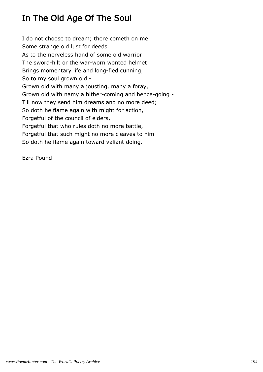# In The Old Age Of The Soul

I do not choose to dream; there cometh on me Some strange old lust for deeds. As to the nerveless hand of some old warrior The sword-hilt or the war-worn wonted helmet Brings momentary life and long-fled cunning, So to my soul grown old - Grown old with many a jousting, many a foray, Grown old with namy a hither-coming and hence-going - Till now they send him dreams and no more deed; So doth he flame again with might for action, Forgetful of the council of elders, Forgetful that who rules doth no more battle, Forgetful that such might no more cleaves to him So doth he flame again toward valiant doing.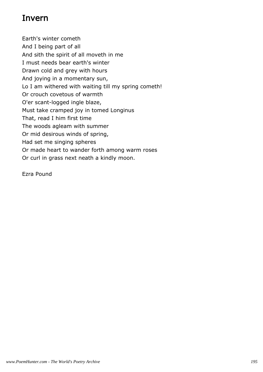## Invern

Earth's winter cometh And I being part of all And sith the spirit of all moveth in me I must needs bear earth's winter Drawn cold and grey with hours And joying in a momentary sun, Lo I am withered with waiting till my spring cometh! Or crouch covetous of warmth O'er scant-logged ingle blaze, Must take cramped joy in tomed Longinus That, read I him first time The woods agleam with summer Or mid desirous winds of spring, Had set me singing spheres Or made heart to wander forth among warm roses Or curl in grass next neath a kindly moon.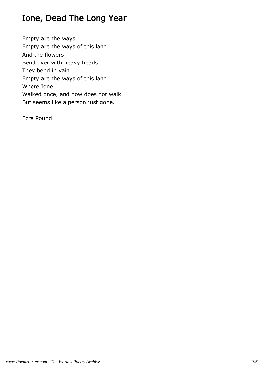# Ione, Dead The Long Year

Empty are the ways, Empty are the ways of this land And the flowers Bend over with heavy heads. They bend in vain. Empty are the ways of this land Where Ione Walked once, and now does not walk But seems like a person just gone.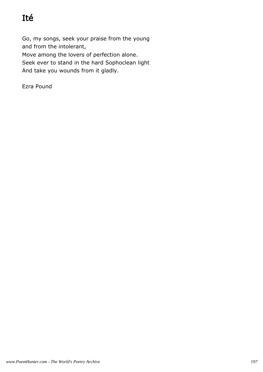# Ité

Go, my songs, seek your praise from the young and from the intolerant, Move among the lovers of perfection alone. Seek ever to stand in the hard Sophoclean light And take you wounds from it gladly.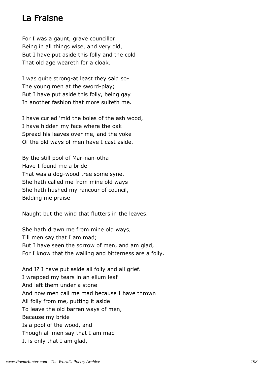### La Fraisne

For I was a gaunt, grave councillor Being in all things wise, and very old, But I have put aside this folly and the cold That old age weareth for a cloak.

I was quite strong-at least they said so-The young men at the sword-play; But I have put aside this folly, being gay In another fashion that more suiteth me.

I have curled 'mid the boles of the ash wood, I have hidden my face where the oak Spread his leaves over me, and the yoke Of the old ways of men have I cast aside.

By the still pool of Mar-nan-otha Have I found me a bride That was a dog-wood tree some syne. She hath called me from mine old ways She hath hushed my rancour of council, Bidding me praise

Naught but the wind that flutters in the leaves.

She hath drawn me from mine old ways, Till men say that I am mad; But I have seen the sorrow of men, and am glad, For I know that the wailing and bitterness are a folly.

And I? I have put aside all folly and all grief. I wrapped my tears in an ellum leaf And left them under a stone And now men call me mad because I have thrown All folly from me, putting it aside To leave the old barren ways of men, Because my bride Is a pool of the wood, and Though all men say that I am mad It is only that I am glad,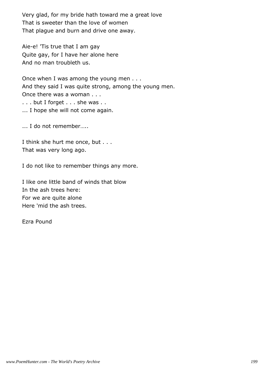Very glad, for my bride hath toward me a great love That is sweeter than the love of women That plague and burn and drive one away.

Aie-e! 'Tis true that I am gay Quite gay, for I have her alone here And no man troubleth us.

Once when I was among the young men . . . And they said I was quite strong, among the young men. Once there was a woman . . . . . . but I forget . . . she was . . ... I hope she will not come again.

... I do not remember…..

I think she hurt me once, but . . . That was very long ago.

I do not like to remember things any more.

I like one little band of winds that blow In the ash trees here: For we are quite alone Here 'mid the ash trees.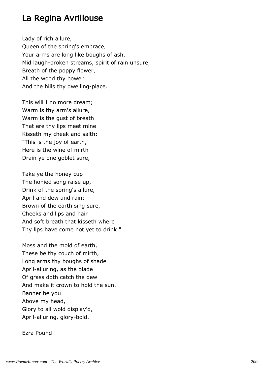## La Regina Avrillouse

Lady of rich allure, Queen of the spring's embrace, Your arms are long like boughs of ash, Mid laugh-broken streams, spirit of rain unsure, Breath of the poppy flower, All the wood thy bower And the hills thy dwelling-place.

This will I no more dream; Warm is thy arm's allure, Warm is the gust of breath That ere thy lips meet mine Kisseth my cheek and saith: "This is the joy of earth, Here is the wine of mirth Drain ye one goblet sure,

Take ye the honey cup The honied song raise up, Drink of the spring's allure, April and dew and rain; Brown of the earth sing sure, Cheeks and lips and hair And soft breath that kisseth where Thy lips have come not yet to drink."

Moss and the mold of earth, These be thy couch of mirth, Long arms thy boughs of shade April-alluring, as the blade Of grass doth catch the dew And make it crown to hold the sun. Banner be you Above my head, Glory to all wold display'd, April-alluring, glory-bold.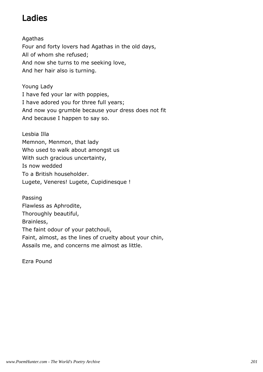### Ladies

Agathas Four and forty lovers had Agathas in the old days, All of whom she refused; And now she turns to me seeking love, And her hair also is turning.

Young Lady I have fed your lar with poppies, I have adored you for three full years; And now you grumble because your dress does not fit And because I happen to say so.

Lesbia Illa Memnon, Menmon, that lady Who used to walk about amongst us With such gracious uncertainty, Is now wedded To a British householder. Lugete, Veneres! Lugete, Cupidinesque !

Passing Flawless as Aphrodite, Thoroughly beautiful, Brainless, The faint odour of your patchouli, Faint, almost, as the lines of cruelty about your chin, Assails me, and concerns me almost as little.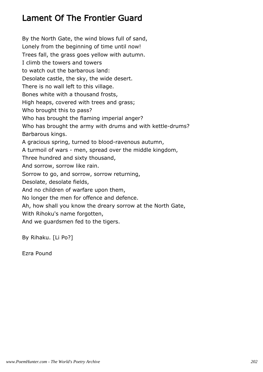## Lament Of The Frontier Guard

By the North Gate, the wind blows full of sand, Lonely from the beginning of time until now! Trees fall, the grass goes yellow with autumn. I climb the towers and towers to watch out the barbarous land: Desolate castle, the sky, the wide desert. There is no wall left to this village. Bones white with a thousand frosts, High heaps, covered with trees and grass; Who brought this to pass? Who has brought the flaming imperial anger? Who has brought the army with drums and with kettle-drums? Barbarous kings. A gracious spring, turned to blood-ravenous autumn, A turmoil of wars - men, spread over the middle kingdom, Three hundred and sixty thousand, And sorrow, sorrow like rain. Sorrow to go, and sorrow, sorrow returning, Desolate, desolate fields, And no children of warfare upon them, No longer the men for offence and defence. Ah, how shall you know the dreary sorrow at the North Gate, With Rihoku's name forgotten, And we guardsmen fed to the tigers.

By Rihaku. [Li Po?]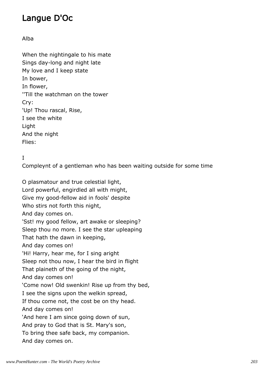## Langue D'Oc

### Alba

When the nightingale to his mate Sings day-long and night late My love and I keep state In bower, In flower, ''Till the watchman on the tower Cry: 'Up! Thou rascal, Rise, I see the white Light And the night Flies:

### I

Compleynt of a gentleman who has been waiting outside for some time

O plasmatour and true celestial light, Lord powerful, engirdled all with might, Give my good-fellow aid in fools' despite Who stirs not forth this night, And day comes on. 'Sst! my good fellow, art awake or sleeping? Sleep thou no more. I see the star upleaping That hath the dawn in keeping, And day comes on! 'Hi! Harry, hear me, for I sing aright Sleep not thou now, I hear the bird in flight That plaineth of the going of the night, And day comes on! 'Come now! Old swenkin! Rise up from thy bed, I see the signs upon the welkin spread, If thou come not, the cost be on thy head. And day comes on! 'And here I am since going down of sun, And pray to God that is St. Mary's son, To bring thee safe back, my companion. And day comes on.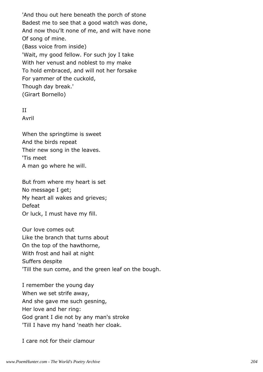'And thou out here beneath the porch of stone Badest me to see that a good watch was done, And now thou'lt none of me, and wilt have none Of song of mine. (Bass voice from inside) 'Wait, my good fellow. For such joy I take With her venust and noblest to my make To hold embraced, and will not her forsake For yammer of the cuckold, Though day break.' (Girart Bornello)

II

Avril

When the springtime is sweet And the birds repeat Their new song in the leaves. 'Tis meet A man go where he will.

But from where my heart is set No message I get; My heart all wakes and grieves; Defeat Or luck, I must have my fill.

Our love comes out Like the branch that turns about On the top of the hawthorne, With frost and hail at night Suffers despite 'Till the sun come, and the green leaf on the bough.

I remember the young day When we set strife away, And she gave me such gesning, Her love and her ring: God grant I die not by any man's stroke 'Till I have my hand 'neath her cloak.

I care not for their clamour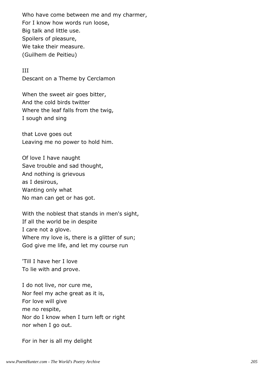Who have come between me and my charmer, For I know how words run loose, Big talk and little use. Spoilers of pleasure, We take their measure. (Guilhem de Peitieu)

#### III

Descant on a Theme by Cerclamon

When the sweet air goes bitter, And the cold birds twitter Where the leaf falls from the twig, I sough and sing

that Love goes out Leaving me no power to hold him.

Of love I have naught Save trouble and sad thought, And nothing is grievous as I desirous, Wanting only what No man can get or has got.

With the noblest that stands in men's sight, If all the world be in despite I care not a glove. Where my love is, there is a glitter of sun; God give me life, and let my course run

'Till I have her I love To lie with and prove.

I do not live, nor cure me, Nor feel my ache great as it is, For love will give me no respite, Nor do I know when I turn left or right nor when I go out.

For in her is all my delight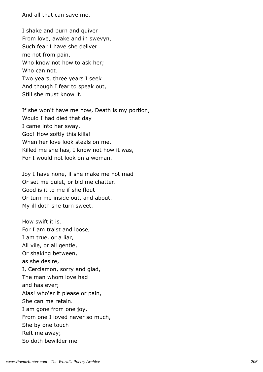And all that can save me.

I shake and burn and quiver From love, awake and in swevyn, Such fear I have she deliver me not from pain, Who know not how to ask her; Who can not. Two years, three years I seek And though I fear to speak out, Still she must know it.

If she won't have me now, Death is my portion, Would I had died that day I came into her sway. God! How softly this kills! When her love look steals on me. Killed me she has, I know not how it was, For I would not look on a woman.

Joy I have none, if she make me not mad Or set me quiet, or bid me chatter. Good is it to me if she flout Or turn me inside out, and about. My ill doth she turn sweet.

How swift it is. For I am traist and loose, I am true, or a liar, All vile, or all gentle, Or shaking between, as she desire, I, Cerclamon, sorry and glad, The man whom love had and has ever; Alas! who'er it please or pain, She can me retain. I am gone from one joy, From one I loved never so much, She by one touch Reft me away; So doth bewilder me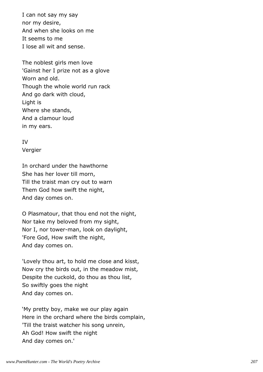I can not say my say nor my desire, And when she looks on me It seems to me I lose all wit and sense.

The noblest girls men love 'Gainst her I prize not as a glove Worn and old. Though the whole world run rack And go dark with cloud, Light is Where she stands, And a clamour loud in my ears.

IV Vergier

In orchard under the hawthorne She has her lover till morn, Till the traist man cry out to warn Them God how swift the night, And day comes on.

O Plasmatour, that thou end not the night, Nor take my beloved from my sight, Nor I, nor tower-man, look on daylight, 'Fore God, How swift the night, And day comes on.

'Lovely thou art, to hold me close and kisst, Now cry the birds out, in the meadow mist, Despite the cuckold, do thou as thou list, So swiftly goes the night And day comes on.

'My pretty boy, make we our play again Here in the orchard where the birds complain, 'Till the traist watcher his song unrein, Ah God! How swift the night And day comes on.'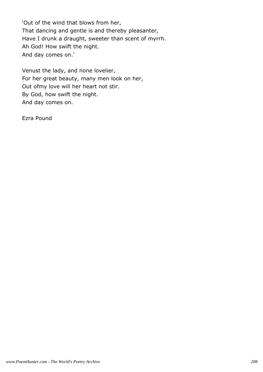'Out of the wind that blows from her, That dancing and gentle is and thereby pleasanter, Have I drunk a draught, sweeter than scent of myrrh. Ah God! How swift the night. And day comes on.'

Venust the lady, and none lovelier, For her great beauty, many men look on her, Out ofmy love will her heart not stir. By God, how swift the night. And day comes on.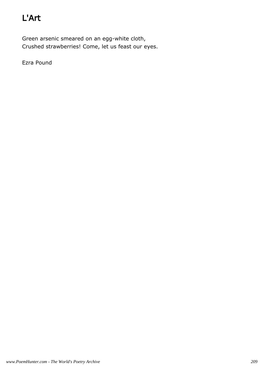# L'Art

Green arsenic smeared on an egg-white cloth, Crushed strawberries! Come, let us feast our eyes.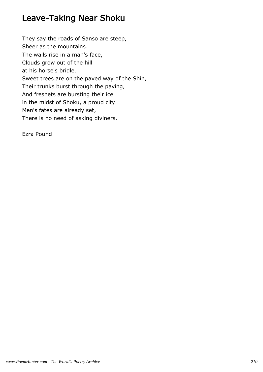## Leave-Taking Near Shoku

They say the roads of Sanso are steep, Sheer as the mountains. The walls rise in a man's face, Clouds grow out of the hill at his horse's bridle. Sweet trees are on the paved way of the Shin, Their trunks burst through the paving, And freshets are bursting their ice in the midst of Shoku, a proud city. Men's fates are already set, There is no need of asking diviners.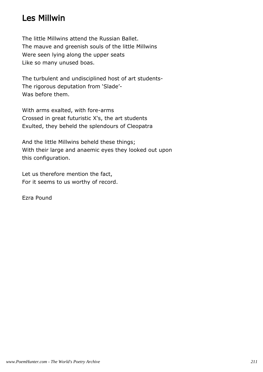## Les Millwin

The little Millwins attend the Russian Ballet. The mauve and greenish souls of the little Millwins Were seen lying along the upper seats Like so many unused boas.

The turbulent and undisciplined host of art students-The rigorous deputation from 'Slade'- Was before them.

With arms exalted, with fore-arms Crossed in great futuristic X's, the art students Exulted, they beheld the splendours of Cleopatra

And the little Millwins beheld these things; With their large and anaemic eyes they looked out upon this configuration.

Let us therefore mention the fact, For it seems to us worthy of record.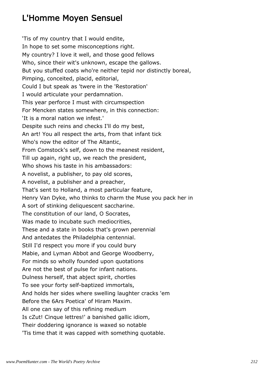# L'Homme Moyen Sensuel

'Tis of my country that I would endite, In hope to set some misconceptions right. My country? I love it well, and those good fellows Who, since their wit's unknown, escape the gallows. But you stuffed coats who're neither tepid nor distinctly boreal, Pimping, conceited, placid, editorial, Could I but speak as 'twere in the 'Restoration' I would articulate your perdamnation. This year perforce I must with circumspection For Mencken states somewhere, in this connection: 'It is a moral nation we infest.' Despite such reins and checks I'll do my best, An art! You all respect the arts, from that infant tick Who's now the editor of The Altantic, From Comstock's self, down to the meanest resident, Till up again, right up, we reach the president, Who shows his taste in his ambassadors: A novelist, a publisher, to pay old scores, A novelist, a publisher and a preacher, That's sent to Holland, a most particular feature, Henry Van Dyke, who thinks to charm the Muse you pack her in A sort of stinking deliquescent saccharine. The constitution of our land, O Socrates, Was made to incubate such mediocrities, These and a state in books that's grown perennial And antedates the Philadelphia centennial. Still I'd respect you more if you could bury Mabie, and Lyman Abbot and George Woodberry, For minds so wholly founded upon quotations Are not the best of pulse for infant nations. Dulness herself, that abject spirit, chortles To see your forty self-baptized immortals, And holds her sides where swelling laughter cracks 'em Before the 6Ars Poetica' of Hiram Maxim. All one can say of this refining medium Is cZut! Cinque lettres!' a banished gallic idiom, Their doddering ignorance is waxed so notable 'Tis time that it was capped with something quotable.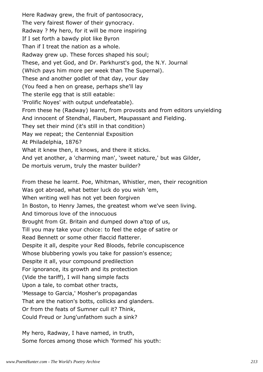Here Radway grew, the fruit of pantosocracy, The very fairest flower of their gynocracy. Radway ? My hero, for it will be more inspiring If I set forth a bawdy plot like Byron Than if I treat the nation as a whole. Radway grew up. These forces shaped his soul; These, and yet God, and Dr. Parkhurst's god, the N.Y. Journal (Which pays him more per week than The Supernal). These and another godlet of that day, your day (You feed a hen on grease, perhaps she'll lay The sterile egg that is still eatable: 'Prolific Noyes' with output undefeatable). From these he (Radway) learnt, from provosts and from editors unyielding And innocent of Stendhal, Flaubert, Maupassant and Fielding. They set their mind (it's still in that condition) May we repeat; the Centennial Exposition At Philadelphia, 1876? What it knew then, it knows, and there it sticks. And yet another, a 'charming man', 'sweet nature,' but was Gilder, De mortuis verum, truly the master builder?

From these he learnt. Poe, Whitman, Whistler, men, their recognition Was got abroad, what better luck do you wish 'em, When writing well has not yet been forgiven In Boston, to Henry James, the greatest whom we've seen living. And timorous love of the innocuous Brought from Gt. Britain and dumped down a'top of us, Till you may take your choice: to feel the edge of satire or Read Bennett or some other flaccid flatterer. Despite it all, despite your Red Bloods, febrile concupiscence Whose blubbering yowls you take for passion's essence; Despite it all, your compound predilection For ignorance, its growth and its protection (Vide the tariff), I will hang simple facts Upon a tale, to combat other tracts, 'Message to Garcia,' Mosher's propagandas That are the nation's botts, collicks and glanders. Or from the feats of Sumner cull it? Think, Could Freud or Jung'unfathom such a sink?

My hero, Radway, I have named, in truth, Some forces among those which 'formed' his youth: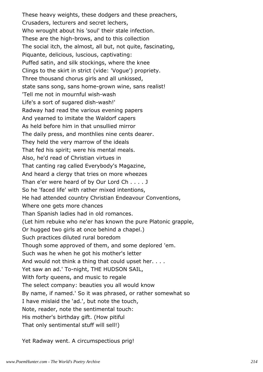These heavy weights, these dodgers and these preachers, Crusaders, lecturers and secret lechers, Who wrought about his 'soul' their stale infection. These are the high-brows, and to this collection The social itch, the almost, all but, not quite, fascinating, Piquante, delicious, luscious, captivating: Puffed satin, and silk stockings, where the knee Clings to the skirt in strict (vide: 'Vogue') propriety. Three thousand chorus girls and all unkissed, state sans song, sans home-grown wine, sans realist! 'Tell me not in mournful wish-wash Life's a sort of sugared dish-wash!' Radway had read the various evening papers And yearned to imitate the Waldorf capers As held before him in that unsullied mirror The daily press, and monthlies nine cents dearer. They held the very marrow of the ideals That fed his spirit; were his mental meals. Also, he'd read of Christian virtues in That canting rag called Everybody's Magazine, And heard a clergy that tries on more wheezes Than e'er were heard of by Our Lord Ch . . . . J So he 'faced life' with rather mixed intentions, He had attended country Christian Endeavour Conventions, Where one gets more chances Than Spanish ladies had in old romances. (Let him rebuke who ne'er has known the pure Platonic grapple, Or hugged two girls at once behind a chapel.) Such practices diluted rural boredom Though some approved of them, and some deplored 'em. Such was he when he got his mother's letter And would not think a thing that could upset her. . . . Yet saw an ad.' To-night, THE HUDSON SAIL, With forty queens, and music to regale The select company: beauties you all would know By name, if named.' So it was phrased, or rather somewhat so I have mislaid the 'ad.', but note the touch, Note, reader, note the sentimental touch: His mother's birthday gift. (How pitiful That only sentimental stuff will sell!)

Yet Radway went. A circumspectious prig!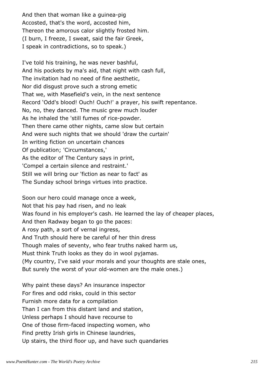And then that woman like a guinea-pig Accosted, that's the word, accosted him, Thereon the amorous calor slightly frosted him. (I burn, I freeze, I sweat, said the fair Greek, I speak in contradictions, so to speak.)

I've told his training, he was never bashful, And his pockets by ma's aid, that night with cash full, The invitation had no need of fine aesthetic, Nor did disgust prove such a strong emetic That we, with Masefield's vein, in the next sentence Record 'Odd's blood! Ouch! Ouch!' a prayer, his swift repentance. No, no, they danced. The music grew much louder As he inhaled the 'still fumes of rice-powder. Then there came other nights, came slow but certain And were such nights that we should 'draw the curtain' In writing fiction on uncertain chances Of publication; 'Circumstances,' As the editor of The Century says in print, 'Compel a certain silence and restraint.' Still we will bring our 'fiction as near to fact' as The Sunday school brings virtues into practice.

Soon our hero could manage once a week, Not that his pay had risen, and no leak Was found in his employer's cash. He learned the lay of cheaper places, And then Radway began to go the paces: A rosy path, a sort of vernal ingress, And Truth should here be careful of her thin dress Though males of seventy, who fear truths naked harm us, Must think Truth looks as they do in wool pyjamas. (My country, I've said your morals and your thoughts are stale ones, But surely the worst of your old-women are the male ones.)

Why paint these days? An insurance inspector For fires and odd risks, could in this sector Furnish more data for a compilation Than I can from this distant land and station, Unless perhaps I should have recourse to One of those firm-faced inspecting women, who Find pretty Irish girls in Chinese laundries, Up stairs, the third floor up, and have such quandaries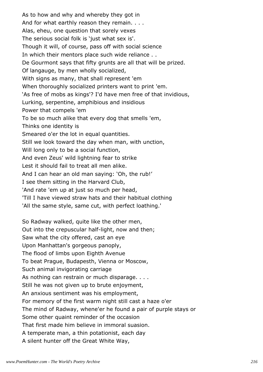As to how and why and whereby they got in And for what earthly reason they remain. . . . Alas, eheu, one question that sorely vexes The serious social folk is 'just what sex is'. Though it will, of course, pass off with social science In which their mentors place such wide reliance . . De Gourmont says that fifty grunts are all that will be prized. Of langauge, by men wholly socialized, With signs as many, that shall represent 'em When thoroughly socialized printers want to print 'em. 'As free of mobs as kings'? I'd have men free of that invidious, Lurking, serpentine, amphibious and insidious Power that compels 'em To be so much alike that every dog that smells 'em, Thinks one identity is Smeared o'er the lot in equal quantities. Still we look toward the day when man, with unction, Will long only to be a social function, And even Zeus' wild lightning fear to strike Lest it should fail to treat all men alike. And I can hear an old man saying: 'Oh, the rub!' I see them sitting in the Harvard Club, 'And rate 'em up at just so much per head, 'Till I have viewed straw hats and their habitual clothing 'All the same style, same cut, with perfect loathing.' So Radway walked, quite like the other men, Out into the crepuscular half-light, now and then; Saw what the city offered, cast an eye Upon Manhattan's gorgeous panoply,

The flood of limbs upon Eighth Avenue

To beat Prague, Budapesth, Vienna or Moscow,

Such animal invigorating carriage

As nothing can restrain or much disparage. . . .

Still he was not given up to brute enjoyment,

An anxious sentiment was his employment,

For memory of the first warm night still cast a haze o'er

The mind of Radway, whene'er he found a pair of purple stays or

Some other quaint reminder of the occasion

That first made him believe in immoral suasion.

A temperate man, a thin potationist, each day

A silent hunter off the Great White Way,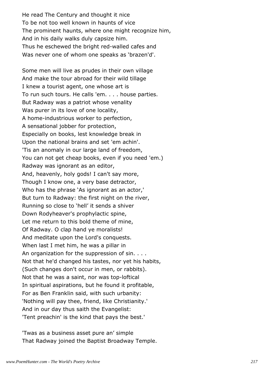He read The Century and thought it nice To be not too well known in haunts of vice The prominent haunts, where one might recognize him, And in his daily walks duly capsize him. Thus he eschewed the bright red-walled cafes and Was never one of whom one speaks as 'brazen'd'.

Some men will live as prudes in their own village And make the tour abroad for their wild tillage I knew a tourist agent, one whose art is To run such tours. He calls 'em. . . . house parties. But Radway was a patriot whose venality Was purer in its love of one locality, A home-industrious worker to perfection, A sensational jobber for protection, Especially on books, lest knowledge break in Upon the national brains and set 'em achin'. 'Tis an anomaly in our large land of freedom, You can not get cheap books, even if you need 'em.) Radway was ignorant as an editor, And, heavenly, holy gods! I can't say more, Though I know one, a very base detractor, Who has the phrase 'As ignorant as an actor,' But turn to Radway: the first night on the river, Running so close to 'hell' it sends a shiver Down Rodyheaver's prophylactic spine, Let me return to this bold theme of mine, Of Radway. O clap hand ye moralists! And meditate upon the Lord's conquests. When last I met him, he was a pillar in An organization for the suppression of sin. . . . Not that he'd changed his tastes, nor yet his habits, (Such changes don't occur in men, or rabbits). Not that he was a saint, nor was top-loftical In spiritual aspirations, but he found it profitable, For as Ben Franklin said, with such urbanity: 'Nothing will pay thee, friend, like Christianity.' And in our day thus saith the Evangelist: 'Tent preachin' is the kind that pays the best.'

'Twas as a business asset pure an' simple That Radway joined the Baptist Broadway Temple.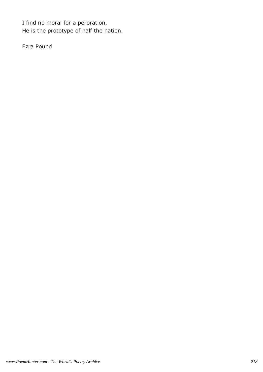I find no moral for a peroration, He is the prototype of half the nation.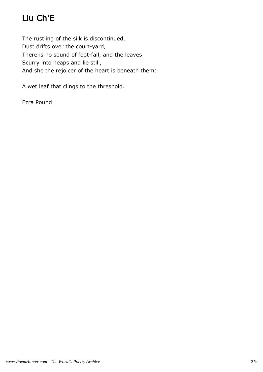# Liu Ch'E

The rustling of the silk is discontinued, Dust drifts over the court-yard, There is no sound of foot-fall, and the leaves Scurry into heaps and lie still, And she the rejoicer of the heart is beneath them:

A wet leaf that clings to the threshold.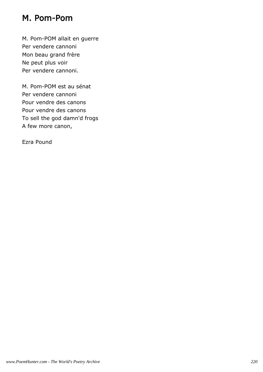### M. Pom-Pom

M. Pom-POM allait en guerre Per vendere cannoni Mon beau grand frère Ne peut plus voir Per vendere cannoni.

M. Pom-POM est au sénat Per vendere cannoni Pour vendre des canons Pour vendre des canons To sell the god damn'd frogs A few more canon,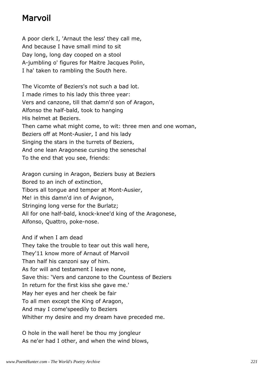## Marvoil

A poor clerk I, 'Arnaut the less' they call me, And because I have small mind to sit Day long, long day cooped on a stool A-jumbling o' figures for Maitre Jacques Polin, I ha' taken to rambling the South here.

The Vicomte of Beziers's not such a bad lot. I made rimes to his lady this three year: Vers and canzone, till that damn'd son of Aragon, Alfonso the half-bald, took to hanging His helmet at Beziers. Then came what might come, to wit: three men and one woman, Beziers off at Mont-Ausier, I and his lady Singing the stars in the turrets of Beziers, And one lean Aragonese cursing the seneschal To the end that you see, friends:

Aragon cursing in Aragon, Beziers busy at Beziers Bored to an inch of extinction, Tibors all tongue and temper at Mont-Ausier, Me! in this damn'd inn of Avignon, Stringing long verse for the Burlatz; All for one half-bald, knock-knee'd king of the Aragonese, Alfonso, Quattro, poke-nose.

And if when I am dead They take the trouble to tear out this wall here, They'11 know more of Arnaut of Marvoil Than half his canzoni say of him. As for will and testament I leave none, Save this: 'Vers and canzone to the Countess of Beziers In return for the first kiss she gave me.' May her eyes and her cheek be fair To all men except the King of Aragon, And may I come'speedily to Beziers Whither my desire and my dream have preceded me.

O hole in the wall here! be thou my jongleur As ne'er had I other, and when the wind blows,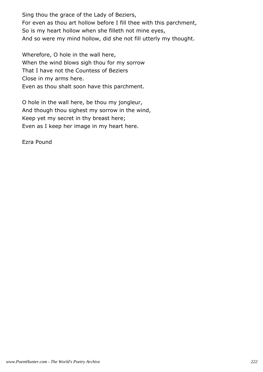Sing thou the grace of the Lady of Beziers, For even as thou art hollow before I fill thee with this parchment, So is my heart hollow when she filleth not mine eyes, And so were my mind hollow, did she not fill utterly my thought.

Wherefore, O hole in the wall here, When the wind blows sigh thou for my sorrow That I have not the Countess of Beziers Close in my arms here. Even as thou shalt soon have this parchment.

O hole in the wall here, be thou my jongleur, And though thou sighest my sorrow in the wind, Keep yet my secret in thy breast here; Even as I keep her image in my heart here.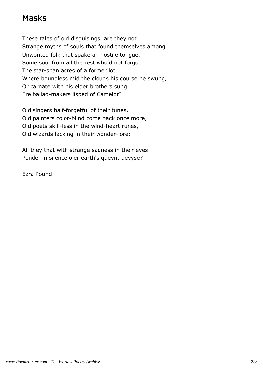## Masks

These tales of old disguisings, are they not Strange myths of souls that found themselves among Unwonted folk that spake an hostile tongue, Some soul from all the rest who'd not forgot The star-span acres of a former lot Where boundless mid the clouds his course he swung, Or carnate with his elder brothers sung Ere ballad-makers lisped of Camelot?

Old singers half-forgetful of their tunes, Old painters color-blind come back once more, Old poets skill-less in the wind-heart runes, Old wizards lacking in their wonder-lore:

All they that with strange sadness in their eyes Ponder in silence o'er earth's queynt devyse?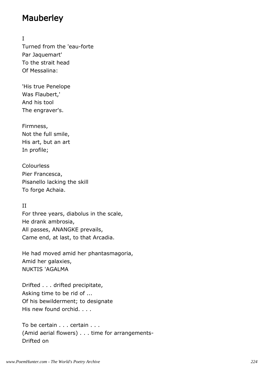## **Mauberley**

I

Turned from the 'eau-forte Par Jaquemart' To the strait head Of Messalina:

'His true Penelope Was Flaubert,' And his tool The engraver's.

Firmness, Not the full smile, His art, but an art In profile;

**Colourless** Pier Francesca, Pisanello lacking the skill To forge Achaia.

II

For three years, diabolus in the scale, He drank ambrosia, All passes, ANANGKE prevails, Came end, at last, to that Arcadia.

He had moved amid her phantasmagoria, Amid her galaxies, NUKTIS 'AGALMA

Drifted . . . drifted precipitate, Asking time to be rid of ... Of his bewilderment; to designate His new found orchid. . . .

To be certain . . . certain . . . (Amid aerial flowers) . . . time for arrangements-Drifted on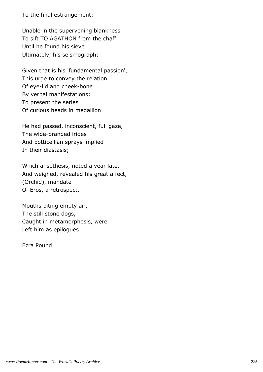To the final estrangement;

Unable in the supervening blankness To sift TO AGATHON from the chaff Until he found his sieve . . . Ultimately, his seismograph:

Given that is his 'fundamental passion', This urge to convey the relation Of eye-lid and cheek-bone By verbal manifestations; To present the series Of curious heads in medallion

He had passed, inconscient, full gaze, The wide-branded irides And botticellian sprays implied In their diastasis;

Which ansethesis, noted a year late, And weighed, revealed his great affect, (Orchid), mandate Of Eros, a retrospect.

Mouths biting empty air, The still stone dogs, Caught in metamorphosis, were Left him as epilogues.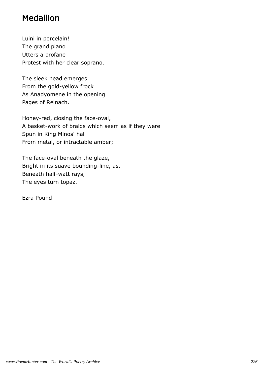## Medallion

Luini in porcelain! The grand piano Utters a profane Protest with her clear soprano.

The sleek head emerges From the gold-yellow frock As Anadyomene in the opening Pages of Reinach.

Honey-red, closing the face-oval, A basket-work of braids which seem as if they were Spun in King Minos' hall From metal, or intractable amber;

The face-oval beneath the glaze, Bright in its suave bounding-line, as, Beneath half-watt rays, The eyes turn topaz.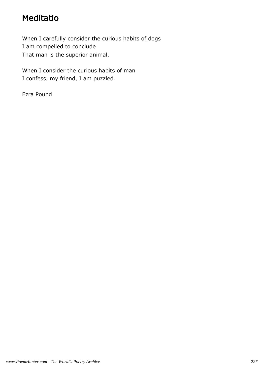## Meditatio

When I carefully consider the curious habits of dogs I am compelled to conclude That man is the superior animal.

When I consider the curious habits of man I confess, my friend, I am puzzled.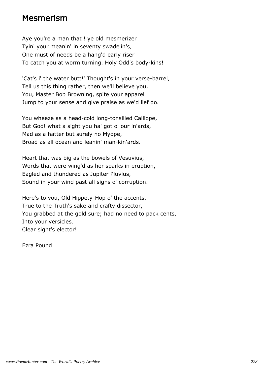#### Mesmerism

Aye you're a man that ! ye old mesmerizer Tyin' your meanin' in seventy swadelin's, One must of needs be a hang'd early riser To catch you at worm turning. Holy Odd's body-kins!

'Cat's i' the water butt!' Thought's in your verse-barrel, Tell us this thing rather, then we'll believe you, You, Master Bob Browning, spite your apparel Jump to your sense and give praise as we'd lief do.

You wheeze as a head-cold long-tonsilled Calliope, But God! what a sight you ha' got o' our in'ards, Mad as a hatter but surely no Myope, Broad as all ocean and leanin' man-kin'ards.

Heart that was big as the bowels of Vesuvius, Words that were wing'd as her sparks in eruption, Eagled and thundered as Jupiter Pluvius, Sound in your wind past all signs o' corruption.

Here's to you, Old Hippety-Hop o' the accents, True to the Truth's sake and crafty dissector, You grabbed at the gold sure; had no need to pack cents, Into your versicles. Clear sight's elector!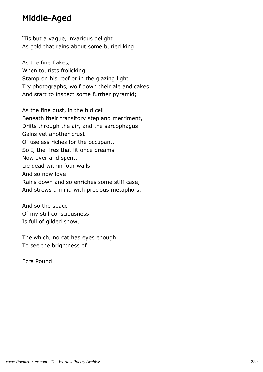### Middle-Aged

'Tis but a vague, invarious delight As gold that rains about some buried king.

As the fine flakes, When tourists frolicking Stamp on his roof or in the glazing light Try photographs, wolf down their ale and cakes And start to inspect some further pyramid;

As the fine dust, in the hid cell Beneath their transitory step and merriment, Drifts through the air, and the sarcophagus Gains yet another crust Of useless riches for the occupant, So I, the fires that lit once dreams Now over and spent, Lie dead within four walls And so now love Rains down and so enriches some stiff case, And strews a mind with precious metaphors,

And so the space Of my still consciousness Is full of gilded snow,

The which, no cat has eyes enough To see the brightness of.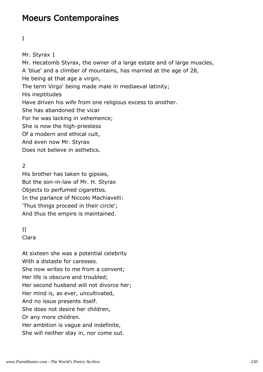## Moeurs Contemporaines

#### I

Mr. Styrax 1

Mr. Hecatomb Styrax, the owner of a large estate and of large muscles, A 'blue' and a climber of mountains, has married at the age of 28, He being at that age a virgin, The term Virgo' being made male in mediaeval latinity; His ineptitudes Have driven his wife from one religious excess to another. She has abandoned the vicar For he was lacking in vehemence; She is now the high-priestess Of a modern and ethical cult, And even now Mr. Styrax Does not believe in asthetics.

#### 2

His brother has taken to gipsies, But the son-in-law of Mr. H. Styrax Objects to perfumed cigarettes. In the parlance of Niccolo Machiavelli: 'Thus things proceed in their circle'; And thus the empire is maintained.

#### II

Clara

At sixteen she was a potential celebrity With a distaste for caresses. She now writes to me from a convent; Her life is obscure and troubled; Her second husband will not divorce her; Her mind is, as ever, uncultivated, And no issue presents itself. She does not desire her children, Or any more children. Her ambition is vague and indefinite, She will neither stay in, nor come out.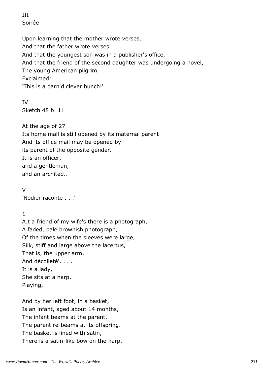III Soirée

Upon learning that the mother wrote verses, And that the father wrote verses, And that the youngest son was in a publisher's office, And that the friend of the second daughter was undergoing a novel, The young American pilgrim Exclaimed: 'This is a darn'd clever bunch!'

IV Sketch 48 b. 11

At the age of 27

Its home mail is still opened by its maternal parent

And its office mail may be opened by

its parent of the opposite gender.

It is an officer,

and a gentleman, and an architect.

V

'Nodier raconte . . .'

#### 1

A.t a friend of my wife's there is a photograph, A faded, pale brownish photograph, Of the times when the sleeves were large, Silk, stiff and large above the lacertus, That is, the upper arm, And décolleté'. . . . It is a lady, She sits at a harp, Playing,

And by her left foot, in a basket, Is an infant, aged about 14 months, The infant beams at the parent, The parent re-beams at its offspring. The basket is lined with satin, There is a satin-like bow on the harp.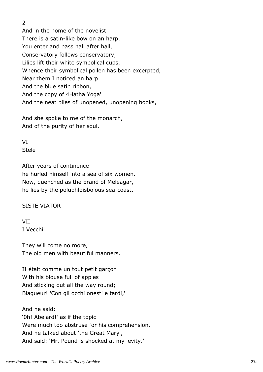2

And in the home of the novelist There is a satin-like bow on an harp. You enter and pass hall after hall, Conservatory follows conservatory, Lilies lift their white symbolical cups, Whence their symbolical pollen has been excerpted, Near them I noticed an harp And the blue satin ribbon, And the copy of 4Hatha Yoga' And the neat piles of unopened, unopening books,

And she spoke to me of the monarch, And of the purity of her soul.

VI Stele

After years of continence he hurled himself into a sea of six women. Now, quenched as the brand of Meleagar, he lies by the poluphloisboious sea-coast.

SISTE VIATOR

VII I Vecchii

They will come no more, The old men with beautiful manners.

II était comme un tout petit garçon With his blouse full of apples And sticking out all the way round; Blagueur! 'Con gli occhi onesti e tardi,'

And he said: '0h! Abelard!' as if the topic Were much too abstruse for his comprehension, And he talked about 'the Great Mary', And said: 'Mr. Pound is shocked at my levity.'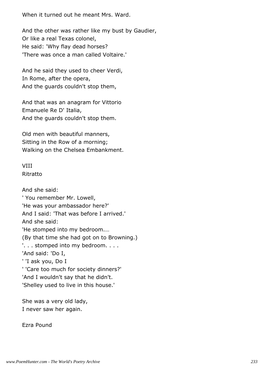When it turned out he meant Mrs. Ward.

And the other was rather like my bust by Gaudier, Or like a real Texas colonel, He said: 'Why flay dead horses? 'There was once a man called Voltaire.'

And he said they used to cheer Verdi, In Rome, after the opera, And the guards couldn't stop them,

And that was an anagram for Vittorio Emanuele Re D' Italia, And the guards couldn't stop them.

Old men with beautiful manners, Sitting in the Row of a morning; Walking on the Chelsea Embankment.

VIII Ritratto

And she said: ' You remember Mr. Lowell, 'He was your ambassador here?' And I said: 'That was before I arrived.' And she said: 'He stomped into my bedroom.… (By that time she had got on to Browning.) '. . . stomped into my bedroom. . . . 'And said: 'Do I, ' 'I ask you, Do I ' 'Care too much for society dinners?' 'And I wouldn't say that he didn't. 'Shelley used to live in this house.'

She was a very old lady, I never saw her again.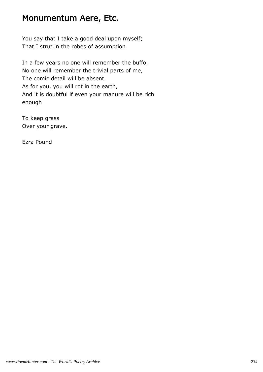### Monumentum Aere, Etc.

You say that I take a good deal upon myself; That I strut in the robes of assumption.

In a few years no one will remember the buffo, No one will remember the trivial parts of me, The comic detail will be absent. As for you, you will rot in the earth, And it is doubtful if even your manure will be rich enough

To keep grass Over your grave.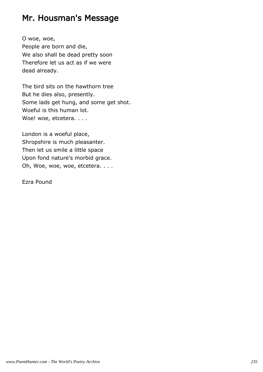## Mr. Housman's Message

O woe, woe, People are born and die, We also shall be dead pretty soon Therefore let us act as if we were dead already.

The bird sits on the hawthorn tree But he dies also, presently. Some lads get hung, and some get shot. Woeful is this human lot. Woe! woe, etcetera. . . .

London is a woeful place, Shropshire is much pleasanter. Then let us smile a little space Upon fond nature's morbid grace. Oh, Woe, woe, woe, etcetera. . . .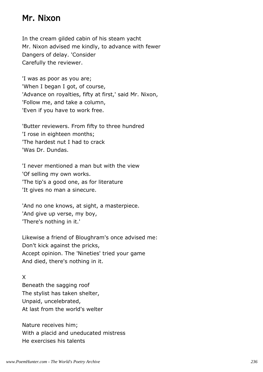### Mr. Nixon

In the cream gilded cabin of his steam yacht Mr. Nixon advised me kindly, to advance with fewer Dangers of delay. 'Consider Carefully the reviewer.

'I was as poor as you are; 'When I began I got, of course, 'Advance on royalties, fifty at first,' said Mr. Nixon, 'Follow me, and take a column, 'Even if you have to work free.

'Butter reviewers. From fifty to three hundred 'I rose in eighteen months; 'The hardest nut I had to crack 'Was Dr. Dundas.

'I never mentioned a man but with the view 'Of selling my own works. 'The tip's a good one, as for literature 'It gives no man a sinecure.

'And no one knows, at sight, a masterpiece. 'And give up verse, my boy, 'There's nothing in it.'

Likewise a friend of Bloughram's once advised me: Don't kick against the pricks, Accept opinion. The 'Nineties' tried your game And died, there's nothing in it.

#### X

Beneath the sagging roof The stylist has taken shelter, Unpaid, uncelebrated, At last from the world's welter

Nature receives him; With a placid and uneducated mistress He exercises his talents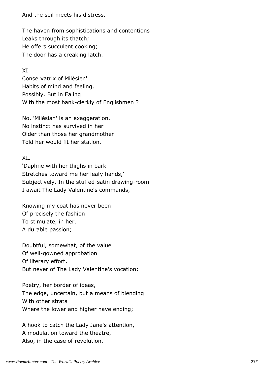And the soil meets his distress.

The haven from sophistications and contentions Leaks through its thatch; He offers succulent cooking; The door has a creaking latch.

#### XI

Conservatrix of Milésien' Habits of mind and feeling, Possibly. But in Ealing With the most bank-clerkly of Englishmen ?

No, 'Milésian' is an exaggeration. No instinct has survived in her Older than those her grandmother Told her would fit her station.

#### XII

'Daphne with her thighs in bark Stretches toward me her leafy hands,' Subjectively. In the stuffed-satin drawing-room I await The Lady Valentine's commands,

Knowing my coat has never been Of precisely the fashion To stimulate, in her, A durable passion;

Doubtful, somewhat, of the value Of well-gowned approbation Of literary effort, But never of The Lady Valentine's vocation:

Poetry, her border of ideas, The edge, uncertain, but a means of blending With other strata Where the lower and higher have ending;

A hook to catch the Lady Jane's attention, A modulation toward the theatre, Also, in the case of revolution,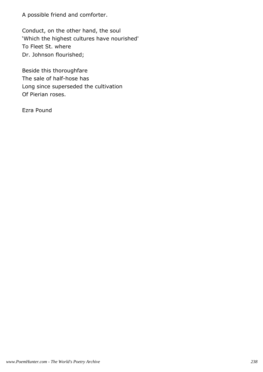A possible friend and comforter.

Conduct, on the other hand, the soul 'Which the highest cultures have nourished' To Fleet St. where Dr. Johnson flourished;

Beside this thoroughfare The sale of half-hose has Long since superseded the cultivation Of Pierian roses.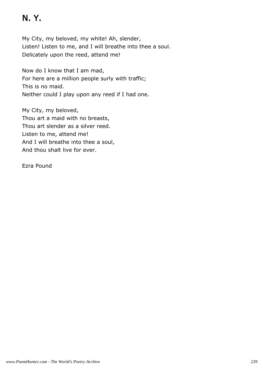## N. Y.

My City, my beloved, my white! Ah, slender, Listen! Listen to me, and I will breathe into thee a soul. Delicately upon the reed, attend me!

Now do I know that I am mad, For here are a million people surly with traffic; This is no maid. Neither could I play upon any reed if I had one.

My City, my beloved, Thou art a maid with no breasts, Thou art slender as a silver reed. Listen to me, attend me! And I will breathe into thee a soul, And thou shalt live for ever.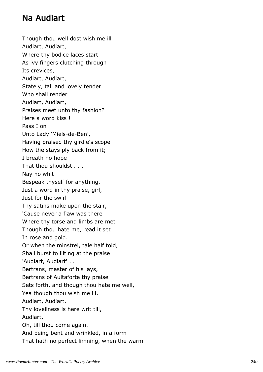## Na Audiart

Though thou well dost wish me ill Audiart, Audiart, Where thy bodice laces start As ivy fingers clutching through Its crevices, Audiart, Audiart, Stately, tall and lovely tender Who shall render Audiart, Audiart, Praises meet unto thy fashion? Here a word kiss ! Pass I on Unto Lady 'Miels-de-Ben', Having praised thy girdle's scope How the stays ply back from it; I breath no hope That thou shouldst . . . Nay no whit Bespeak thyself for anything. Just a word in thy praise, girl, Just for the swirl Thy satins make upon the stair, 'Cause never a flaw was there Where thy torse and limbs are met Though thou hate me, read it set In rose and gold. Or when the minstrel, tale half told, Shall burst to lilting at the praise 'Audiart, Audiart' . . Bertrans, master of his lays, Bertrans of Aultaforte thy praise Sets forth, and though thou hate me well, Yea though thou wish me ill, Audiart, Audiart. Thy loveliness is here writ till, Audiart, Oh, till thou come again. And being bent and wrinkled, in a form That hath no perfect limning, when the warm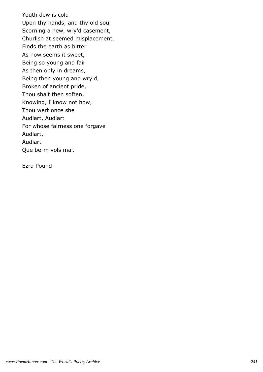Youth dew is cold Upon thy hands, and thy old soul Scorning a new, wry'd casement, Churlish at seemed misplacement, Finds the earth as bitter As now seems it sweet, Being so young and fair As then only in dreams, Being then young and wry'd, Broken of ancient pride, Thou shalt then soften, Knowing, I know not how, Thou wert once she Audiart, Audiart For whose fairness one forgave Audiart, Audiart Que be-m vols mal.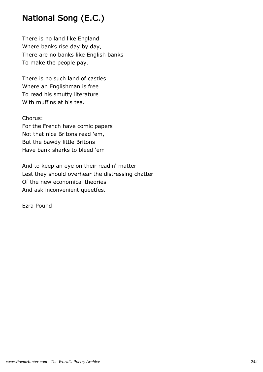## National Song (E.C.)

There is no land like England Where banks rise day by day, There are no banks like English banks To make the people pay.

There is no such land of castles Where an Englishman is free To read his smutty literature With muffins at his tea.

Chorus:

For the French have comic papers Not that nice Britons read 'em, But the bawdy little Britons Have bank sharks to bleed 'em

And to keep an eye on their readin' matter Lest they should overhear the distressing chatter Of the new economical theories And ask inconvenient queetfes.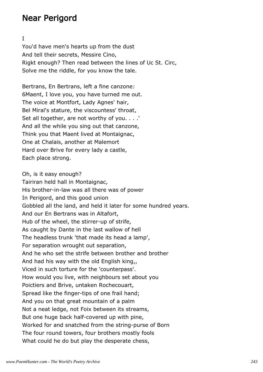## Near Perigord

I

You'd have men's hearts up from the dust And tell their secrets, Messire Cino, Rigkt enough? Then read between the lines of Uc St. Circ, Solve me the riddle, for you know the tale.

Bertrans, En Bertrans, left a fine canzone: 6Maent, I love you, you have turned me out. The voice at Montfort, Lady Agnes' hair, Bel Miral's stature, the viscountess' throat, Set all together, are not worthy of you. . . .' And all the while you sing out that canzone, Think you that Maent lived at Montaignac, One at Chalais, another at Malemort Hard over Brive for every lady a castle, Each place strong.

Oh, is it easy enough? Tairiran held hall in Montaignac, His brother-in-law was all there was of power In Perigord, and this good union Gobbled all the land, and held it later for some hundred years. And our En Bertrans was in Altafort, Hub of the wheel, the stirrer-up of strife, As caught by Dante in the last wallow of hell The headless trunk 'that made its head a lamp', For separation wrought out separation, And he who set the strife between brother and brother And had his way with the old English king,, Viced in such torture for the 'counterpass'. How would you live, with neighbours set about you Poictiers and Brive, untaken Rochecouart, Spread like the finger-tips of one frail hand; And you on that great mountain of a palm Not a neat ledge, not Foix between its streams, But one huge back half-covered up with pine, Worked for and snatched from the string-purse of Born The four round towers, four brothers mostly fools What could he do but play the desperate chess,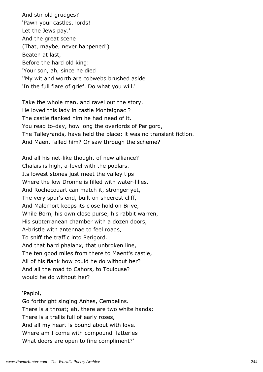And stir old grudges? 'Pawn your castles, lords! Let the Jews pay.' And the great scene (That, maybe, never happened!) Beaten at last, Before the hard old king: 'Your son, ah, since he died ''My wit and worth are cobwebs brushed aside 'In the full flare of grief. Do what you will.'

Take the whole man, and ravel out the story. He loved this lady in castle Montaignac ? The castle flanked him he had need of it. You read to-day, how long the overlords of Perigord, The Talleyrands, have held the place; it was no transient fiction. And Maent failed him? Or saw through the scheme?

And all his net-like thought of new alliance? Chalais is high, a-level with the poplars. Its lowest stones just meet the valley tips Where the low Dronne is filled with water-lilies. And Rochecouart can match it, stronger yet, The very spur's end, built on sheerest cliff, And Malemort keeps its close hold on Brive, While Born, his own close purse, his rabbit warren, His subterranean chamber with a dozen doors, A-bristle with antennae to feel roads, To sniff the traffic into Perigord. And that hard phalanx, that unbroken line, The ten good miles from there to Maent's castle, All of his flank how could he do without her? And all the road to Cahors, to Toulouse? would he do without her?

'Papiol,

Go forthright singing Anhes, Cembelins. There is a throat; ah, there are two white hands; There is a trellis full of early roses, And all my heart is bound about with love. Where am I come with compound flatteries What doors are open to fine compliment?'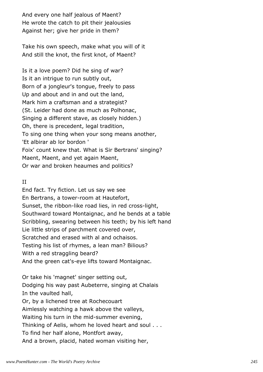And every one half jealous of Maent? He wrote the catch to pit their jealousies Against her; give her pride in them?

Take his own speech, make what you will of it And still the knot, the first knot, of Maent?

Is it a love poem? Did he sing of war? Is it an intrigue to run subtly out, Born of a jongleur's tongue, freely to pass Up and about and in and out the land, Mark him a craftsman and a strategist? (St. Leider had done as much as Polhonac, Singing a different stave, as closely hidden.) Oh, there is precedent, legal tradition, To sing one thing when your song means another, 'Et albirar ab lor bordon ' Foix' count knew that. What is Sir Bertrans' singing? Maent, Maent, and yet again Maent, Or war and broken heaumes and politics?

#### II

End fact. Try fiction. Let us say we see En Bertrans, a tower-room at Hautefort, Sunset, the ribbon-like road lies, in red cross-light, Southward toward Montaignac, and he bends at a table Scribbling, swearing between his teeth; by his left hand Lie little strips of parchment covered over, Scratched and erased with al and ochaisos. Testing his list of rhymes, a lean man? Bilious? With a red straggling beard? And the green cat's-eye lifts toward Montaignac.

Or take his 'magnet' singer setting out, Dodging his way past Aubeterre, singing at Chalais In the vaulted hall, Or, by a lichened tree at Rochecouart Aimlessly watching a hawk above the valleys, Waiting his turn in the mid-summer evening, Thinking of Aelis, whom he loved heart and soul . . . To find her half alone, Montfort away, And a brown, placid, hated woman visiting her,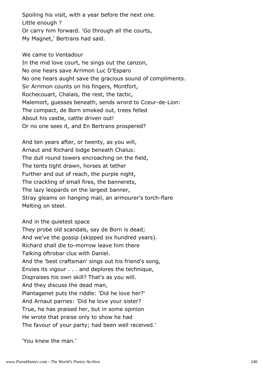Spoiling his visit, with a year before the next one. Little enough ? Or carry him forward. 'Go through all the courts, My Magnet,' Bertrans had said.

We came to Ventadour In the mid love court, he sings out the canzon, No one hears save Arrimon Luc D'Esparo No one hears aught save the gracious sound of compliments. Sir Arrimon counts on his fingers, Montfort, Rochecouart, Chalais, the rest, the tactic, Malemort, guesses beneath, sends wrord to Cceur-de-Lion: The compact, de Born smoked out, trees felled About his castle, cattle driven out! Or no one sees it, and En Bertrans prospered?

And ten years after, or twenty, as you will, Arnaut and Richard lodge beneath Chalus: The dull round towers encroaching on the field, The tents tight drawn, horses at tether Further and out of reach, the purple night, The crackling of small fires, the bannerets, The lazy leopards on the largest banner, Stray gleams on hanging mail, an armourer's torch-flare Melting on steel.

And in the quietest space They probe old scandals, say de Born is dead; And we've the gossip (skipped six hundred years). Richard shall die to-morrow leave him there Talking oftrobar clus with Daniel. And the 'best craftsman' sings out his friend's song, Envies its vigour . . . and deplores the technique, Dispraises his own skill? That's as you will. And they discuss the dead man, Plantagenet puts the riddle: 'Did he love her?' And Arnaut parries: 'Did he love your sister? True, he has praised her, but in some opinion He wrote that praise only to show he had The favour of your party; had been well received.'

'You knew the man.'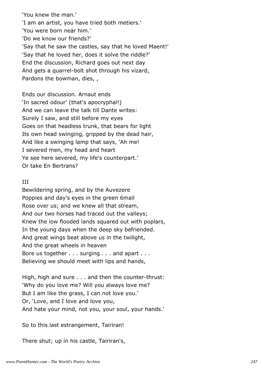'You knew the man.' 'I am an artist, you have tried both metiers.' 'You were born near him.' 'Do we know our friends?' 'Say that he saw the castles, say that he loved Maent!' 'Say that he loved her, does it solve the riddle?' End the discussion, Richard goes out next day And gets a quarrel-bolt shot through his vizard, Pardons the bowman, dies, ,

Ends our discussion. Arnaut ends 'In sacred odour' (that's apocryphal!) And we can leave the talk till Dante writes: Surely I saw, and still before my eyes Goes on that headless trunk, that bears for light Its own head swinging, gripped by the dead hair, And like a swinging lamp that says, 'Ah me! I severed men, my head and heart Ye see here severed, my life's counterpart.' Or take En Bertrans?

#### III

Bewildering spring, and by the Auvezere Poppies and day's eyes in the green 6mail Rose over us; and we knew all that stream, And our two horses had traced out the valleys; Knew the low flooded lands squared out with poplars, In the young days when the deep sky befriended. And great wings beat above us in the twilight, And the great wheels in heaven Bore us together . . . surging . . . and apart . . . Believing we should meet with lips and hands,

High, high and sure . . . and then the counter-thrust: 'Why do you love me? Will you always love me? But I am like the grass, I can not love you.' Or, 'Love, and I love and love you, And hate your mind, not you, your soul, your hands.'

So to this last estrangement, Tairiran!

There shut; up in his castle, Tairiran's,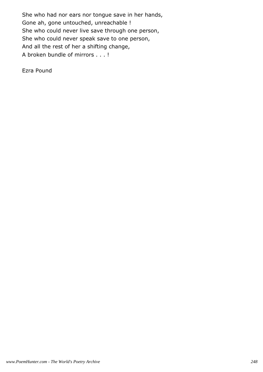She who had nor ears nor tongue save in her hands, Gone ah, gone untouched, unreachable ! She who could never live save through one person, She who could never speak save to one person, And all the rest of her a shifting change, A broken bundle of mirrors . . . !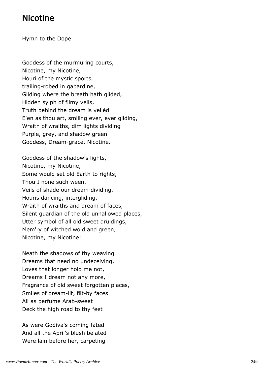### Nicotine

Hymn to the Dope

Goddess of the murmuring courts, Nicotine, my Nicotine, Houri of the mystic sports, trailing-robed in gabardine, Gliding where the breath hath glided, Hidden sylph of filmy veils, Truth behind the dream is veiléd E'en as thou art, smiling ever, ever gliding, Wraith of wraiths, dim lights dividing Purple, grey, and shadow green Goddess, Dream-grace, Nicotine.

Goddess of the shadow's lights, Nicotine, my Nicotine, Some would set old Earth to rights, Thou I none such ween. Veils of shade our dream dividing, Houris dancing, intergliding, Wraith of wraiths and dream of faces, Silent guardian of the old unhallowed places, Utter symbol of all old sweet druidings, Mem'ry of witched wold and green, Nicotine, my Nicotine:

Neath the shadows of thy weaving Dreams that need no undeceiving, Loves that longer hold me not, Dreams I dream not any more, Fragrance of old sweet forgotten places, Smiles of dream-lit, flit-by faces All as perfume Arab-sweet Deck the high road to thy feet

As were Godiva's coming fated And all the April's blush belated Were lain before her, carpeting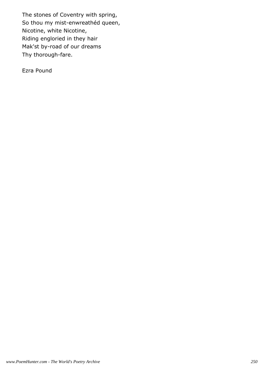The stones of Coventry with spring, So thou my mist-enwreathéd queen, Nicotine, white Nicotine, Riding engloried in they hair Mak'st by-road of our dreams Thy thorough-fare.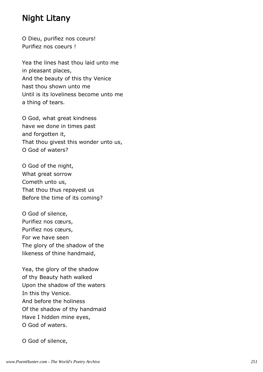### Night Litany

O Dieu, purifiez nos cceurs! Purifiez nos coeurs !

Yea the lines hast thou laid unto me in pleasant places, And the beauty of this thy Venice hast thou shown unto me Until is its loveliness become unto me a thing of tears.

O God, what great kindness have we done in times past and forgotten it, That thou givest this wonder unto us, O God of waters?

O God of the night, What great sorrow Cometh unto us, That thou thus repayest us Before the time of its coming?

O God of silence, Purifiez nos cœurs, Purifiez nos cœurs, For we have seen The glory of the shadow of the likeness of thine handmaid,

Yea, the glory of the shadow of thy Beauty hath walked Upon the shadow of the waters In this thy Venice. And before the holiness Of the shadow of thy handmaid Have I hidden mine eyes, O God of waters.

O God of silence,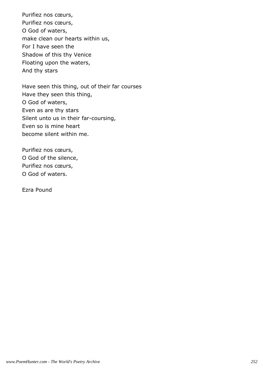Purifiez nos cœurs, Purifiez nos cœurs, O God of waters, make clean our hearts within us, For I have seen the Shadow of this thy Venice Floating upon the waters, And thy stars

Have seen this thing, out of their far courses Have they seen this thing, O God of waters, Even as are thy stars Silent unto us in their far-coursing, Even so is mine heart become silent within me.

Purifiez nos cœurs, O God of the silence, Purifiez nos cœurs, O God of waters.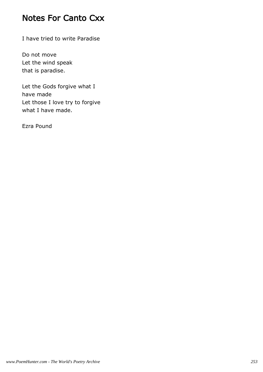### Notes For Canto Cxx

I have tried to write Paradise

Do not move Let the wind speak that is paradise.

Let the Gods forgive what I have made Let those I love try to forgive what I have made.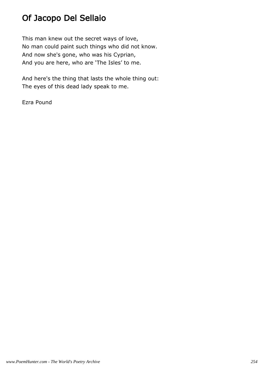## Of Jacopo Del Sellaio

This man knew out the secret ways of love, No man could paint such things who did not know. And now she's gone, who was his Cyprian, And you are here, who are 'The Isles' to me.

And here's the thing that lasts the whole thing out: The eyes of this dead lady speak to me.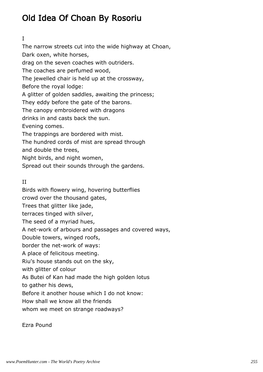# Old Idea Of Choan By Rosoriu

#### I

The narrow streets cut into the wide highway at Choan, Dark oxen, white horses, drag on the seven coaches with outriders. The coaches are perfumed wood, The jewelled chair is held up at the crossway, Before the royal lodge: A glitter of golden saddles, awaiting the princess; They eddy before the gate of the barons. The canopy embroidered with dragons drinks in and casts back the sun. Evening comes. The trappings are bordered with mist. The hundred cords of mist are spread through and double the trees, Night birds, and night women, Spread out their sounds through the gardens.

#### II

Birds with flowery wing, hovering butterflies crowd over the thousand gates, Trees that glitter like jade, terraces tinged with silver, The seed of a myriad hues, A net-work of arbours and passages and covered ways, Double towers, winged roofs, border the net-work of ways: A place of felicitous meeting. Riu's house stands out on the sky, with glitter of colour As Butei of Kan had made the high golden lotus to gather his dews, Before it another house which I do not know: How shall we know all the friends whom we meet on strange roadways?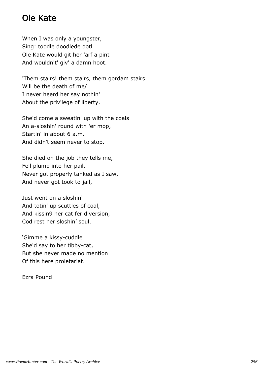## Ole Kate

When I was only a youngster, Sing: toodle doodlede ootl Ole Kate would git her 'arf a pint And wouldn't' giv' a damn hoot.

'Them stairs! them stairs, them gordam stairs Will be the death of me/ I never heerd her say nothin' About the priv'lege of liberty.

She'd come a sweatin' up with the coals An a-sloshin' round with 'er mop, Startin' in about 6 a.m. And didn't seem never to stop.

She died on the job they tells me, Fell plump into her pail. Never got properly tanked as I saw, And never got took to jail,

Just went on a sloshin' And totin' up scuttles of coal, And kissin9 her cat fer diversion, Cod rest her sloshin' soul.

'Gimme a kissy-cuddle' She'd say to her tibby-cat, But she never made no mention Of this here proletariat.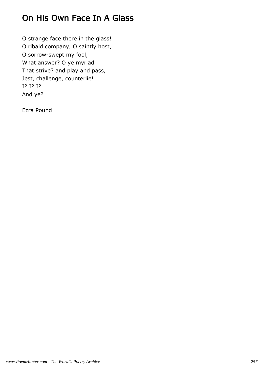## On His Own Face In A Glass

O strange face there in the glass! O ribald company, O saintly host, O sorrow-swept my fool, What answer? O ye myriad That strive? and play and pass, Jest, challenge, counterlie! I? I? I? And ye?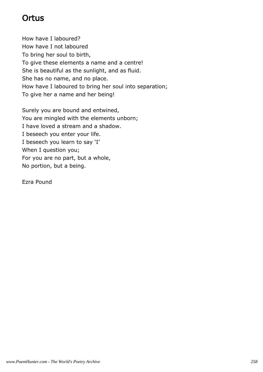## Ortus

How have I laboured? How have I not laboured To bring her soul to birth, To give these elements a name and a centre! She is beautiful as the sunlight, and as fluid. She has no name, and no place. How have I laboured to bring her soul into separation; To give her a name and her being!

Surely you are bound and entwined, You are mingled with the elements unborn; I have loved a stream and a shadow. I beseech you enter your life. I beseech you learn to say 'I' When I question you; For you are no part, but a whole, No portion, but a being.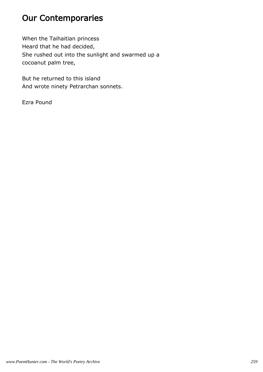## Our Contemporaries

When the Taihaitian princess Heard that he had decided, She rushed out into the sunlight and swarmed up a cocoanut palm tree,

But he returned to this island And wrote ninety Petrarchan sonnets.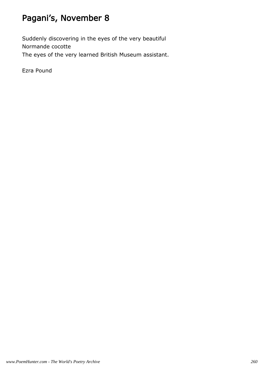## Pagani's, November 8

Suddenly discovering in the eyes of the very beautiful Normande cocotte The eyes of the very learned British Museum assistant.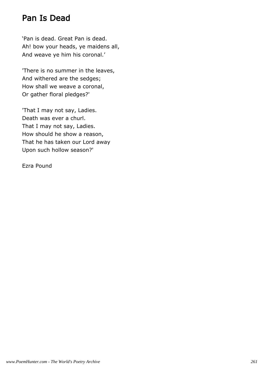### Pan Is Dead

'Pan is dead. Great Pan is dead. Ah! bow your heads, ye maidens all, And weave ye him his coronal.'

'There is no summer in the leaves, And withered are the sedges; How shall we weave a coronal, Or gather floral pledges?'

'That I may not say, Ladies. Death was ever a churl. That I may not say, Ladies. How should he show a reason, That he has taken our Lord away Upon such hollow season?'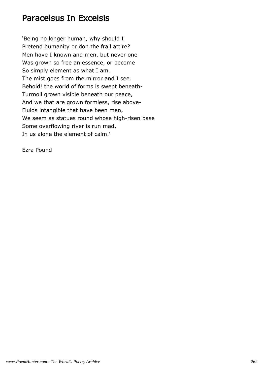### Paracelsus In Excelsis

'Being no longer human, why should I Pretend humanity or don the frail attire? Men have I known and men, but never one Was grown so free an essence, or become So simply element as what I am. The mist goes from the mirror and I see. Behold! the world of forms is swept beneath-Turmoil grown visible beneath our peace, And we that are grown formless, rise above-Fluids intangible that have been men, We seem as statues round whose high-risen base Some overflowing river is run mad, In us alone the element of calm.'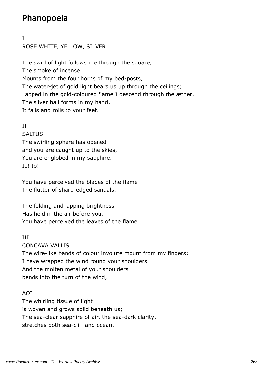## Phanopoeia

#### I

ROSE WHITE, YELLOW, SILVER

The swirl of light follows me through the square, The smoke of incense Mounts from the four horns of my bed-posts, The water-jet of gold light bears us up through the ceilings; Lapped in the gold-coloured flame I descend through the æther. The silver ball forms in my hand, It falls and rolls to your feet.

#### II

**SALTUS** The swirling sphere has opened and you are caught up to the skies, You are englobed in my sapphire. Io! Io!

You have perceived the blades of the flame The flutter of sharp-edged sandals.

The folding and lapping brightness Has held in the air before you. You have perceived the leaves of the flame.

#### III

#### CONCAVA VALLIS

The wire-like bands of colour involute mount from my fingers; I have wrapped the wind round your shoulders And the molten metal of your shoulders bends into the turn of the wind,

#### AOI!

The whirling tissue of light is woven and grows solid beneath us; The sea-clear sapphire of air, the sea-dark clarity, stretches both sea-cliff and ocean.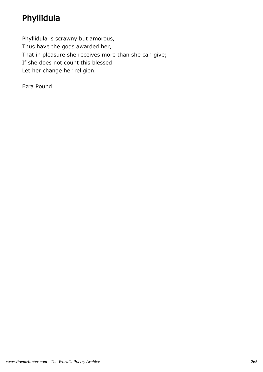# Phyllidula

Phyllidula is scrawny but amorous, Thus have the gods awarded her, That in pleasure she receives more than she can give; If she does not count this blessed Let her change her religion.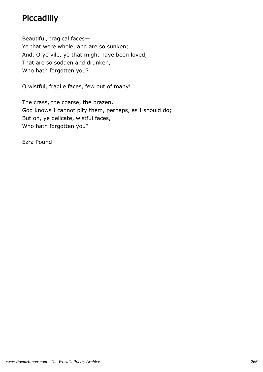## **Piccadilly**

Beautiful, tragical faces— Ye that were whole, and are so sunken; And, O ye vile, ye that might have been loved, That are so sodden and drunken, Who hath forgotten you?

O wistful, fragile faces, few out of many!

The crass, the coarse, the brazen, God knows I cannot pity them, perhaps, as I should do; But oh, ye delicate, wistful faces, Who hath forgotten you?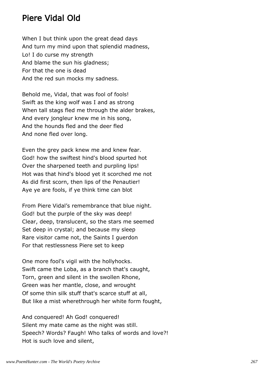### Piere Vidal Old

When I but think upon the great dead days And turn my mind upon that splendid madness, Lo! I do curse my strength And blame the sun his gladness; For that the one is dead And the red sun mocks my sadness.

Behold me, Vidal, that was fool of fools! Swift as the king wolf was I and as strong When tall stags fled me through the alder brakes, And every jongleur knew me in his song, And the hounds fled and the deer fled And none fled over long.

Even the grey pack knew me and knew fear. God! how the swiftest hind's blood spurted hot Over the sharpened teeth and purpling lips! Hot was that hind's blood yet it scorched me not As did first scorn, then lips of the Penautier! Aye ye are fools, if ye think time can blot

From Piere Vidal's remembrance that blue night. God! but the purple of the sky was deep! Clear, deep, translucent, so the stars me seemed Set deep in crystal; and because my sleep Rare visitor came not, the Saints I guerdon For that restlessness Piere set to keep

One more fool's vigil with the hollyhocks. Swift came the Loba, as a branch that's caught, Torn, green and silent in the swollen Rhone, Green was her mantle, close, and wrought Of some thin silk stuff that's scarce stuff at all, But like a mist wherethrough her white form fought,

And conquered! Ah God! conquered! Silent my mate came as the night was still. Speech? Words? Faugh! Who talks of words and love?! Hot is such love and silent,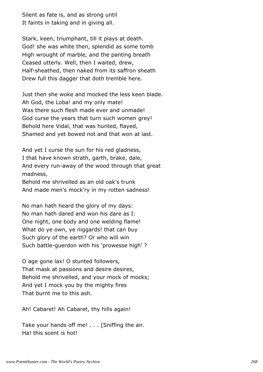Silent as fate is, and as strong until It faints in taking and in giving all.

Stark, keen, triumphant, till it plays at death. God! she was white then, splendid as some tomb High wrought of marble, and the panting breath Ceased utterly. Well, then I waited, drew, Half-sheathed, then naked from its saffron sheath Drew full this dagger that doth tremble here.

Just then she woke and mocked the less keen blade. Ah God, the Loba! and my only mate! Was there such flesh made ever and unmade! God curse the years that turn such women grey! Behold here Vidal, that was hunted, flayed, Shamed and yet bowed not and that won at last.

And yet I curse the sun for his red gladness, I that have known strath, garth, brake, dale, And every run-away of the wood through that great madness, Behold me shrivelled as an old oak's trunk

And made men's mock'ry in my rotten sadness!

No man hath heard the glory of my days: No man hath dared and won his dare as I: One night, one body and one welding flame! What do ye own, ye niggards! that can buy Such glory of the earth? Or who will win Such battle-guerdon with his 'prowesse high' ?

O age gone lax! O stunted followers, That mask at passions and desire desires, Behold me shrivelled, and your mock of mocks; And yet I mock you by the mighty fires That burnt me to this ash.

Ah! Cabaret! Ah Cabaret, thy hills again!

Take your hands off me! . . . [Sniffing the air. Ha! this scent is hot!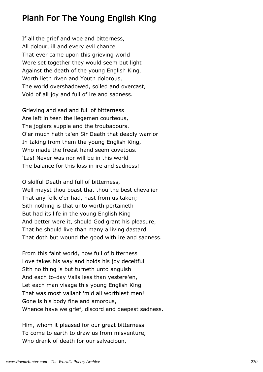### Planh For The Young English King

If all the grief and woe and bitterness, All dolour, ill and every evil chance That ever came upon this grieving world Were set together they would seem but light Against the death of the young English King. Worth lieth riven and Youth dolorous, The world overshadowed, soiled and overcast, Void of all joy and full of ire and sadness.

Grieving and sad and full of bitterness Are left in teen the liegemen courteous, The joglars supple and the troubadours. O'er much hath ta'en Sir Death that deadly warrior In taking from them the young English King, Who made the freest hand seem covetous. 'Las! Never was nor will be in this world The balance for this loss in ire and sadness!

O skilful Death and full of bitterness, Well mayst thou boast that thou the best chevalier That any folk e'er had, hast from us taken; Sith nothing is that unto worth pertaineth But had its life in the young English King And better were it, should God grant his pleasure, That he should live than many a living dastard That doth but wound the good with ire and sadness.

From this faint world, how full of bitterness Love takes his way and holds his joy deceitful Sith no thing is but turneth unto anguish And each to-day Vails less than yestere'en, Let each man visage this young English King That was most valiant 'mid all worthiest men! Gone is his body fine and amorous, Whence have we grief, discord and deepest sadness.

Him, whom it pleased for our great bitterness To come to earth to draw us from misventure, Who drank of death for our salvacioun,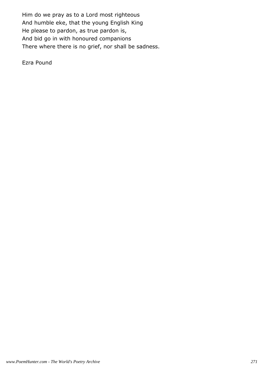Him do we pray as to a Lord most righteous And humble eke, that the young English King He please to pardon, as true pardon is, And bid go in with honoured companions There where there is no grief, nor shall be sadness.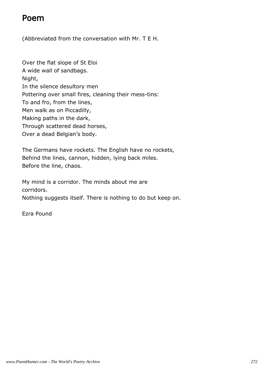#### Poem

(Abbreviated from the conversation with Mr. T E H.

Over the flat slope of St Eloi A wide wall of sandbags. Night, In the silence desultory men Pottering over small fires, cleaning their mess-tins: To and fro, from the lines, Men walk as on Piccadilly, Making paths in the dark, Through scattered dead horses, Over a dead Belgian's body.

The Germans have rockets. The English have no rockets, Behind the lines, cannon, hidden, lying back miles. Before the line, chaos.

My mind is a corridor. The minds about me are corridors. Nothing suggests itself. There is nothing to do but keep on.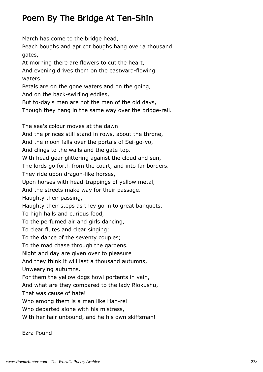## Poem By The Bridge At Ten-Shin

March has come to the bridge head, Peach boughs and apricot boughs hang over a thousand gates, At morning there are flowers to cut the heart, And evening drives them on the eastward-flowing waters. Petals are on the gone waters and on the going, And on the back-swirling eddies, But to-day's men are not the men of the old days, Though they hang in the same way over the bridge-rail. The sea's colour moves at the dawn And the princes still stand in rows, about the throne, And the moon falls over the portals of Sei-go-yo, And clings to the walls and the gate-top. With head gear glittering against the cloud and sun, The lords go forth from the court, and into far borders. They ride upon dragon-like horses, Upon horses with head-trappings of yellow metal, And the streets make way for their passage. Haughty their passing, Haughty their steps as they go in to great banquets, To high halls and curious food, To the perfumed air and girls dancing, To clear flutes and clear singing; To the dance of the seventy couples; To the mad chase through the gardens. Night and day are given over to pleasure And they think it will last a thousand autumns, Unwearying autumns. For them the yellow dogs howl portents in vain, And what are they compared to the lady Riokushu, That was cause of hate! Who among them is a man like Han-rei Who departed alone with his mistress, With her hair unbound, and he his own skiffsman!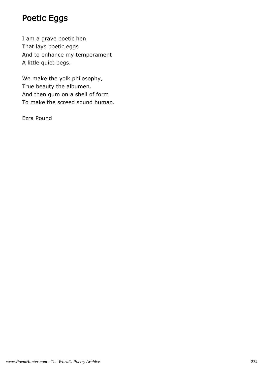## Poetic Eggs

I am a grave poetic hen That lays poetic eggs And to enhance my temperament A little quiet begs.

We make the yolk philosophy, True beauty the albumen. And then gum on a shell of form To make the screed sound human.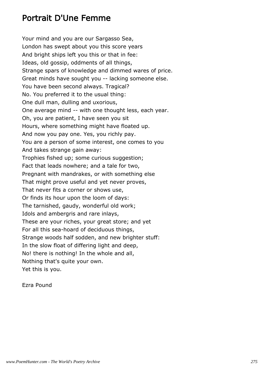### Portrait D'Une Femme

Your mind and you are our Sargasso Sea, London has swept about you this score years And bright ships left you this or that in fee: Ideas, old gossip, oddments of all things, Strange spars of knowledge and dimmed wares of price. Great minds have sought you -- lacking someone else. You have been second always. Tragical? No. You preferred it to the usual thing: One dull man, dulling and uxorious, One average mind -- with one thought less, each year. Oh, you are patient, I have seen you sit Hours, where something might have floated up. And now you pay one. Yes, you richly pay. You are a person of some interest, one comes to you And takes strange gain away: Trophies fished up; some curious suggestion; Fact that leads nowhere; and a tale for two, Pregnant with mandrakes, or with something else That might prove useful and yet never proves, That never fits a corner or shows use, Or finds its hour upon the loom of days: The tarnished, gaudy, wonderful old work; Idols and ambergris and rare inlays, These are your riches, your great store; and yet For all this sea-hoard of deciduous things, Strange woods half sodden, and new brighter stuff: In the slow float of differing light and deep, No! there is nothing! In the whole and all, Nothing that's quite your own. Yet this is you.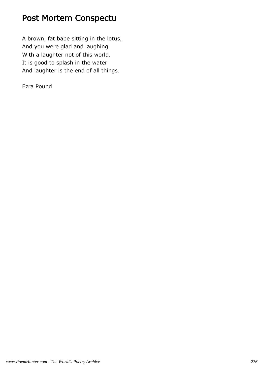## Post Mortem Conspectu

A brown, fat babe sitting in the lotus, And you were glad and laughing With a laughter not of this world. It is good to splash in the water And laughter is the end of all things.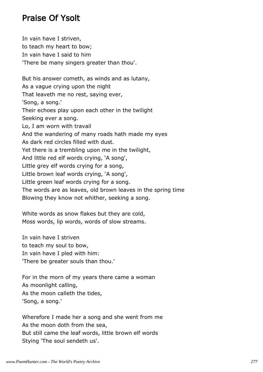#### Praise Of Ysolt

In vain have I striven, to teach my heart to bow; In vain have I said to him 'There be many singers greater than thou'. But his answer cometh, as winds and as lutany, As a vague crying upon the night That leaveth me no rest, saying ever, 'Song, a song.' Their echoes play upon each other in the twilight Seeking ever a song. Lo, I am worn with travail And the wandering of many roads hath made my eyes As dark red circles filled with dust. Yet there is a trembling upon me in the twilight, And little red elf words crying, 'A song', Little grey elf words crying for a song, Little brown leaf words crying, 'A song', Little green leaf words crying for a song. The words are as leaves, old brown leaves in the spring time Blowing they know not whither, seeking a song.

White words as snow flakes but they are cold, Moss words, lip words, words of slow streams.

In vain have I striven to teach my soul to bow, In vain have I pled with him: 'There be greater souls than thou.'

For in the morn of my years there came a woman As moonlight calling, As the moon calleth the tides, 'Song, a song.'

Wherefore I made her a song and she went from me As the moon doth from the sea, But still came the leaf words, little brown elf words Stying 'The soul sendeth us'.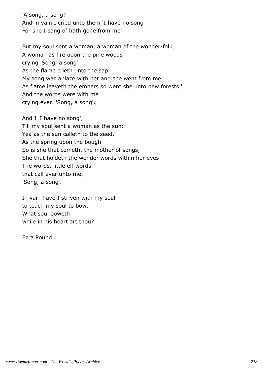'A song, a song!' And in vain I cried unto them 'I have no song For she I sang of hath gone from me'.

But my soul sent a woman, a woman of the wonder-folk, A woman as fire upon the pine woods crying 'Song, a song'. As the flame crieth unto the sap. My song was ablaze with her and she went from me As flame leaveth the embers so went she unto new forests ' And the words were with me crying ever. 'Song, a song'.

And I 'I have no song', Till my soul sent a woman as the sun: Yea as the sun calleth to the seed, As the spring upon the bough So is she that cometh, the mother of songs, She that holdeth the wonder words within her eyes The words, little elf words that call ever unto me, 'Song, a song'.

In vain have I striven with my soul to teach my soul to bow. What soul boweth while in his heart art thou?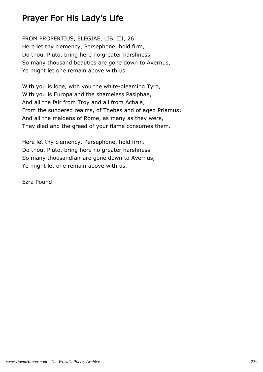### Prayer For His Lady's Life

FROM PROPERTIUS, ELEGIAE, LIB. III, 26 Here let thy clemency, Persephone, hold firm, Do thou, Pluto, bring here no greater harshness. So many thousand beauties are gone down to Avernus, Ye might let one remain above with us.

With you is lope, with you the white-gleaming Tyro, With you is Europa and the shameless Pasiphae, And all the fair from Troy and all from Achaia, From the sundered realms, of Thebes and of aged Priamus; And all the maidens of Rome, as many as they were, They died and the greed of your flame consumes them.

Here let thy clemency, Persephone, hold firm. Do thou, Pluto, bring here no greater harshness. So many thousandfair are gone down to Avernus, Ye might let one remain above with us.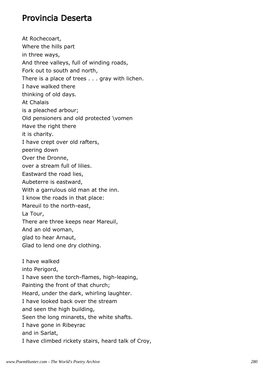#### Provincia Deserta

At Rochecoart, Where the hills part in three ways, And three valleys, full of winding roads, Fork out to south and north, There is a place of trees . . . gray with lichen. I have walked there thinking of old days. At Chalais is a pleached arbour; Old pensioners and old protected \vomen Have the right there it is charity. I have crept over old rafters, peering down Over the Dronne, over a stream full of lilies. Eastward the road lies, Aubeterre is eastward, With a garrulous old man at the inn. I know the roads in that place: Mareuil to the north-east, La Tour, There are three keeps near Mareuil, And an old woman, glad to hear Arnaut, Glad to lend one dry clothing. I have walked into Perigord, I have seen the torch-flames, high-leaping, Painting the front of that church; Heard, under the dark, whirling laughter. I have looked back over the stream and seen the high building, Seen the long minarets, the white shafts. I have gone in Ribeyrac and in Sarlat, I have climbed rickety stairs, heard talk of Croy,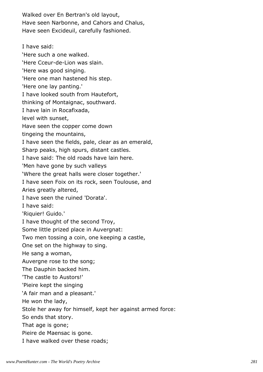Walked over En Bertran's old layout, Have seen Narbonne, and Cahors and Chalus, Have seen Excideuil, carefully fashioned.

I have said: 'Here such a one walked. 'Here Cceur-de-Lion was slain. 'Here was good singing. 'Here one man hastened his step. 'Here one lay panting.' I have looked south from Hautefort, thinking of Montaignac, southward. I have lain in Rocafixada, level with sunset, Have seen the copper come down tingeing the mountains, I have seen the fields, pale, clear as an emerald, Sharp peaks, high spurs, distant castles. I have said: The old roads have lain here. 'Men have gone by such valleys 'Where the great halls were closer together.' I have seen Foix on its rock, seen Toulouse, and Aries greatly altered, I have seen the ruined 'Dorata'. I have said: 'Riquier! Guido.' I have thought of the second Troy, Some little prized place in Auvergnat: Two men tossing a coin, one keeping a castle, One set on the highway to sing. He sang a woman, Auvergne rose to the song; The Dauphin backed him. 'The castle to Austors!' 'Pieire kept the singing 'A fair man and a pleasant.' He won the lady, Stole her away for himself, kept her against armed force: So ends that story. That age is gone; Pieire de Maensac is gone. I have walked over these roads;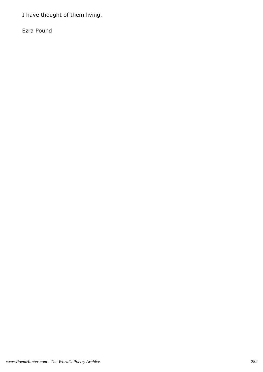I have thought of them living.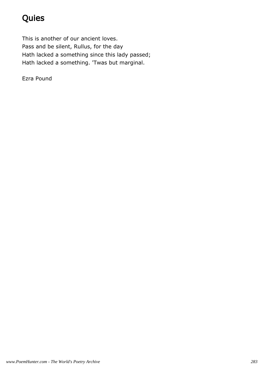# Quies

This is another of our ancient loves. Pass and be silent, Rullus, for the day Hath lacked a something since this lady passed; Hath lacked a something. 'Twas but marginal.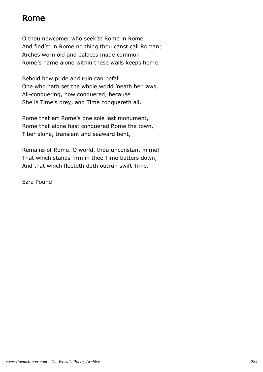### Rome

O thou newcomer who seek'st Rome in Rome And find'st in Rome no thing thou canst call Roman; Arches worn old and palaces made common Rome's name alone within these walls keeps home.

Behold how pride and ruin can befall One who hath set the whole world 'neath her laws, All-conquering, now conquered, because She is Time's prey, and Time conquereth all.

Rome that art Rome's one sole last monument, Rome that alone hast conquered Rome the town, Tiber alone, transient and seaward bent,

Remains of Rome. O world, thou unconstant mime! That which stands firm in thee Time batters down, And that which fleeteth doth outrun swift Time.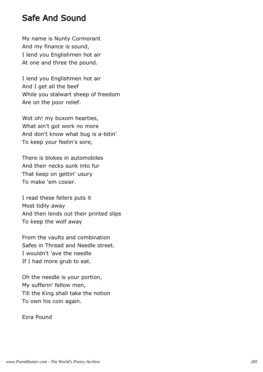#### Safe And Sound

My name is Nunty Cormorant And my finance is sound, I lend you Englishmen hot air At one and three the pound.

I lend you Englishmen hot air And I get all the beef While you stalwart sheep of freedom Are on the poor relief.

Wot oh! my buxom hearties, What ain't got work no more And don't know what bug is a-bitin' To keep your feelin's sore,

There is blokes in automobiles And their necks sunk into fur That keep on gettin' usury To make 'em cosier.

I read these fellers puts it Most tidily away And then lends out their printed slips To keep the wolf away

From the vaults and combination Safes in Thread and Needle street. I wouldn't 'ave the needle If I had more grub to eat.

Oh the needle is your portion, My sufferin' fellow men, Till the King shall take the notion To own his coin again.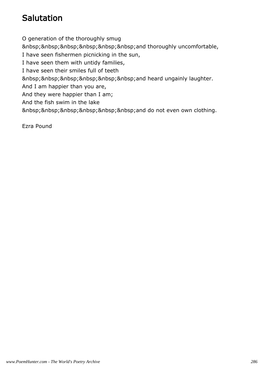## **Salutation**

O generation of the thoroughly smug and thoroughly uncomfortable, I have seen fishermen picnicking in the sun, I have seen them with untidy families, I have seen their smiles full of teeth and heard ungainly laughter. And I am happier than you are, And they were happier than I am; And the fish swim in the lake and do not even own clothing.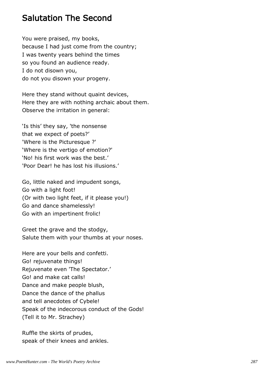### Salutation The Second

You were praised, my books, because I had just come from the country; I was twenty years behind the times so you found an audience ready. I do not disown you, do not you disown your progeny.

Here they stand without quaint devices, Here they are with nothing archaic about them. Observe the irritation in general:

'Is this' they say, 'the nonsense that we expect of poets?' 'Where is the Picturesque ?' 'Where is the vertigo of emotion?' 'No! his first work was the best.' 'Poor Dear! he has lost his illusions.'

Go, little naked and impudent songs, Go with a light foot! (Or with two light feet, if it please you!) Go and dance shamelessly! Go with an impertinent frolic!

Greet the grave and the stodgy, Salute them with your thumbs at your noses.

Here are your bells and confetti. Go! rejuvenate things! Rejuvenate even 'The Spectator.' Go! and make cat calls! Dance and make people blush, Dance the dance of the phallus and tell anecdotes of Cybele! Speak of the indecorous conduct of the Gods! (Tell it to Mr. Strachey)

Ruffle the skirts of prudes, speak of their knees and ankles.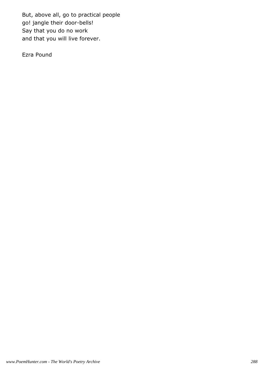But, above all, go to practical people go! jangle their door-bells! Say that you do no work and that you will live forever.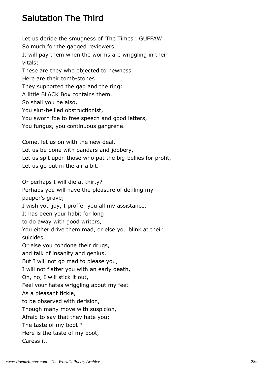# Salutation The Third

Let us deride the smugness of 'The Times': GUFFAW! So much for the gagged reviewers, It will pay them when the worms are wriggling in their vitals; These are they who objected to newness, Here are their tomb-stones. They supported the gag and the ring: A little BLACK Box contains them. So shall you be also, You slut-bellied obstructionist, You sworn foe to free speech and good letters, You fungus, you continuous gangrene. Come, let us on with the new deal, Let us be done with pandars and jobbery, Let us spit upon those who pat the big-bellies for profit, Let us go out in the air a bit. Or perhaps I will die at thirty? Perhaps you will have the pleasure of defiling my pauper's grave; I wish you joy, I proffer you all my assistance. It has been your habit for long to do away with good writers, You either drive them mad, or else you blink at their suicides, Or else you condone their drugs, and talk of insanity and genius, But I will not go mad to please you, I will not flatter you with an early death, Oh, no, I will stick it out, Feel your hates wriggling about my feet As a pleasant tickle,

to be observed with derision,

Though many move with suspicion,

Afraid to say that they hate you;

The taste of my boot ?

Here is the taste of my boot,

Caress it,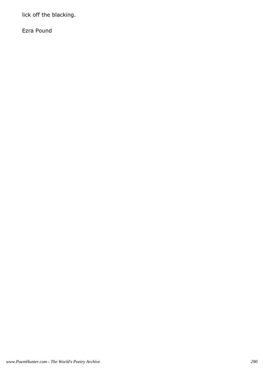lick off the blacking.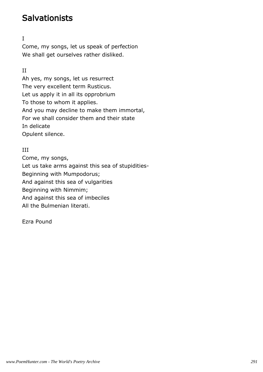# **Salvationists**

#### I

Come, my songs, let us speak of perfection We shall get ourselves rather disliked.

#### II

Ah yes, my songs, let us resurrect The very excellent term Rusticus. Let us apply it in all its opprobrium To those to whom it applies. And you may decline to make them immortal, For we shall consider them and their state In delicate Opulent silence.

#### III

Come, my songs, Let us take arms against this sea of stupidities-Beginning with Mumpodorus; And against this sea of vulgarities Beginning with Nimmim; And against this sea of imbeciles All the Bulmenian literati.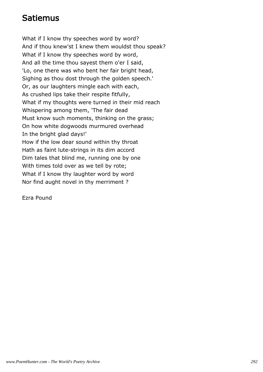### Satiemus

What if I know thy speeches word by word? And if thou knew'st I knew them wouldst thou speak? What if I know thy speeches word by word, And all the time thou sayest them o'er I said, 'Lo, one there was who bent her fair bright head, Sighing as thou dost through the golden speech.' Or, as our laughters mingle each with each, As crushed lips take their respite fitfully, What if my thoughts were turned in their mid reach Whispering among them, 'The fair dead Must know such moments, thinking on the grass; On how white dogwoods murmured overhead In the bright glad days!' How if the low dear sound within thy throat Hath as faint lute-strings in its dim accord Dim tales that blind me, running one by one With times told over as we tell by rote; What if I know thy laughter word by word Nor find aught novel in thy merriment ?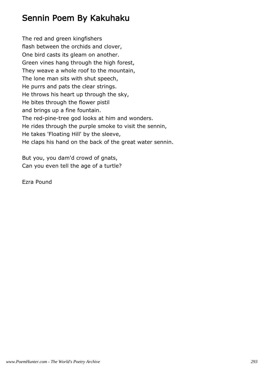### Sennin Poem By Kakuhaku

The red and green kingfishers flash between the orchids and clover, One bird casts its gleam on another. Green vines hang through the high forest, They weave a whole roof to the mountain, The lone man sits with shut speech, He purrs and pats the clear strings. He throws his heart up through the sky, He bites through the flower pistil and brings up a fine fountain. The red-pine-tree god looks at him and wonders. He rides through the purple smoke to visit the sennin, He takes 'Floating Hill' by the sleeve, He claps his hand on the back of the great water sennin.

But you, you dam'd crowd of gnats, Can you even tell the age of a turtle?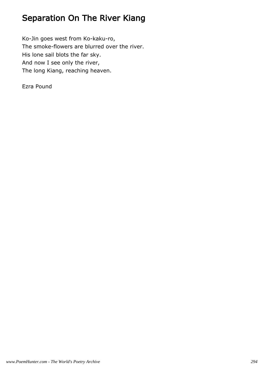# Separation On The River Kiang

Ko-Jin goes west from Ko-kaku-ro, The smoke-flowers are blurred over the river. His lone sail blots the far sky. And now I see only the river, The long Kiang, reaching heaven.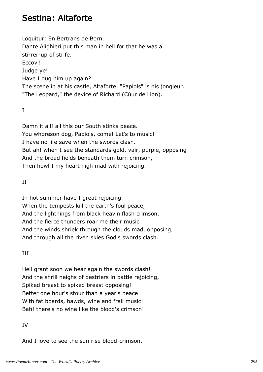#### Sestina: Altaforte

Loquitur: En Bertrans de Born. Dante Alighieri put this man in hell for that he was a stirrer-up of strife. Eccovi! Judge ye! Have I dug him up again? The scene in at his castle, Altaforte. "Papiols" is his jongleur. "The Leopard," the device of Richard (Cúur de Lion).

I

Damn it all! all this our South stinks peace. You whoreson dog, Papiols, come! Let's to music! I have no life save when the swords clash. But ah! when I see the standards gold, vair, purple, opposing And the broad fields beneath them turn crimson, Then howl I my heart nigh mad with rejoicing.

II

In hot summer have I great rejoicing When the tempests kill the earth's foul peace, And the lightnings from black heav'n flash crimson, And the fierce thunders roar me their music And the winds shriek through the clouds mad, opposing, And through all the riven skies God's swords clash.

III

Hell grant soon we hear again the swords clash! And the shrill neighs of destriers in battle rejoicing, Spiked breast to spiked breast opposing! Better one hour's stour than a year's peace With fat boards, bawds, wine and frail music! Bah! there's no wine like the blood's crimson!

IV

And I love to see the sun rise blood-crimson.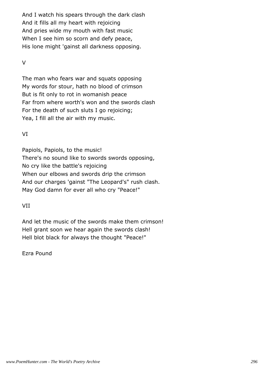And I watch his spears through the dark clash And it fills all my heart with rejoicing And pries wide my mouth with fast music When I see him so scorn and defy peace, His lone might 'gainst all darkness opposing.

#### V

The man who fears war and squats opposing My words for stour, hath no blood of crimson But is fit only to rot in womanish peace Far from where worth's won and the swords clash For the death of such sluts I go rejoicing; Yea, I fill all the air with my music.

#### VI

Papiols, Papiols, to the music! There's no sound like to swords swords opposing, No cry like the battle's rejoicing When our elbows and swords drip the crimson And our charges 'gainst "The Leopard's" rush clash. May God damn for ever all who cry "Peace!"

#### VII

And let the music of the swords make them crimson! Hell grant soon we hear again the swords clash! Hell blot black for always the thought "Peace!"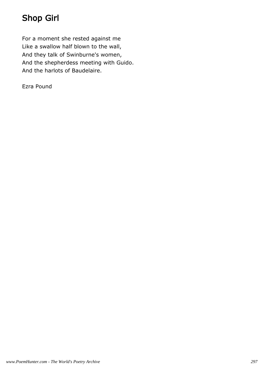# Shop Girl

For a moment she rested against me Like a swallow half blown to the wall, And they talk of Swinburne's women, And the shepherdess meeting with Guido. And the harlots of Baudelaire.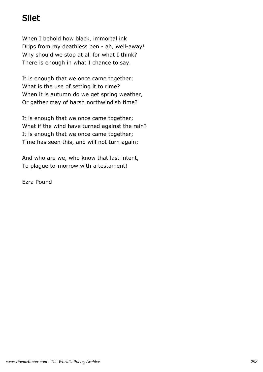# Silet

When I behold how black, immortal ink Drips from my deathless pen - ah, well-away! Why should we stop at all for what I think? There is enough in what I chance to say.

It is enough that we once came together; What is the use of setting it to rime? When it is autumn do we get spring weather, Or gather may of harsh northwindish time?

It is enough that we once came together; What if the wind have turned against the rain? It is enough that we once came together; Time has seen this, and will not turn again;

And who are we, who know that last intent, To plague to-morrow with a testament!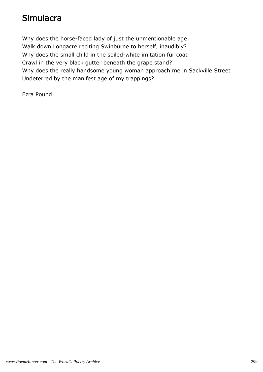# Simulacra

Why does the horse-faced lady of just the unmentionable age Walk down Longacre reciting Swinburne to herself, inaudibly? Why does the small child in the soiled-white imitation fur coat Crawl in the very black gutter beneath the grape stand? Why does the really handsome young woman approach me in Sackville Street Undeterred by the manifest age of my trappings?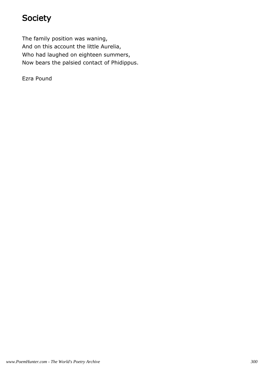### **Society**

The family position was waning, And on this account the little Aurelia, Who had laughed on eighteen summers, Now bears the palsied contact of Phidippus.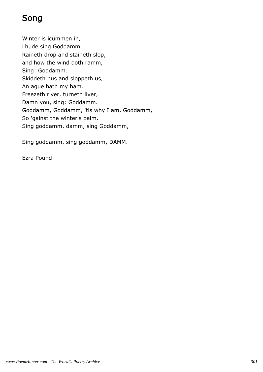# Song

Winter is icummen in, Lhude sing Goddamm, Raineth drop and staineth slop, and how the wind doth ramm, Sing: Goddamm. Skiddeth bus and sloppeth us, An ague hath my ham. Freezeth river, turneth liver, Damn you, sing: Goddamm. Goddamm, Goddamm, 'tis why I am, Goddamm, So 'gainst the winter's balm. Sing goddamm, damm, sing Goddamm,

Sing goddamm, sing goddamm, DAMM.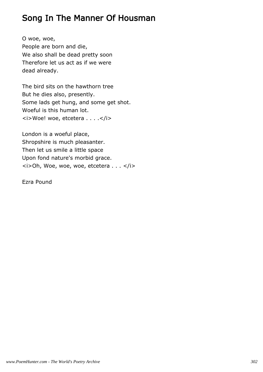### Song In The Manner Of Housman

O woe, woe, People are born and die, We also shall be dead pretty soon Therefore let us act as if we were dead already.

The bird sits on the hawthorn tree But he dies also, presently. Some lads get hung, and some get shot. Woeful is this human lot. <i>Woe! woe, etcetera . . . .</i>

London is a woeful place, Shropshire is much pleasanter. Then let us smile a little space Upon fond nature's morbid grace. <i>Oh, Woe, woe, woe, etcetera . . . </i>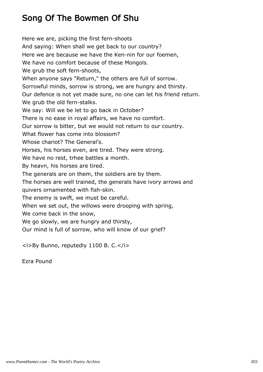# Song Of The Bowmen Of Shu

Here we are, picking the first fern-shoots And saying: When shall we get back to our country? Here we are because we have the Ken-nin for our foemen, We have no comfort because of these Mongols. We grub the soft fern-shoots, When anyone says "Return," the others are full of sorrow. Sorrowful minds, sorrow is strong, we are hungry and thirsty. Our defence is not yet made sure, no one can let his friend return. We grub the old fern-stalks. We say: Will we be let to go back in October? There is no ease in royal affairs, we have no comfort. Our sorrow is bitter, but we would not return to our country. What flower has come into blossom? Whose chariot? The General's. Horses, his horses even, are tired. They were strong. We have no rest, trhee battles a month. By heavn, his horses are tired. The generals are on them, the soldiers are by them. The horses are well trained, the generals have ivory arrows and quivers ornamented with fish-skin. The enemy is swift, we must be careful. When we set out, the willows were drooping with spring, We come back in the snow, We go slowly, we are hungry and thirsty, Our mind is full of sorrow, who will know of our grief?

<i>By Bunno, reputedly 1100 B. C.</i>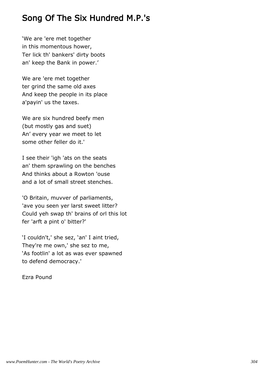# Song Of The Six Hundred M.P.'s

'We are 'ere met together in this momentous hower, Ter lick th' bankers' dirty boots an' keep the Bank in power.'

We are 'ere met together ter grind the same old axes And keep the people in its place a'payin' us the taxes.

We are six hundred beefy men (but mostly gas and suet) An' every year we meet to let some other feller do it.'

I see their 'igh 'ats on the seats an' them sprawling on the benches And thinks about a Rowton 'ouse and a lot of small street stenches.

'O Britain, muvver of parliaments, 'ave you seen yer larst sweet litter? Could yeh swap th' brains of orl this lot fer 'arft a pint o' bitter?'

'I couldn't,' she sez, 'an' I aint tried, They're me own,' she sez to me, 'As footlin' a lot as was ever spawned to defend democracy.'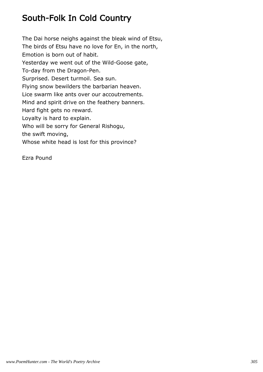# South-Folk In Cold Country

The Dai horse neighs against the bleak wind of Etsu, The birds of Etsu have no love for En, in the north, Emotion is born out of habit. Yesterday we went out of the Wild-Goose gate, To-day from the Dragon-Pen. Surprised. Desert turmoil. Sea sun. Flying snow bewilders the barbarian heaven. Lice swarm like ants over our accoutrements. Mind and spirit drive on the feathery banners. Hard fight gets no reward. Loyalty is hard to explain. Who will be sorry for General Rishogu, the swift moving, Whose white head is lost for this province?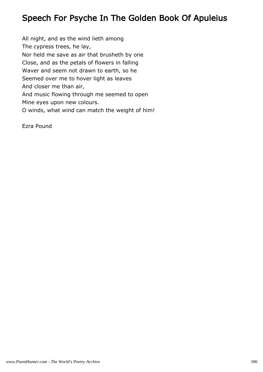## Speech For Psyche In The Golden Book Of Apuleius

All night, and as the wind lieth among The cypress trees, he lay, Nor held me save as air that brusheth by one Close, and as the petals of flowers in falling Waver and seem not drawn to earth, so he Seemed over me to hover light as leaves And closer me than air, And music flowing through me seemed to open Mine eyes upon new colours. O winds, what wind can match the weight of him!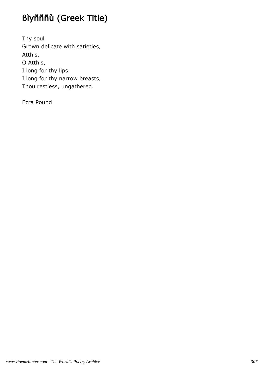# ßìyñññù (Greek Title)

Thy soul Grown delicate with satieties, Atthis. O Atthis, I long for thy lips. I long for thy narrow breasts, Thou restless, ungathered.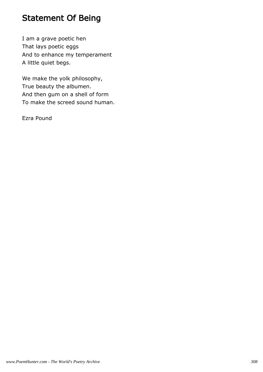# Statement Of Being

I am a grave poetic hen That lays poetic eggs And to enhance my temperament A little quiet begs.

We make the yolk philosophy, True beauty the albumen. And then gum on a shell of form To make the screed sound human.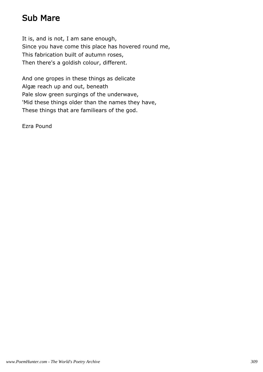# Sub Mare

It is, and is not, I am sane enough, Since you have come this place has hovered round me, This fabrication built of autumn roses, Then there's a goldish colour, different.

And one gropes in these things as delicate Algæ reach up and out, beneath Pale slow green surgings of the underwave, 'Mid these things older than the names they have, These things that are familiears of the god.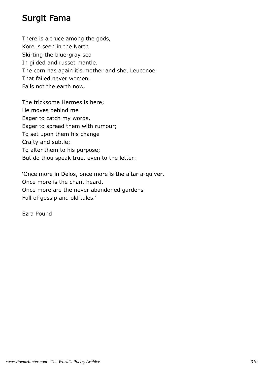### Surgit Fama

There is a truce among the gods, Kore is seen in the North Skirting the blue-gray sea In gilded and russet mantle. The corn has again it's mother and she, Leuconoe, That failed never women, Fails not the earth now.

The tricksome Hermes is here; He moves behind me Eager to catch my words, Eager to spread them with rumour; To set upon them his change Crafty and subtle; To alter them to his purpose; But do thou speak true, even to the letter:

'Once more in Delos, once more is the altar a-quiver. Once more is the chant heard. Once more are the never abandoned gardens Full of gossip and old tales.'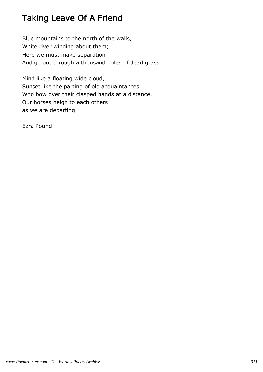# Taking Leave Of A Friend

Blue mountains to the north of the walls, White river winding about them; Here we must make separation And go out through a thousand miles of dead grass.

Mind like a floating wide cloud, Sunset like the parting of old acquaintances Who bow over their clasped hands at a distance. Our horses neigh to each others as we are departing.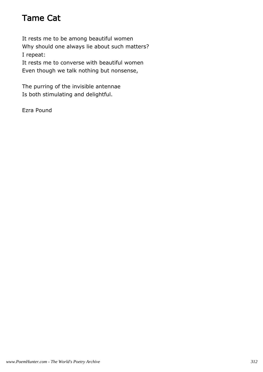# Tame Cat

It rests me to be among beautiful women Why should one always lie about such matters? I repeat:

It rests me to converse with beautiful women Even though we talk nothing but nonsense,

The purring of the invisible antennae Is both stimulating and delightful.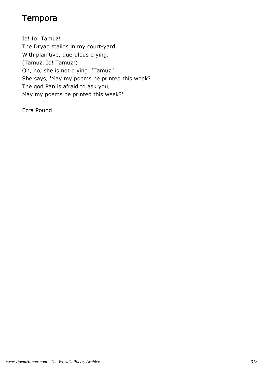# **Tempora**

Io! Io! Tamuz! The Dryad staiids in my court-yard With plaintive, querulous crying. (Tamuz. Io! Tamuz!) Oh, no, she is not crying: 'Tamuz.' She says, 'May my poems be printed this week? The god Pan is afraid to ask you, May my poems be printed this week?'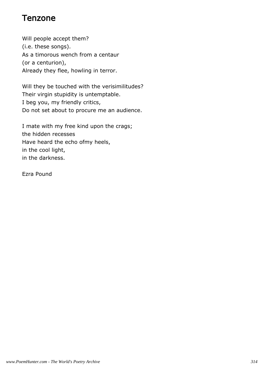### Tenzone

Will people accept them? (i.e. these songs). As a timorous wench from a centaur (or a centurion), Already they flee, howling in terror.

Will they be touched with the verisimilitudes? Their virgin stupidity is untemptable. I beg you, my friendly critics, Do not set about to procure me an audience.

I mate with my free kind upon the crags; the hidden recesses Have heard the echo ofmy heels, in the cool light, in the darkness.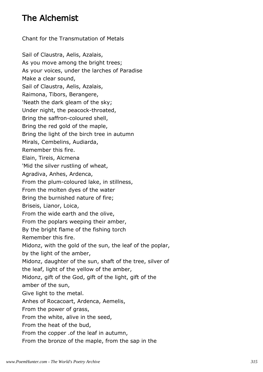# The Alchemist

Chant for the Transmutation of Metals

Sail of Claustra, Aelis, Azalais, As you move among the bright trees; As your voices, under the larches of Paradise Make a clear sound, Sail of Claustra, Aelis, Azalais, Raimona, Tibors, Berangere, 'Neath the dark gleam of the sky; Under night, the peacock-throated, Bring the saffron-coloured shell, Bring the red gold of the maple, Bring the light of the birch tree in autumn Mirals, Cembelins, Audiarda, Remember this fire. Elain, Tireis, Alcmena 'Mid the silver rustling of wheat, Agradiva, Anhes, Ardenca, From the plum-coloured lake, in stillness, From the molten dyes of the water Bring the burnished nature of fire; Briseis, Lianor, Loica, From the wide earth and the olive, From the poplars weeping their amber, By the bright flame of the fishing torch Remember this fire. Midonz, with the gold of the sun, the leaf of the poplar, by the light of the amber, Midonz, daughter of the sun, shaft of the tree, silver of the leaf, light of the yellow of the amber, Midonz, gift of the God, gift of the light, gift of the amber of the sun, Give light to the metal. Anhes of Rocacoart, Ardenca, Aemelis, From the power of grass, From the white, alive in the seed, From the heat of the bud, From the copper .of the leaf in autumn, From the bronze of the maple, from the sap in the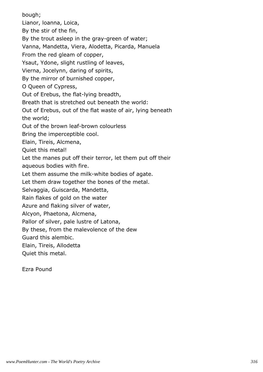bough; Lianor, loanna, Loica, By the stir of the fin, By the trout asleep in the gray-green of water; Vanna, Mandetta, Viera, Alodetta, Picarda, Manuela From the red gleam of copper, Ysaut, Ydone, slight rustling of leaves, Vierna, Jocelynn, daring of spirits, By the mirror of burnished copper, O Queen of Cypress, Out of Erebus, the flat-lying breadth, Breath that is stretched out beneath the world: Out of Erebus, out of the flat waste of air, lying beneath the world; Out of the brown leaf-brown colourless Bring the imperceptible cool. Elain, Tireis, Alcmena, Quiet this metal! Let the manes put off their terror, let them put off their aqueous bodies with fire. Let them assume the milk-white bodies of agate. Let them draw together the bones of the metal. Selvaggia, Guiscarda, Mandetta, Rain flakes of gold on the water Azure and flaking silver of water, Alcyon, Phaetona, Alcmena, Pallor of silver, pale lustre of Latona, By these, from the malevolence of the dew Guard this alembic. Elain, Tireis, Allodetta Quiet this metal.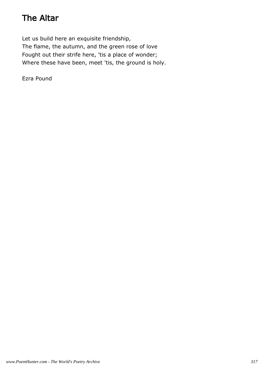# The Altar

Let us build here an exquisite friendship, The flame, the autumn, and the green rose of love Fought out their strife here, 'tis a place of wonder; Where these have been, meet 'tis, the ground is holy.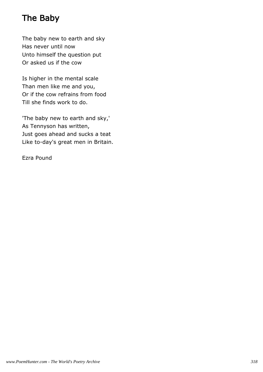# The Baby

The baby new to earth and sky Has never until now Unto himself the question put Or asked us if the cow

Is higher in the mental scale Than men like me and you, Or if the cow refrains from food Till she finds work to do.

'The baby new to earth and sky,' As Tennyson has written, Just goes ahead and sucks a teat Like to-day's great men in Britain.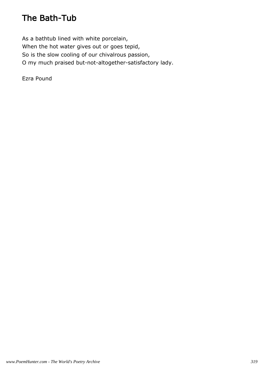# The Bath-Tub

As a bathtub lined with white porcelain, When the hot water gives out or goes tepid, So is the slow cooling of our chivalrous passion, O my much praised but-not-altogether-satisfactory lady.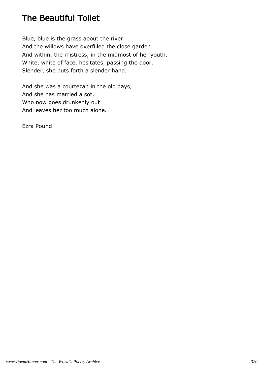# The Beautiful Toilet

Blue, blue is the grass about the river And the willows have overfilled the close garden. And within, the mistress, in the midmost of her youth. White, white of face, hesitates, passing the door. Slender, she puts forth a slender hand;

And she was a courtezan in the old days, And she has married a sot, Who now goes drunkenly out And leaves her too much alone.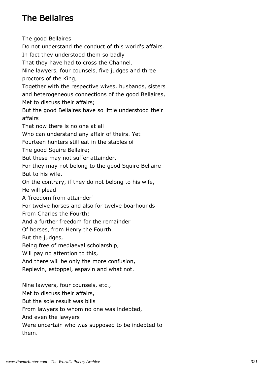# The Bellaires

The good Bellaires Do not understand the conduct of this world's affairs. In fact they understood them so badly That they have had to cross the Channel. Nine lawyers, four counsels, five judges and three proctors of the King, Together with the respective wives, husbands, sisters and heterogeneous connections of the good Bellaires, Met to discuss their affairs; But the good Bellaires have so little understood their affairs That now there is no one at all Who can understand any affair of theirs. Yet Fourteen hunters still eat in the stables of The good Squire Bellaire; But these may not suffer attainder, For they may not belong to the good Squire Bellaire But to his wife. On the contrary, if they do not belong to his wife, He will plead A 'freedom from attainder' For twelve horses and also for twelve boarhounds From Charles the Fourth; And a further freedom for the remainder Of horses, from Henry the Fourth. But the judges, Being free of mediaeval scholarship, Will pay no attention to this, And there will be only the more confusion, Replevin, estoppel, espavin and what not. Nine lawyers, four counsels, etc., Met to discuss their affairs, But the sole result was bills From lawyers to whom no one was indebted, And even the lawyers

Were uncertain who was supposed to be indebted to them.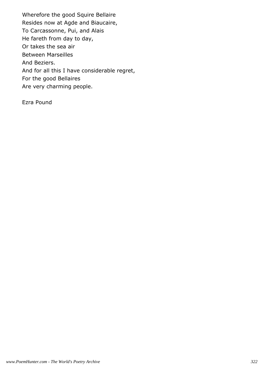Wherefore the good Squire Bellaire Resides now at Agde and Biaucaire, To Carcassonne, Pui, and Alais He fareth from day to day, Or takes the sea air Between Marseilles And Beziers. And for all this I have considerable regret, For the good Bellaires Are very charming people.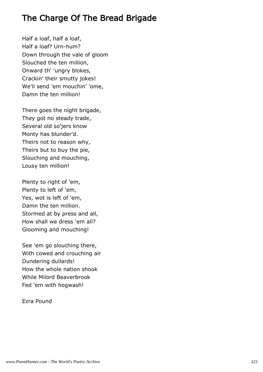# The Charge Of The Bread Brigade

Half a loaf, half a loaf, Half a loaf? Urn-hum? Down through the vale of gloom Slouched the ten million, Onward th' 'ungry blokes, Crackin' their smutty jokes! We'll send 'em mouchin' 'ome, Damn the ten million!

There goes the night brigade, They got no steady trade, Several old so'jers know Monty has blunder'd. Theirs not to reason why, Theirs but to buy the pie, Slouching and mouching, Lousy ten million!

Plenty to right of 'em, Plenty to left of 'em, Yes, wot is left of 'em, Damn the ten million. Stormed at by press and all, How shall we dress 'em all? Glooming and mouching!

See 'em go slouching there, With cowed and crouching air Dundering dullards! How the whole nation shook While Milord Beaverbrook Fed 'em with hogwash!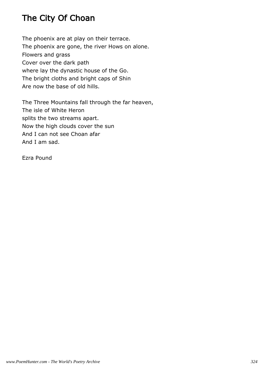# The City Of Choan

The phoenix are at play on their terrace. The phoenix are gone, the river Hows on alone. Flowers and grass Cover over the dark path where lay the dynastic house of the Go. The bright cloths and bright caps of Shin Are now the base of old hills.

The Three Mountains fall through the far heaven, The isle of White Heron splits the two streams apart. Now the high clouds cover the sun And I can not see Choan afar And I am sad.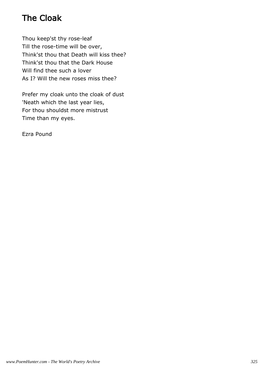# The Cloak

Thou keep'st thy rose-leaf Till the rose-time will be over, Think'st thou that Death will kiss thee? Think'st thou that the Dark House Will find thee such a lover As I? Will the new roses miss thee?

Prefer my cloak unto the cloak of dust 'Neath which the last year lies, For thou shouldst more mistrust Time than my eyes.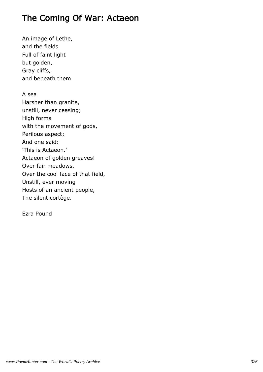### The Coming Of War: Actaeon

An image of Lethe, and the fields Full of faint light but golden, Gray cliffs, and beneath them

A sea Harsher than granite, unstill, never ceasing; High forms with the movement of gods, Perilous aspect; And one said: 'This is Actaeon.' Actaeon of golden greaves! Over fair meadows, Over the cool face of that field, Unstill, ever moving Hosts of an ancient people, The silent cortège.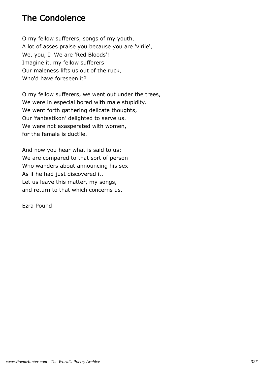#### The Condolence

O my fellow sufferers, songs of my youth, A lot of asses praise you because you are 'virile', We, you, I! We are 'Red Bloods'! Imagine it, my fellow sufferers Our maleness lifts us out of the ruck, Who'd have foreseen it?

O my fellow sufferers, we went out under the trees, We were in especial bored with male stupidity. We went forth gathering delicate thoughts, Our 'fantastikon' delighted to serve us. We were not exasperated with women, for the female is ductile.

And now you hear what is said to us: We are compared to that sort of person Who wanders about announcing his sex As if he had just discovered it. Let us leave this matter, my songs, and return to that which concerns us.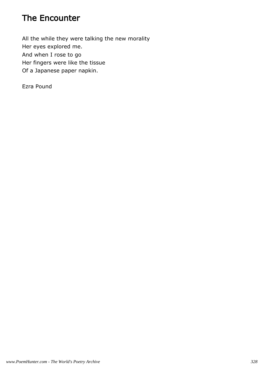# The Encounter

All the while they were talking the new morality Her eyes explored me. And when I rose to go Her fingers were like the tissue Of a Japanese paper napkin.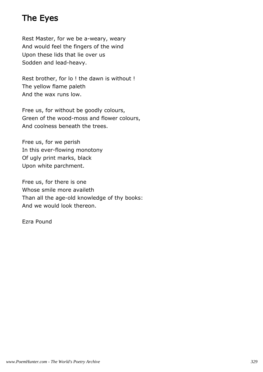# The Eyes

Rest Master, for we be a-weary, weary And would feel the fingers of the wind Upon these lids that lie over us Sodden and lead-heavy.

Rest brother, for lo ! the dawn is without ! The yellow flame paleth And the wax runs low.

Free us, for without be goodly colours, Green of the wood-moss and flower colours, And coolness beneath the trees.

Free us, for we perish In this ever-flowing monotony Of ugly print marks, black Upon white parchment.

Free us, for there is one Whose smile more availeth Than all the age-old knowledge of thy books: And we would look thereon.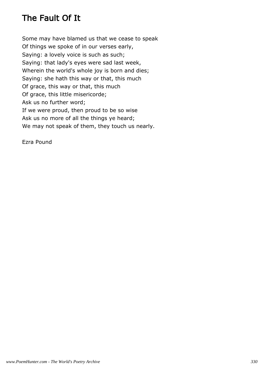# The Fault Of It

Some may have blamed us that we cease to speak Of things we spoke of in our verses early, Saying: a lovely voice is such as such; Saying: that lady's eyes were sad last week, Wherein the world's whole joy is born and dies; Saying: she hath this way or that, this much Of grace, this way or that, this much Of grace, this little misericorde; Ask us no further word; If we were proud, then proud to be so wise Ask us no more of all the things ye heard; We may not speak of them, they touch us nearly.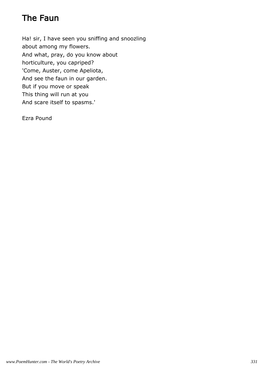# The Faun

Ha! sir, I have seen you sniffing and snoozling about among my flowers. And what, pray, do you know about horticulture, you capriped? 'Come, Auster, come Apeliota, And see the faun in our garden. But if you move or speak This thing will run at you And scare itself to spasms.'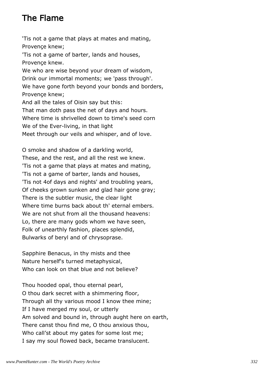# The Flame

'Tis not a game that plays at mates and mating, Provençe knew; 'Tis not a game of barter, lands and houses, Provençe knew. We who are wise beyond your dream of wisdom, Drink our immortal moments; we 'pass through'. We have gone forth beyond your bonds and borders, Provençe knew; And all the tales of Oisin say but this: That man doth pass the net of days and hours. Where time is shrivelled down to time's seed corn We of the Ever-living, in that light Meet through our veils and whisper, and of love.

O smoke and shadow of a darkling world, These, and the rest, and all the rest we knew. 'Tis not a game that plays at mates and mating, 'Tis not a game of barter, lands and houses, 'Tis not 4of days and nights' and troubling years, Of cheeks grown sunken and glad hair gone gray; There is the subtler music, the clear light Where time burns back about th' eternal embers. We are not shut from all the thousand heavens: Lo, there are many gods whom we have seen, Folk of unearthly fashion, places splendid, Bulwarks of beryl and of chrysoprase.

Sapphire Benacus, in thy mists and thee Nature herself's turned metaphysical, Who can look on that blue and not believe?

Thou hooded opal, thou eternal pearl, O thou dark secret with a shimmering floor, Through all thy various mood I know thee mine; If I have merged my soul, or utterly Am solved and bound in, through aught here on earth, There canst thou find me, O thou anxious thou, Who call'st about my gates for some lost me; I say my soul flowed back, became translucent.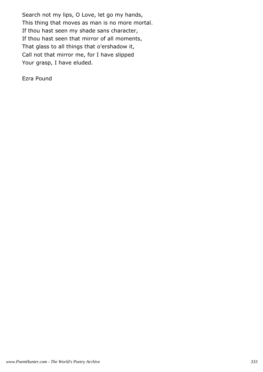Search not my lips, O Love, let go my hands, This thing that moves as man is no more mortal. If thou hast seen my shade sans character, If thou hast seen that mirror of all moments, That glass to all things that o'ershadow it, Call not that mirror me, for I have slipped Your grasp, I have eluded.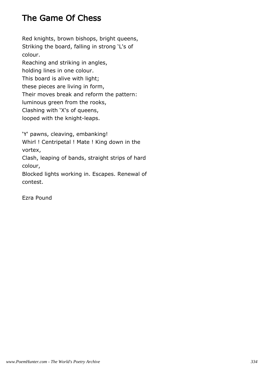# The Game Of Chess

Red knights, brown bishops, bright queens, Striking the board, falling in strong 'L's of colour. Reaching and striking in angles, holding lines in one colour. This board is alive with light; these pieces are living in form, Their moves break and reform the pattern: luminous green from the rooks, Clashing with 'X's of queens, looped with the knight-leaps.

'Y' pawns, cleaving, embanking! Whirl ! Centripetal ! Mate ! King down in the vortex, Clash, leaping of bands, straight strips of hard colour, Blocked lights working in. Escapes. Renewal of

contest.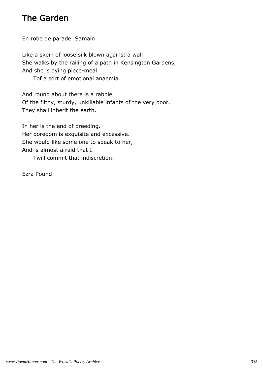# The Garden

En robe de parade. Samain

Like a skein of loose silk blown against a wall She walks by the railing of a path in Kensington Gardens, And she is dying piece-meal Tof a sort of emotional anaemia.

And round about there is a rabble Of the filthy, sturdy, unkillable infants of the very poor. They shall inherit the earth.

In her is the end of breeding. Her boredom is exquisite and excessive. She would like some one to speak to her, And is almost afraid that I Twill commit that indiscretion.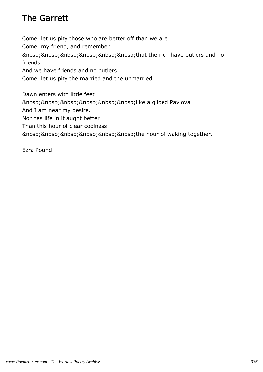# The Garrett

Come, let us pity those who are better off than we are. Come, my friend, and remember that the rich have butlers and no friends, And we have friends and no butlers.

Come, let us pity the married and the unmarried.

Dawn enters with little feet

like a gilded Pavlova

And I am near my desire.

Nor has life in it aught better

Than this hour of clear coolness

the hour of waking together.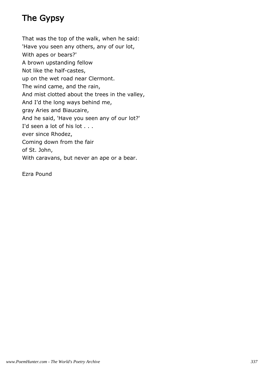# The Gypsy

That was the top of the walk, when he said: 'Have you seen any others, any of our lot, With apes or bears?' A brown upstanding fellow Not like the half-castes, up on the wet road near Clermont. The wind came, and the rain, And mist clotted about the trees in the valley, And I'd the long ways behind me, gray Aries and Biaucaire, And he said, 'Have you seen any of our lot?' I'd seen a lot of his lot . . . ever since Rhodez, Coming down from the fair of St. John, With caravans, but never an ape or a bear.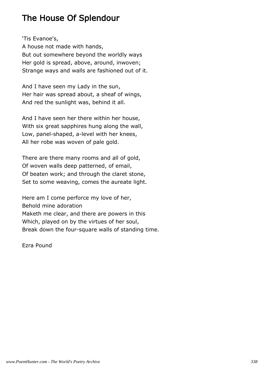# The House Of Splendour

'Tis Evanoe's,

A house not made with hands, But out somewhere beyond the worldly ways Her gold is spread, above, around, inwoven; Strange ways and walls are fashioned out of it.

And I have seen my Lady in the sun, Her hair was spread about, a sheaf of wings, And red the sunlight was, behind it all.

And I have seen her there within her house, With six great sapphires hung along the wall, Low, panel-shaped, a-level with her knees, All her robe was woven of pale gold.

There are there many rooms and all of gold, Of woven walls deep patterned, of email, Of beaten work; and through the claret stone, Set to some weaving, comes the aureate light.

Here am I come perforce my love of her, Behold mine adoration Maketh me clear, and there are powers in this Which, played on by the virtues of her soul, Break down the four-square walls of standing time.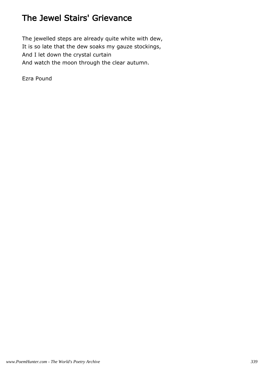#### The Jewel Stairs' Grievance

The jewelled steps are already quite white with dew, It is so late that the dew soaks my gauze stockings, And I let down the crystal curtain And watch the moon through the clear autumn.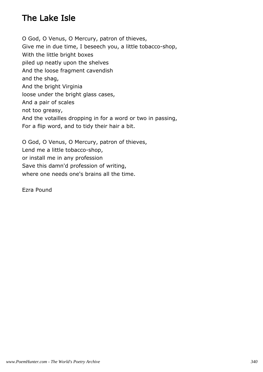### The Lake Isle

O God, O Venus, O Mercury, patron of thieves, Give me in due time, I beseech you, a little tobacco-shop, With the little bright boxes piled up neatly upon the shelves And the loose fragment cavendish and the shag, And the bright Virginia loose under the bright glass cases, And a pair of scales not too greasy, And the votailles dropping in for a word or two in passing, For a flip word, and to tidy their hair a bit.

O God, O Venus, O Mercury, patron of thieves, Lend me a little tobacco-shop, or install me in any profession Save this damn'd profession of writing, where one needs one's brains all the time.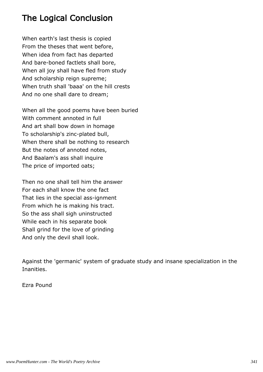# The Logical Conclusion

When earth's last thesis is copied From the theses that went before, When idea from fact has departed And bare-boned factlets shall bore, When all joy shall have fled from study And scholarship reign supreme; When truth shall 'baaa' on the hill crests And no one shall dare to dream;

When all the good poems have been buried With comment annoted in full And art shall bow down in homage To scholarship's zinc-plated bull, When there shall be nothing to research But the notes of annoted notes, And Baalam's ass shall inquire The price of imported oats;

Then no one shall tell him the answer For each shall know the one fact That lies in the special ass-ignment From which he is making his tract. So the ass shall sigh uninstructed While each in his separate book Shall grind for the love of grinding And only the devil shall look.

Against the 'germanic' system of graduate study and insane specialization in the Inanities.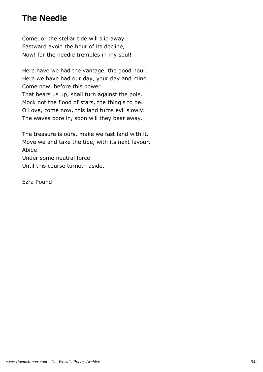## The Needle

Come, or the stellar tide will slip away. Eastward avoid the hour of its decline, Now! for the needle trembles in my soul!

Here have we had the vantage, the good hour. Here we have had our day, your day and mine. Come now, before this power That bears us up, shall turn against the pole. Mock not the flood of stars, the thing's to be. O Love, come now, this land turns evil slowly. The waves bore in, soon will they bear away.

The treasure is ours, make we fast land with it. Move we and take the tide, with its next favour, Abide Under some neutral force Until this course turneth aside.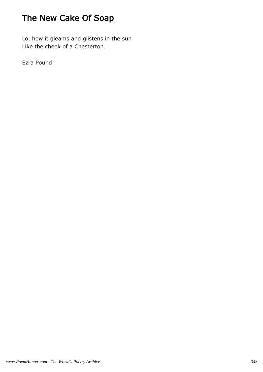# The New Cake Of Soap

Lo, how it gleams and glistens in the sun Like the cheek of a Chesterton.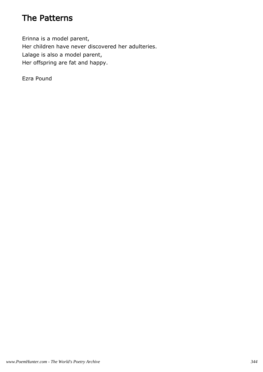# The Patterns

Erinna is a model parent, Her children have never discovered her adulteries. Lalage is also a model parent, Her offspring are fat and happy.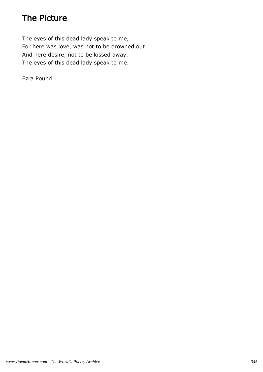# The Picture

The eyes of this dead lady speak to me, For here was love, was not to be drowned out. And here desire, not to be kissed away. The eyes of this dead lady speak to me.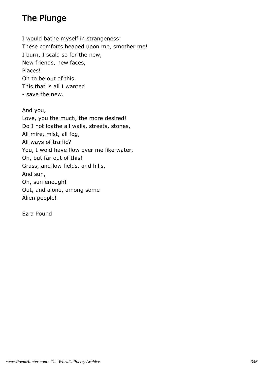# The Plunge

I would bathe myself in strangeness: These comforts heaped upon me, smother me! I burn, I scald so for the new, New friends, new faces, Places! Oh to be out of this, This that is all I wanted - save the new.

And you, Love, you the much, the more desired! Do I not loathe all walls, streets, stones, All mire, mist, all fog, All ways of traffic? You, I wold have flow over me like water, Oh, but far out of this! Grass, and low fields, and hills, And sun, Oh, sun enough! Out, and alone, among some Alien people!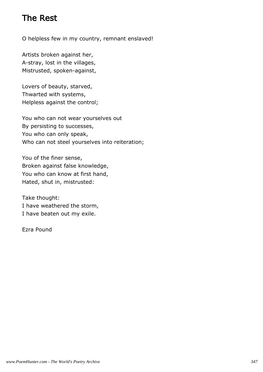# The Rest

O helpless few in my country, remnant enslaved!

Artists broken against her, A-stray, lost in the villages, Mistrusted, spoken-against,

Lovers of beauty, starved, Thwarted with systems, Helpless against the control;

You who can not wear yourselves out By persisting to successes, You who can only speak, Who can not steel yourselves into reiteration;

You of the finer sense, Broken against false knowledge, You who can know at first hand, Hated, shut in, mistrusted:

Take thought: I have weathered the storm, I have beaten out my exile.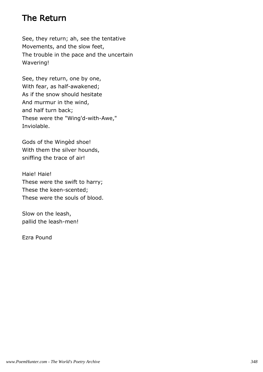#### The Return

See, they return; ah, see the tentative Movements, and the slow feet, The trouble in the pace and the uncertain Wavering!

See, they return, one by one, With fear, as half-awakened; As if the snow should hesitate And murmur in the wind, and half turn back; These were the "Wing'd-with-Awe," Inviolable.

Gods of the Wingèd shoe! With them the silver hounds, sniffing the trace of air!

Haie! Haie! These were the swift to harry; These the keen-scented; These were the souls of blood.

Slow on the leash, pallid the leash-men!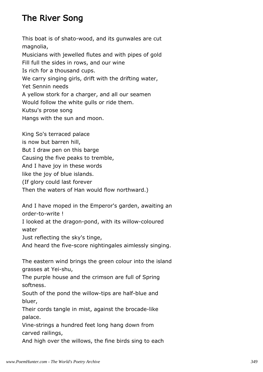# The River Song

This boat is of shato-wood, and its gunwales are cut magnolia, Musicians with jewelled flutes and with pipes of gold Fill full the sides in rows, and our wine Is rich for a thousand cups. We carry singing girls, drift with the drifting water, Yet Sennin needs A yellow stork for a charger, and all our seamen Would follow the white gulls or ride them. Kutsu's prose song Hangs with the sun and moon.

King So's terraced palace is now but barren hill, But I draw pen on this barge Causing the five peaks to tremble, And I have joy in these words like the joy of blue islands. (If glory could last forever Then the waters of Han would flow northward.)

And I have moped in the Emperor's garden, awaiting an order-to-write !

I looked at the dragon-pond, with its willow-coloured water

Just reflecting the sky's tinge,

And heard the five-score nightingales aimlessly singing.

The eastern wind brings the green colour into the island grasses at Yei-shu,

The purple house and the crimson are full of Spring softness.

South of the pond the willow-tips are half-blue and bluer,

Their cords tangle in mist, against the brocade-like palace.

Vine-strings a hundred feet long hang down from carved railings,

And high over the willows, the fine birds sing to each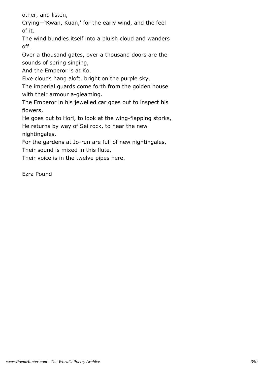other, and listen,

Crying—'Kwan, Kuan,' for the early wind, and the feel of it.

The wind bundles itself into a bluish cloud and wanders off.

Over a thousand gates, over a thousand doors are the sounds of spring singing,

And the Emperor is at Ko.

Five clouds hang aloft, bright on the purple sky,

The imperial guards come forth from the golden house with their armour a-gleaming.

The Emperor in his jewelled car goes out to inspect his flowers,

He goes out to Hori, to look at the wing-flapping storks,

He returns by way of Sei rock, to hear the new nightingales,

For the gardens at Jo-run are full of new nightingales,

Their sound is mixed in this flute,

Their voice is in the twelve pipes here.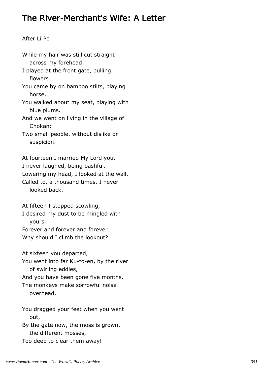#### The River-Merchant's Wife: A Letter

#### After Li Po

While my hair was still cut straight across my forehead I played at the front gate, pulling flowers. You came by on bamboo stilts, playing horse, You walked about my seat, playing with blue plums. And we went on living in the village of Chokan: Two small people, without dislike or suspicion. At fourteen I married My Lord you. I never laughed, being bashful. Lowering my head, I looked at the wall. Called to, a thousand times, I never looked back. At fifteen I stopped scowling, I desired my dust to be mingled with yours Forever and forever and forever. Why should I climb the lookout? At sixteen you departed, You went into far Ku-to-en, by the river of swirling eddies, And you have been gone five months. The monkeys make sorrowful noise overhead. You dragged your feet when you went out, By the gate now, the moss is grown, the different mosses, Too deep to clear them away!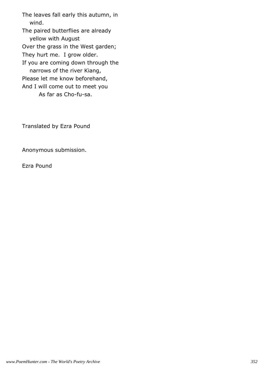The leaves fall early this autumn, in wind. The paired butterflies are already yellow with August Over the grass in the West garden; They hurt me. I grow older. If you are coming down through the narrows of the river Kiang, Please let me know beforehand, And I will come out to meet you As far as Cho-fu-sa.

Translated by Ezra Pound

Anonymous submission.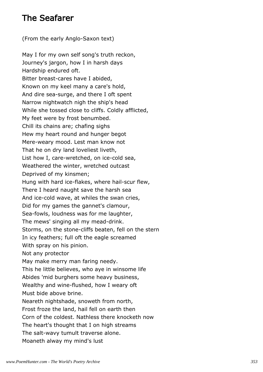## The Seafarer

(From the early Anglo-Saxon text)

May I for my own self song's truth reckon, Journey's jargon, how I in harsh days Hardship endured oft. Bitter breast-cares have I abided, Known on my keel many a care's hold, And dire sea-surge, and there I oft spent Narrow nightwatch nigh the ship's head While she tossed close to cliffs. Coldly afflicted, My feet were by frost benumbed. Chill its chains are; chafing sighs Hew my heart round and hunger begot Mere-weary mood. Lest man know not That he on dry land loveliest liveth, List how I, care-wretched, on ice-cold sea, Weathered the winter, wretched outcast Deprived of my kinsmen; Hung with hard ice-flakes, where hail-scur flew, There I heard naught save the harsh sea And ice-cold wave, at whiles the swan cries, Did for my games the gannet's clamour, Sea-fowls, loudness was for me laughter, The mews' singing all my mead-drink. Storms, on the stone-cliffs beaten, fell on the stern In icy feathers; full oft the eagle screamed With spray on his pinion. Not any protector May make merry man faring needy. This he little believes, who aye in winsome life Abides 'mid burghers some heavy business, Wealthy and wine-flushed, how I weary oft Must bide above brine. Neareth nightshade, snoweth from north, Frost froze the land, hail fell on earth then Corn of the coldest. Nathless there knocketh now The heart's thought that I on high streams The salt-wavy tumult traverse alone. Moaneth alway my mind's lust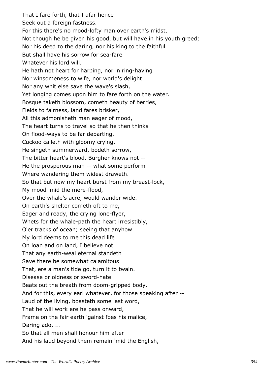That I fare forth, that I afar hence Seek out a foreign fastness. For this there's no mood-lofty man over earth's midst, Not though he be given his good, but will have in his youth greed; Nor his deed to the daring, nor his king to the faithful But shall have his sorrow for sea-fare Whatever his lord will. He hath not heart for harping, nor in ring-having Nor winsomeness to wife, nor world's delight Nor any whit else save the wave's slash, Yet longing comes upon him to fare forth on the water. Bosque taketh blossom, cometh beauty of berries, Fields to fairness, land fares brisker, All this admonisheth man eager of mood, The heart turns to travel so that he then thinks On flood-ways to be far departing. Cuckoo calleth with gloomy crying, He singeth summerward, bodeth sorrow, The bitter heart's blood. Burgher knows not -- He the prosperous man -- what some perform Where wandering them widest draweth. So that but now my heart burst from my breast-lock, My mood 'mid the mere-flood, Over the whale's acre, would wander wide. On earth's shelter cometh oft to me, Eager and ready, the crying lone-flyer, Whets for the whale-path the heart irresistibly, O'er tracks of ocean; seeing that anyhow My lord deems to me this dead life On loan and on land, I believe not That any earth-weal eternal standeth Save there be somewhat calamitous That, ere a man's tide go, turn it to twain. Disease or oldness or sword-hate Beats out the breath from doom-gripped body. And for this, every earl whatever, for those speaking after -- Laud of the living, boasteth some last word, That he will work ere he pass onward, Frame on the fair earth 'gainst foes his malice, Daring ado, ... So that all men shall honour him after And his laud beyond them remain 'mid the English,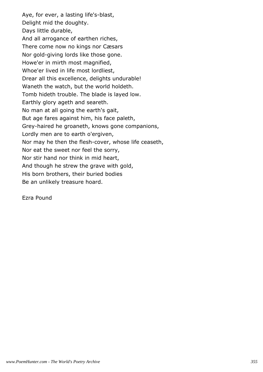Aye, for ever, a lasting life's-blast, Delight mid the doughty. Days little durable, And all arrogance of earthen riches, There come now no kings nor Cæsars Nor gold-giving lords like those gone. Howe'er in mirth most magnified, Whoe'er lived in life most lordliest, Drear all this excellence, delights undurable! Waneth the watch, but the world holdeth. Tomb hideth trouble. The blade is layed low. Earthly glory ageth and seareth. No man at all going the earth's gait, But age fares against him, his face paleth, Grey-haired he groaneth, knows gone companions, Lordly men are to earth o'ergiven, Nor may he then the flesh-cover, whose life ceaseth, Nor eat the sweet nor feel the sorry, Nor stir hand nor think in mid heart, And though he strew the grave with gold, His born brothers, their buried bodies Be an unlikely treasure hoard.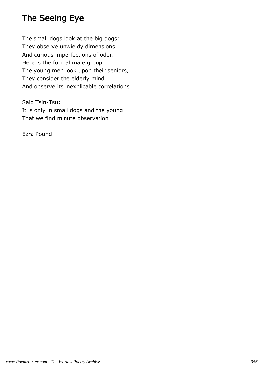# The Seeing Eye

The small dogs look at the big dogs; They observe unwieldy dimensions And curious imperfections of odor. Here is the formal male group: The young men look upon their seniors, They consider the elderly mind And observe its inexplicable correlations.

Said Tsin-Tsu: It is only in small dogs and the young That we find minute observation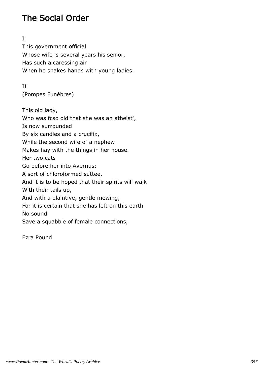# The Social Order

I

This government official Whose wife is several years his senior, Has such a caressing air When he shakes hands with young ladies.

II

(Pompes Funèbres)

This old lady,

Who was fcso old that she was an atheist',

Is now surrounded

By six candles and a crucifix,

While the second wife of a nephew

Makes hay with the things in her house.

Her two cats

Go before her into Avernus;

A sort of chloroformed suttee,

And it is to be hoped that their spirits will walk

With their tails up,

And with a plaintive, gentle mewing,

For it is certain that she has left on this earth

No sound

Save a squabble of female connections,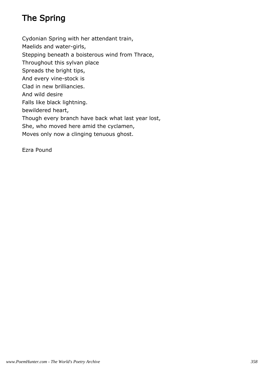# The Spring

Cydonian Spring with her attendant train, Maelids and water-girls, Stepping beneath a boisterous wind from Thrace, Throughout this sylvan place Spreads the bright tips, And every vine-stock is Clad in new brilliancies. And wild desire Falls like black lightning. bewildered heart, Though every branch have back what last year lost, She, who moved here amid the cyclamen, Moves only now a clinging tenuous ghost.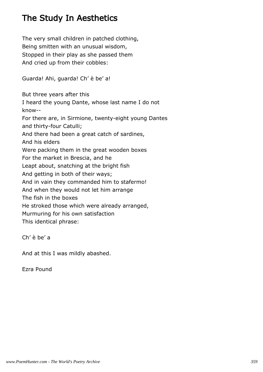# The Study In Aesthetics

The very small children in patched clothing, Being smitten with an unusual wisdom, Stopped in their play as she passed them And cried up from their cobbles:

Guarda! Ahi, guarda! Ch' è be' a!

But three years after this I heard the young Dante, whose last name I do not know-- For there are, in Sirmione, twenty-eight young Dantes and thirty-four Catulli; And there had been a great catch of sardines, And his elders Were packing them in the great wooden boxes For the market in Brescia, and he Leapt about, snatching at the bright fish And getting in both of their ways; And in vain they commanded him to stafermo! And when they would not let him arrange The fish in the boxes He stroked those which were already arranged, Murmuring for his own satisfaction This identical phrase:

Ch' è be' a

And at this I was mildly abashed.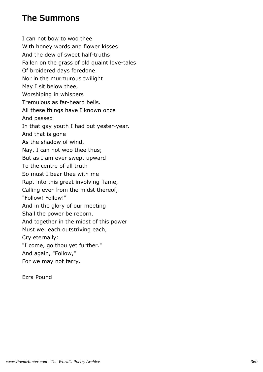### The Summons

I can not bow to woo thee With honey words and flower kisses And the dew of sweet half-truths Fallen on the grass of old quaint love-tales Of broidered days foredone. Nor in the murmurous twilight May I sit below thee, Worshiping in whispers Tremulous as far-heard bells. All these things have I known once And passed In that gay youth I had but yester-year. And that is gone As the shadow of wind. Nay, I can not woo thee thus; But as I am ever swept upward To the centre of all truth So must I bear thee with me Rapt into this great involving flame, Calling ever from the midst thereof, "Follow! Follow!" And in the glory of our meeting Shall the power be reborn. And together in the midst of this power Must we, each outstriving each, Cry eternally: "I come, go thou yet further." And again, "Follow," For we may not tarry.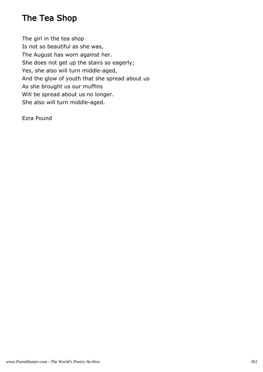### The Tea Shop

The girl in the tea shop Is not so beautiful as she was, The August has worn against her. She does not get up the stairs so eagerly; Yes, she also will turn middle-aged, And the glow of youth that she spread about us As she brought us our muffins Will be spread about us no longer. She also will turn middle-aged.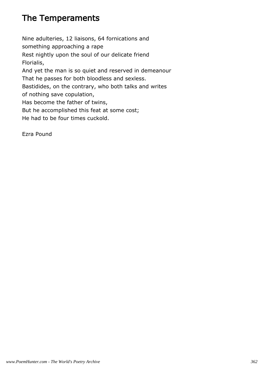# The Temperaments

Nine adulteries, 12 liaisons, 64 fornications and something approaching a rape Rest nightly upon the soul of our delicate friend Florialis, And yet the man is so quiet and reserved in demeanour That he passes for both bloodless and sexless. Bastidides, on the contrary, who both talks and writes of nothing save copulation, Has become the father of twins, But he accomplished this feat at some cost; He had to be four times cuckold.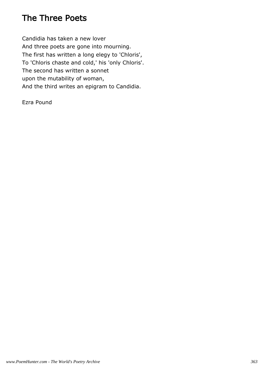### The Three Poets

Candidia has taken a new lover And three poets are gone into mourning. The first has written a long elegy to 'Chloris', To 'Chloris chaste and cold,' his 'only Chloris'. The second has written a sonnet upon the mutability of woman, And the third writes an epigram to Candidia.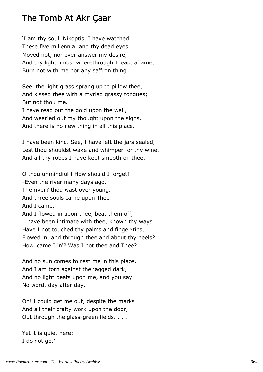### The Tomb At Akr Çaar

'I am thy soul, Nikoptis. I have watched These five millennia, and thy dead eyes Moved not, nor ever answer my desire, And thy light limbs, wherethrough I leapt aflame, Burn not with me nor any saffron thing.

See, the light grass sprang up to pillow thee, And kissed thee with a myriad grassy tongues; But not thou me.

I have read out the gold upon the wall, And wearied out my thought upon the signs. And there is no new thing in all this place.

I have been kind. See, I have left the jars sealed, Lest thou shouldst wake and whimper for thy wine. And all thy robes I have kept smooth on thee.

O thou unmindful ! How should I forget! -Even the river many days ago, The river? thou wast over young. And three souls came upon Thee-And I came. And I flowed in upon thee, beat them off; 1 have been intimate with thee, known thy ways. Have I not touched thy palms and finger-tips, Flowed in, and through thee and about thy heels? How 'came I in'? Was I not thee and Thee?

And no sun comes to rest me in this place, And I am torn against the jagged dark, And no light beats upon me, and you say No word, day after day.

Oh! I could get me out, despite the marks And all their crafty work upon the door, Out through the glass-green fields. . . .

Yet it is quiet here: I do not go.'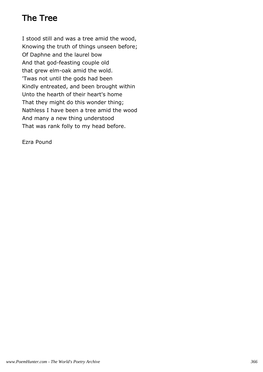# The Tree

I stood still and was a tree amid the wood, Knowing the truth of things unseen before; Of Daphne and the laurel bow And that god-feasting couple old that grew elm-oak amid the wold. 'Twas not until the gods had been Kindly entreated, and been brought within Unto the hearth of their heart's home That they might do this wonder thing; Nathless I have been a tree amid the wood And many a new thing understood That was rank folly to my head before.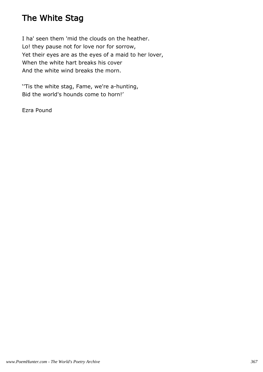### The White Stag

I ha' seen them 'mid the clouds on the heather. Lo! they pause not for love nor for sorrow, Yet their eyes are as the eyes of a maid to her lover, When the white hart breaks his cover And the white wind breaks the morn.

''Tis the white stag, Fame, we're a-hunting, Bid the world's hounds come to horn!'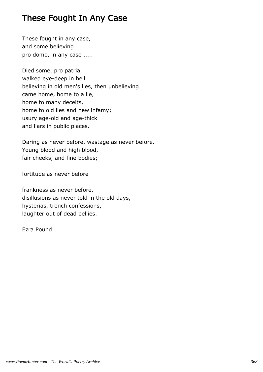### These Fought In Any Case

These fought in any case, and some believing pro domo, in any case .....

Died some, pro patria, walked eye-deep in hell believing in old men's lies, then unbelieving came home, home to a lie, home to many deceits, home to old lies and new infamy; usury age-old and age-thick and liars in public places.

Daring as never before, wastage as never before. Young blood and high blood, fair cheeks, and fine bodies;

fortitude as never before

frankness as never before, disillusions as never told in the old days, hysterias, trench confessions, laughter out of dead bellies.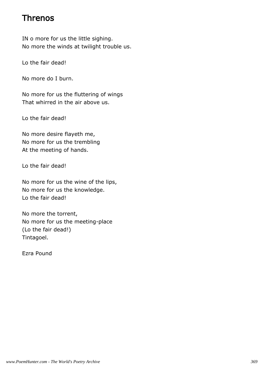### Threnos

IN o more for us the little sighing. No more the winds at twilight trouble us.

Lo the fair dead!

No more do I burn.

No more for us the fluttering of wings That whirred in the air above us.

Lo the fair dead!

No more desire flayeth me, No more for us the trembling At the meeting of hands.

Lo the fair dead!

No more for us the wine of the lips, No more for us the knowledge. Lo the fair dead!

No more the torrent, No more for us the meeting-place (Lo the fair dead!) Tintagoel.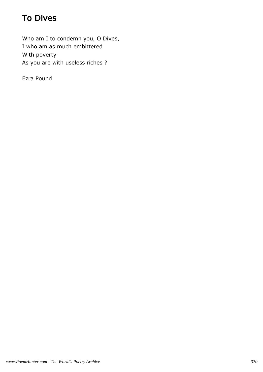# To Dives

Who am I to condemn you, O Dives, I who am as much embittered With poverty As you are with useless riches ?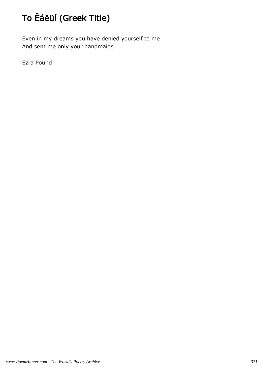# To Êáëüí (Greek Title)

Even in my dreams you have denied yourself to me And sent me only your handmaids.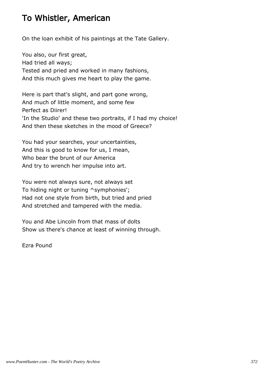### To Whistler, American

On the loan exhibit of his paintings at the Tate Gallery.

You also, our first great, Had tried all ways; Tested and pried and worked in many fashions, And this much gives me heart to play the game.

Here is part that's slight, and part gone wrong, And much of little moment, and some few Perfect as Diirer! 'In the Studio' and these two portraits, if I had my choice! And then these sketches in the mood of Greece?

You had your searches, your uncertainties, And this is good to know for us, I mean, Who bear the brunt of our America And try to wrench her impulse into art.

You were not always sure, not always set To hiding night or tuning ^symphonies'; Had not one style from birth, but tried and pried And stretched and tampered with the media.

You and Abe Lincoln from that mass of dolts Show us there's chance at least of winning through.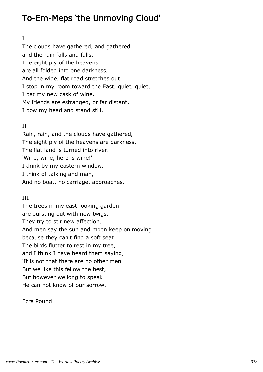# To-Em-Meps 'the Unmoving Cloud'

#### I

The clouds have gathered, and gathered, and the rain falls and falls, The eight ply of the heavens are all folded into one darkness, And the wide, flat road stretches out. I stop in my room toward the East, quiet, quiet, I pat my new cask of wine. My friends are estranged, or far distant, I bow my head and stand still.

#### II

Rain, rain, and the clouds have gathered, The eight ply of the heavens are darkness, The flat land is turned into river. 'Wine, wine, here is wine!' I drink by my eastern window. I think of talking and man, And no boat, no carriage, approaches.

#### III

The trees in my east-looking garden are bursting out with new twigs, They try to stir new affection, And men say the sun and moon keep on moving because they can't find a soft seat. The birds flutter to rest in my tree, and I think I have heard them saying, 'It is not that there are no other men But we like this fellow the best, But however we long to speak He can not know of our sorrow.'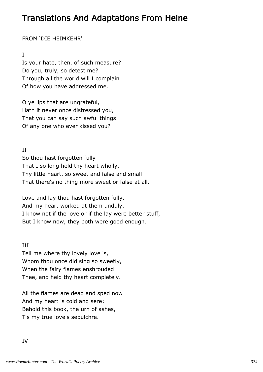### Translations And Adaptations From Heine

#### FROM 'DIE HEIMKEHR'

#### I

Is your hate, then, of such measure? Do you, truly, so detest me? Through all the world will I complain Of how you have addressed me.

O ye lips that are ungrateful, Hath it never once distressed you, That you can say such awful things Of any one who ever kissed you?

II

So thou hast forgotten fully That I so long held thy heart wholly, Thy little heart, so sweet and false and small That there's no thing more sweet or false at all.

Love and lay thou hast forgotten fully, And my heart worked at them unduly. I know not if the love or if the lay were better stuff, But I know now, they both were good enough.

III

Tell me where thy lovely love is, Whom thou once did sing so sweetly, When the fairy flames enshrouded Thee, and held thy heart completely.

All the flames are dead and sped now And my heart is cold and sere; Behold this book, the urn of ashes, Tis my true love's sepulchre.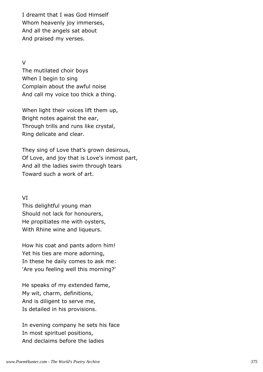I dreamt that I was God Himself Whom heavenly joy immerses, And all the angels sat about And praised my verses.

#### V

The mutilated choir boys When I begin to sing Complain about the awful noise And call my voice too thick a thing.

When light their voices lift them up, Bright notes against the ear, Through trills and runs like crystal, Ring delicate and clear.

They sing of Love that's grown desirous, Of Love, and joy that is Love's inmost part, And all the ladies swim through tears Toward such a work of art.

#### VI

This delightful young man Should not lack for honourers, He propitiates me with oysters, With Rhine wine and liqueurs.

How his coat and pants adorn him! Yet his ties are more adorning, In these he daily comes to ask me: 'Are you feeling well this morning?'

He speaks of my extended fame, My wit, charm, definitions, And is diligent to serve me, Is detailed in his provisions.

In evening company he sets his face In most spirituel positions, And declaims before the ladies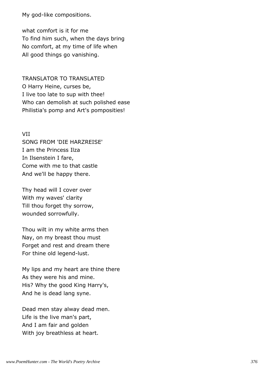My god-like compositions.

what comfort is it for me To find him such, when the days bring No comfort, at my time of life when All good things go vanishing.

TRANSLATOR TO TRANSLATED O Harry Heine, curses be, I live too late to sup with thee! Who can demolish at such polished ease Philistia's pomp and Art's pomposities!

#### VII

SONG FROM 'DIE HARZREISE' I am the Princess Ilza In Ilsenstein I fare, Come with me to that castle And we'll be happy there.

Thy head will I cover over With my waves' clarity Till thou forget thy sorrow, wounded sorrowfully.

Thou wilt in my white arms then Nay, on my breast thou must Forget and rest and dream there For thine old legend-lust.

My lips and my heart are thine there As they were his and mine. His? Why the good King Harry's, And he is dead lang syne.

Dead men stay alway dead men. Life is the live man's part, And I am fair and golden With joy breathless at heart.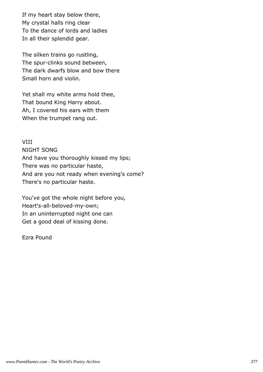If my heart stay below there, My crystal halls ring clear To the dance of lords and ladies In all their splendid gear.

The silken trains go rustling, The spur-clinks sound between, The dark dwarfs blow and bow there Small horn and violin.

Yet shall my white arms hold thee, That bound King Harry about. Ah, I covered his ears with them When the trumpet rang out.

#### VIII

NIGHT SONG And have you thoroughly kissed my lips; There was no particular haste, And are you not ready when evening's come? There's no particular haste.

You've got the whole night before you, Heart's-all-beloved-my-own; In an uninterrupted night one can Get a good deal of kissing done.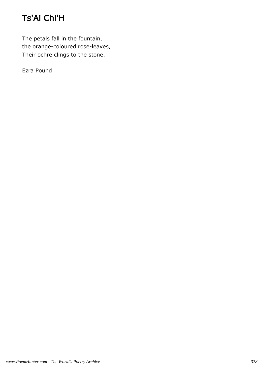# Ts'Ai Chi'H

The petals fall in the fountain, the orange-coloured rose-leaves, Their ochre clings to the stone.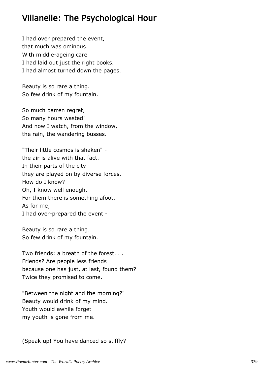### Villanelle: The Psychological Hour

I had over prepared the event, that much was ominous. With middle-ageing care I had laid out just the right books. I had almost turned down the pages.

Beauty is so rare a thing. So few drink of my fountain.

So much barren regret, So many hours wasted! And now I watch, from the window, the rain, the wandering busses.

"Their little cosmos is shaken" the air is alive with that fact. In their parts of the city they are played on by diverse forces. How do I know? Oh, I know well enough. For them there is something afoot. As for me; I had over-prepared the event -

Beauty is so rare a thing. So few drink of my fountain.

Two friends: a breath of the forest. . . Friends? Are people less friends because one has just, at last, found them? Twice they promised to come.

"Between the night and the morning?" Beauty would drink of my mind. Youth would awhile forget my youth is gone from me.

(Speak up! You have danced so stiffly?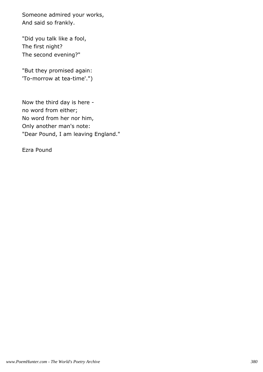Someone admired your works, And said so frankly.

"Did you talk like a fool, The first night? The second evening?"

"But they promised again: 'To-morrow at tea-time'.")

Now the third day is here no word from either; No word from her nor him, Only another man's note: "Dear Pound, I am leaving England."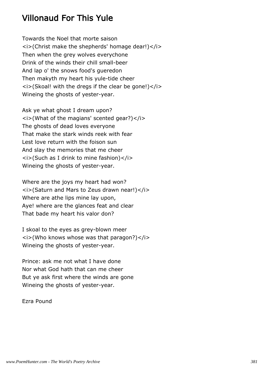### Villonaud For This Yule

Towards the Noel that morte saison <i>(Christ make the shepherds' homage dear!)</i> Then when the grey wolves everychone Drink of the winds their chill small-beer And lap o' the snows food's gueredon Then makyth my heart his yule-tide cheer <i>(Skoal! with the dregs if the clear be gone!)</i> Wineing the ghosts of yester-year.

Ask ye what ghost I dream upon? <i>(What of the magians' scented gear?)</i> The ghosts of dead loves everyone That make the stark winds reek with fear Lest love return with the foison sun And slay the memories that me cheer <i>(Such as I drink to mine fashion)</i> Wineing the ghosts of yester-year.

Where are the joys my heart had won? <i>(Saturn and Mars to Zeus drawn near!)</i> Where are athe lips mine lay upon, Aye! where are the glances feat and clear That bade my heart his valor don?

I skoal to the eyes as grey-blown meer <i>(Who knows whose was that paragon?)</i> Wineing the ghosts of yester-year.

Prince: ask me not what I have done Nor what God hath that can me cheer But ye ask first where the winds are gone Wineing the ghosts of yester-year.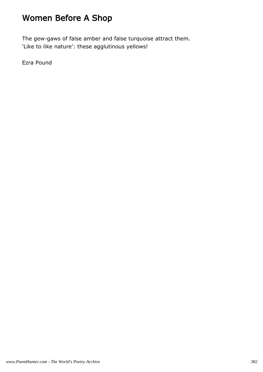# Women Before A Shop

The gew-gaws of false amber and false turquoise attract them. 'Like to like nature': these agglutinous yellows!